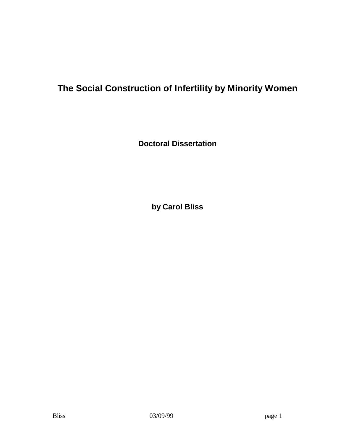# **The Social Construction of Infertility by Minority Women**

**Doctoral Dissertation**

**by Carol Bliss**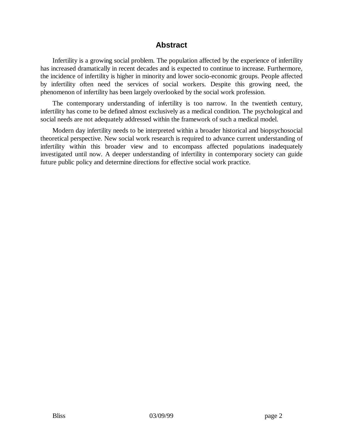### **Abstract**

Infertility is a growing social problem. The population affected by the experience of infertility has increased dramatically in recent decades and is expected to continue to increase. Furthermore, the incidence of infertility is higher in minority and lower socio-economic groups. People affected by infertility often need the services of social workers. Despite this growing need, the phenomenon of infertility has been largely overlooked by the social work profession.

The contemporary understanding of infertility is too narrow. In the twentieth century, infertility has come to be defined almost exclusively as a medical condition. The psychological and social needs are not adequately addressed within the framework of such a medical model.

Modern day infertility needs to be interpreted within a broader historical and biopsychosocial theoretical perspective. New social work research is required to advance current understanding of infertility within this broader view and to encompass affected populations inadequately investigated until now. A deeper understanding of infertility in contemporary society can guide future public policy and determine directions for effective social work practice.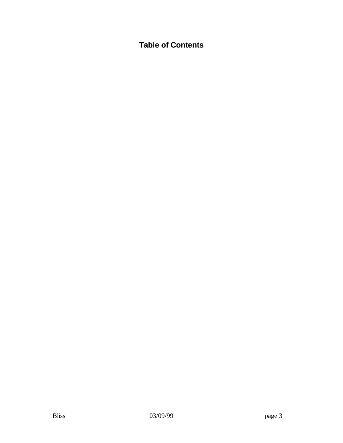**Table of Contents**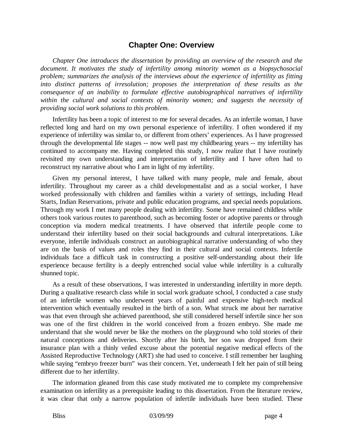### **Chapter One: Overview**

*Chapter One introduces the dissertation by providing an overview of the research and the document. It motivates the study of infertility among minority women as a biopsychosocial problem; summarizes the analysis of the interviews about the experience of infertility as fitting into distinct patterns of irresolution; proposes the interpretation of these results as the consequence of an inability to formulate effective autobiographical narratives of infertility within the cultural and social contexts of minority women; and suggests the necessity of providing social work solutions to this problem.*

Infertility has been a topic of interest to me for several decades. As an infertile woman, I have reflected long and hard on my own personal experience of infertility. I often wondered if my experience of infertility was similar to, or different from others' experiences. As I have progressed through the developmental life stages -- now well past my childbearing years -- my infertility has continued to accompany me. Having completed this study, I now realize that I have routinely revisited my own understanding and interpretation of infertility and I have often had to reconstruct my narrative about who I am in light of my infertility.

Given my personal interest, I have talked with many people, male and female, about infertility. Throughout my career as a child developmentalist and as a social worker, I have worked professionally with children and families within a variety of settings, including Head Starts, Indian Reservations, private and public education programs, and special needs populations. Through my work I met many people dealing with infertility. Some have remained childless while others took various routes to parenthood, such as becoming foster or adoptive parents or through conception via modern medical treatments. I have observed that infertile people come to understand their infertility based on their social backgrounds and cultural interpretations. Like everyone, infertile individuals construct an autobiographical narrative understanding of who they are on the basis of values and roles they find in their cultural and social contexts. Infertile individuals face a difficult task in constructing a positive self-understanding about their life experience because fertility is a deeply entrenched social value while infertility is a culturally shunned topic.

As a result of these observations, I was interested in understanding infertility in more depth. During a qualitative research class while in social work graduate school, I conducted a case study of an infertile women who underwent years of painful and expensive high-tech medical intervention which eventually resulted in the birth of a son. What struck me about her narrative was that even through she achieved parenthood, she still considered herself infertile since her son was one of the first children in the world conceived from a frozen embryo. She made me understand that she would never be like the mothers on the playground who told stories of their natural conceptions and deliveries. Shortly after his birth, her son was dropped from their insurance plan with a thinly veiled excuse about the potential negative medical effects of the Assisted Reproductive Technology (ART) she had used to conceive. I still remember her laughing while saying "embryo freezer burn" was their concern. Yet, underneath I felt her pain of still being different due to her infertility.

The information gleaned from this case study motivated me to complete my comprehensive examination on infertility as a prerequisite leading to this dissertation. From the literature review, it was clear that only a narrow population of infertile individuals have been studied. These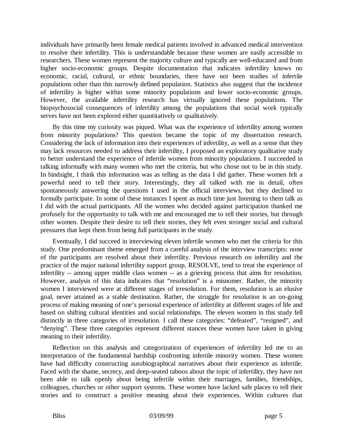individuals have primarily been female medical patients involved in advanced medical intervention to resolve their infertility. This is understandable because these women are easily accessible to researchers. These women represent the majority culture and typically are well-educated and from higher socio-economic groups. Despite documentation that indicates infertility knows no economic, racial, cultural, or ethnic boundaries, there have not been studies of infertile populations other than this narrowly defined population. Statistics also suggest that the incidence of infertility is higher within some minority populations and lower socio-economic groups. However, the available infertility research has virtually ignored these populations. The biopsychosocial consequences of infertility among the populations that social work typically serves have not been explored either quantitatively or qualitatively.

By this time my curiosity was piqued. What was the experience of infertility among women from minority populations? This question became the topic of my dissertation research. Considering the lack of information into their experiences of infertility, as well as a sense that they may lack resources needed to address their infertility, I proposed an exploratory qualitative study to better understand the experience of infertile women from minority populations. I succeeded in talking informally with many women who met the criteria, but who chose not to be in this study. In hindsight, I think this information was as telling as the data I did gather. These women felt a powerful need to tell their story. Interestingly, they all talked with me in detail, often spontaneously answering the questions I used in the official interviews, but they declined to formally participate. In some of these instances I spent as much time just listening to them talk as I did with the actual participants. All the women who decided against participation thanked me profusely for the opportunity to talk with me and encouraged me to tell their stories, but through other women. Despite their desire to tell their stories, they felt even stronger social and cultural pressures that kept them from being full participants in the study.

Eventually, I did succeed in interviewing eleven infertile women who met the criteria for this study. One predominant theme emerged from a careful analysis of the interview transcripts: none of the participants are resolved about their infertility. Previous research on infertility and the practice of the major national infertility support group, RESOLVE, tend to treat the experience of infertility -- among upper middle class women -- as a grieving process that aims for resolution. However, analysis of this data indicates that "resolution" is a misnomer. Rather, the minority women I interviewed were at different stages of irresolution. For them, resolution is an elusive goal, never attained as a stable destination. Rather, the struggle for resolution is an on-going process of making meaning of one's personal experience of infertility at different stages of life and based on shifting cultural identities and social relationships. The eleven women in this study fell distinctly in three categories of irresolution. I call these categories: "defeated", "resigned", and "denying". These three categories represent different stances these women have taken in giving meaning to their infertility.

Reflection on this analysis and categorization of experiences of infertility led me to an interpretation of the fundamental hardship confronting infertile minority women. These women have had difficulty constructing autobiographical narratives about their experience as infertile. Faced with the shame, secrecy, and deep-seated taboos about the topic of infertility, they have not been able to talk openly about being infertile within their marriages, families, friendships, colleagues, churches or other support systems. These women have lacked safe places to tell their stories and to construct a positive meaning about their experiences. Within cultures that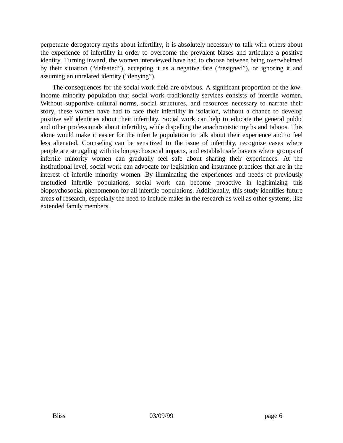perpetuate derogatory myths about infertility, it is absolutely necessary to talk with others about the experience of infertility in order to overcome the prevalent biases and articulate a positive identity. Turning inward, the women interviewed have had to choose between being overwhelmed by their situation ("defeated"), accepting it as a negative fate ("resigned"), or ignoring it and assuming an unrelated identity ("denying").

The consequences for the social work field are obvious. A significant proportion of the lowincome minority population that social work traditionally services consists of infertile women. Without supportive cultural norms, social structures, and resources necessary to narrate their story, these women have had to face their infertility in isolation, without a chance to develop positive self identities about their infertility. Social work can help to educate the general public and other professionals about infertility, while dispelling the anachronistic myths and taboos. This alone would make it easier for the infertile population to talk about their experience and to feel less alienated. Counseling can be sensitized to the issue of infertility, recognize cases where people are struggling with its biopsychosocial impacts, and establish safe havens where groups of infertile minority women can gradually feel safe about sharing their experiences. At the institutional level, social work can advocate for legislation and insurance practices that are in the interest of infertile minority women. By illuminating the experiences and needs of previously unstudied infertile populations, social work can become proactive in legitimizing this biopsychosocial phenomenon for all infertile populations. Additionally, this study identifies future areas of research, especially the need to include males in the research as well as other systems, like extended family members.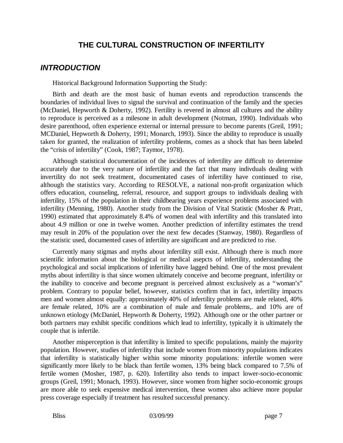# **THE CULTURAL CONSTRUCTION OF INFERTILITY**

### *INTRODUCTION*

Historical Background Information Supporting the Study:

Birth and death are the most basic of human events and reproduction transcends the boundaries of individual lives to signal the survival and continuation of the family and the species (McDaniel, Hepworth & Doherty, 1992). Fertility is revered in almost all cultures and the ability to reproduce is perceived as a milesone in adult development (Notman, 1990). Individuals who desire parenthood, often experience external or internal pressure to become parents (Greil, 1991; MCDaniel, Hepworth & Doherty, 1991; Monarch, 1993). Since the ability to reproduce is usually taken for granted, the realization of infertility problems, comes as a shock that has been labeled the "crisis of infertility" (Cook, 1987; Taymor, 1978).

Although statistical documentation of the incidences of infertility are difficult to determine accurately due to the very nature of infertility and the fact that many indivduals dealing with invertility do not seek treatment, documentated cases of infertility have continued to rise, although the statistics vary. According to RESOLVE, a national non-profit organization which offers education, counseling, referral, resource, and support groups to individuals dealing with infertility, 15% of the population in their childbearing years experience problems associated with infertility (Menning, 1980). Another study from the Division of Vital Statistic (Mosher & Pratt, 1990) estimated that approximately 8.4% of women deal with infertility and this translated into about 4.9 million or one in twelve women. Another prediction of infertility estimates the trend may result in 20% of the population over the next few decades (Stanway, 1980). Regardless of the statistic used, documented cases of infertility are significant and are predicted to rise.

Currently many stigmas and myths about infertility still exist. Although there is much more scientific information about the biological or medical asepcts of infertility, understanding the psychological and social implications of infertility have lagged behind. One of the most prevalent myths about infertility is that since women ultimately conceive and become pregnant, infertility or the inability to conceive and become pregnant is perceived almost exclusively as a "woman's" problem. Contrary to popular belief, however, statistics confirm that in fact, infertility impacts men and women almost equally: approximately 40% of infertility problems are male related, 40% are female related, 10% are a combination of male and female problems,. and 10% are of unknown etiology (McDaniel, Hepworth & Doherty, 1992). Although one or the other partner or both partners may exhibit specific conditions which lead to infertility, typically it is ultimately the couple that is infertile.

Another misperception is that infertility is limited to specific populations, mainly the majority population. However, studies of infertility that include women from minority populations indicates that infertility is statistically higher within some minority populations: infertile women were significantly more likely to be black than fertile women, 13% being black compared to 7.5% of fertile women (Mosher, 1987, p. 620). Infertility also tends to impact lower-socio-economic groups (Greil, 1991; Monach, 1993). However, since women from higher socio-economic groups are more able to seek expensive medical intervention, these women also achieve more popular press coverage especially if treatment has resulted successful prenancy.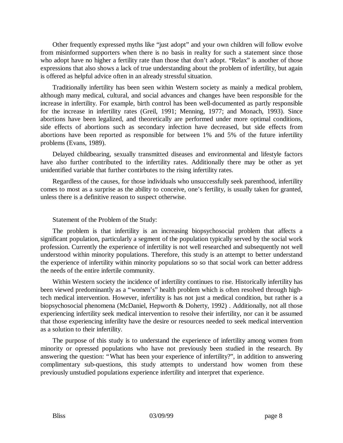Other frequently expressed myths like "just adopt" and your own children will follow evolve from misinformed supporters when there is no basis in reality for such a statement since those who adopt have no higher a fertility rate than those that don't adopt. "Relax" is another of those expressions that also shows a lack of true understanding about the problem of infertility, but again is offered as helpful advice often in an already stressful situation.

Traditionally infertility has been seen within Western society as mainly a medical problem, although many medical, cultural, and social advances and changes have been responsible for the increase in infertility. For example, birth control has been well-documented as partly responsible for the increase in infertility rates (Greil, 1991; Menning, 1977; and Monach, 1993). Since abortions have been legalized, and theoretically are performed under more optimal conditions, side effects of abortions such as secondary infection have decreased, but side effects from abortions have been reported as responsible for between 1% and 5% of the future infertility problems (Evans, 1989).

Delayed childbearing, sexually transmitted diseases and environmental and lifestyle factors have also further contributed to the infertility rates. Additionally there may be other as yet unidentified variable that further contirbutes to the rising infertility rates.

Regardless of the causes, for those individuals who unsuccessfully seek parenthood, infertility comes to most as a surprise as the ability to conceive, one's fertility, is usually taken for granted, unless there is a definitive reason to suspect otherwise.

#### Statement of the Problem of the Study:

The problem is that infertility is an increasing biopsychosocial problem that affects a significant population, particularly a segment of the population typically served by the social work profession. Currently the experience of infertility is not well researched and subsequently not well understood within minority populations. Therefore, this study is an attempt to better understand the experience of infertility within minority populations so so that social work can better address the needs of the entire infertile community.

Within Western society the incidence of infertility continues to rise. Historically infertility has been viewed predominantly as a "women's" health problem which is often resolved through hightech medical intervention. However, infertility is has not just a medical condition, but rather is a biopsychosocial phenomena (McDaniel, Hepworth & Doherty, 1992) . Additionally, not all those experiencing infertility seek medical intervention to resolve their infertility, nor can it be assumed that those experiencing inferility have the desire or resources needed to seek medical intervention as a solution to their infertility.

The purpose of this study is to understand the experience of infertility among women from minority or opressed populations who have not previously been studied in the research. By answering the question: "What has been your experience of infertility?", in addition to answering complimentary sub-questions, this study attempts to understand how women from these previously unstudied populations experience infertility and interpret that experience.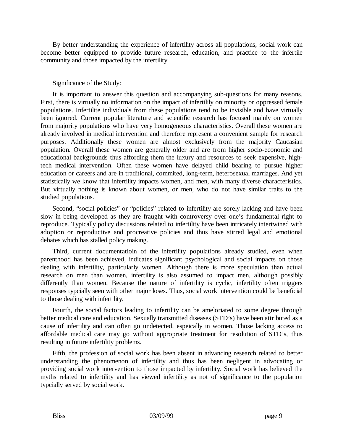By better understanding the experience of infertility across all populations, social work can become better equipped to provide future research, education, and practice to the infertile community and those impacted by the infertility.

### Significance of the Study:

It is important to answer this question and accompanying sub-questions for many reasons. First, there is virtually no information on the impact of infertilily on minority or oppressed female populations. Infertilite individuals from these populations tend to be invisible and have virtually been ignored. Current popular literature and scientific research has focused mainly on women from majority populations who have very homogeneous characteristics. Overall these women are already involved in medical intervention and therefore represent a convenient sample for research purposes. Additionally these women are almost exclusively from the majority Caucasian population. Overall these women are generally older and are from higher socio-economic and educational backgrounds thus affording them the luxury and resources to seek expensive, hightech medical intervention. Often these women have delayed child bearing to pursue higher education or careers and are in traditional, commited, long-term, heterosexual marriages. And yet statistically we know that infertility impacts women, and men, with many diverse characteristics. But virtually nothing is known about women, or men, who do not have similar traits to the studied populations.

Second, "social policies" or "policies" related to infertility are sorely lacking and have been slow in being developed as they are fraught with controversy over one's fundamental right to reproduce. Typically policy discussions related to infertility have been intricately intertwined with adoption or reproductive and procreative policies and thus have stirred legal and emotional debates which has stalled policy making.

Third, current documentatioin of the infertility populations already studied, even when parenthood has been achieved, indicates significant psychological and social impacts on those dealing with infertility, particularly women. Although there is more speculation than actual research on men than women, infertility is also assumed to impact men, although possibly differently than women. Because the nature of infertility is cyclic, infertility often triggers responses typcially seen with other major loses. Thus, social work intervention could be beneficial to those dealing with infertility.

Fourth, the social factors leading to infertility can be ameloriated to some degree through better medical care and education. Sexually transmitted diseases (STD's) have been attributed as a cause of infertility and can often go undetected, espeically in women. Those lacking access to affordable medical care may go without appropriate treatment for resolution of STD's, thus resulting in future infertility problems.

Fifth, the profession of social work has been absent in advancing research related to better understanding the phenomenon of infertility and thus has been negligent in advocating or providing social work intervention to those impacted by infertility. Social work has believed the myths related to infertility and has viewed infertility as not of significance to the population typcially served by social work.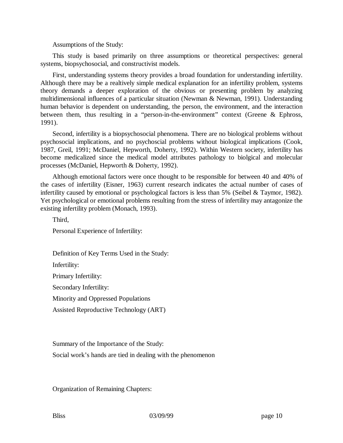Assumptions of the Study:

This study is based primarily on three assumptions or theoretical perspectives: general systems, biopsychosocial, and constructivist models.

First, understanding systems theory provides a broad foundation for understanding infertility. Although there may be a realtively simple medical explanation for an infertility problem, systems theory demands a deeper exploration of the obvious or presenting problem by analyzing multidimensional influences of a particular situation (Newman & Newman, 1991). Understanding human behavior is dependent on understanding, the person, the environment, and the interaction between them, thus resulting in a "person-in-the-environment" context (Greene & Ephross, 1991).

Second, infertility is a biopsychosocial phenomena. There are no biological problems without psychosocial implications, and no psychoscial problems without biological implications (Cook, 1987, Greil, 1991; McDaniel, Hepworth, Doherty, 1992). Within Western society, infertility has become medicalized since the medical model attributes pathology to biolgical and molecular processes (McDaniel, Hepworth & Doherty, 1992).

Although emotional factors were once thought to be responsible for between 40 and 40% of the cases of infertility (Eisner, 1963) current research indicates the actual number of cases of infertility caused by emotional or psychological factors is less than 5% (Seibel & Taymor, 1982). Yet psychological or emotional problems resulting from the stress of infertility may antagonize the existing infertility problem (Monach, 1993).

Third,

Personal Experience of Infertility:

Definition of Key Terms Used in the Study:

Infertility:

Primary Infertility:

Secondary Infertility:

Minority and Oppressed Populations

Assisted Reproductive Technology (ART)

Summary of the Importance of the Study:

Social work's hands are tied in dealing with the phenomenon

Organization of Remaining Chapters: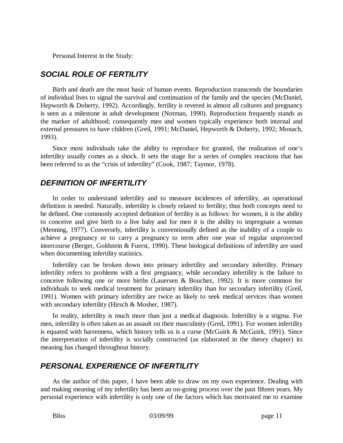Personal Interest in the Study:

# *SOCIAL ROLE OF FERTILITY*

Birth and death are the most basic of human events. Reproduction transcends the boundaries of individual lives to signal the survival and continuation of the family and the species (McDaniel, Hepworth & Doherty, 1992). Accordingly, fertility is revered in almost all cultures and pregnancy is seen as a milestone in adult development (Notman, 1990). Reproduction frequently stands as the marker of adulthood; consequently men and women typically experience both internal and external pressures to have children (Greil, 1991; McDaniel, Hepworth & Doherty, 1992; Monach, 1993).

Since most individuals take the ability to reproduce for granted, the realization of one's infertility usually comes as a shock. It sets the stage for a series of complex reactions that has been referred to as the "crisis of infertility" (Cook, 1987; Taymor, 1978).

### *DEFINITION OF INFERTILITY*

In order to understand infertility and to measure incidences of infertility, an operational definition is needed. Naturally, infertility is closely related to fertility; thus both concepts need to be defined. One commonly accepted definition of fertility is as follows: for women, it is the ability to conceive and give birth to a live baby and for men it is the ability to impregnate a woman (Menning, 1977). Conversely, infertility is conventionally defined as the inability of a couple to achieve a pregnancy or to carry a pregnancy to term after one year of regular unprotected intercourse (Berger, Goldstein & Fuerst, 1990). These biological definitions of infertility are used when documenting infertility statistics.

Infertility can be broken down into primary infertility and secondary infertility. Primary infertility refers to problems with a first pregnancy, while secondary infertility is the failure to conceive following one or more births (Lauersen & Bouchez, 1992). It is more common for individuals to seek medical treatment for primary infertility than for secondary infertility (Greil, 1991). Women with primary infertility are twice as likely to seek medical services than women with secondary infertility (Hirsch & Mosher, 1987).

In reality, infertility is much more than just a medical diagnosis. Infertility is a stigma. For men, infertility is often taken as an assault on their masculinity (Greil, 1991). For women infertility is equated with barrenness, which history tells us is a curse (McGuirk & McGuirk, 1991). Since the interpretation of infertility is socially constructed (as elaborated in the theory chapter) its meaning has changed throughout history.

# *PERSONAL EXPERIENCE OF INFERTILITY*

As the author of this paper, I have been able to draw on my own experience. Dealing with and making meaning of my infertility has been an on-going process over the past fifteen years. My personal experience with infertility is only one of the factors which has motivated me to examine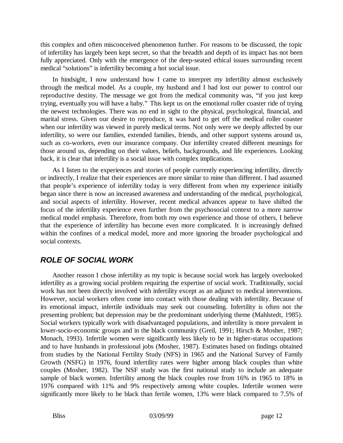this complex and often misconceived phenomenon further. For reasons to be discussed, the topic of infertility has largely been kept secret, so that the breadth and depth of its impact has not been fully appreciated. Only with the emergence of the deep-seated ethical issues surrounding recent medical "solutions" is infertility becoming a hot social issue.

In hindsight, I now understand how I came to interpret my infertility almost exclusively through the medical model. As a couple, my husband and I had lost our power to control our reproductive destiny. The message we got from the medical community was, "if you just keep trying, eventually you will have a baby." This kept us on the emotional roller coaster ride of trying the newest technologies. There was no end in sight to the physical, psychological, financial, and marital stress. Given our desire to reproduce, it was hard to get off the medical roller coaster when our infertility was viewed in purely medical terms. Not only were we deeply affected by our infertility, so were our families, extended families, friends, and other support systems around us, such as co-workers, even our insurance company. Our infertility created different meanings for those around us, depending on their values, beliefs, backgrounds, and life experiences. Looking back, it is clear that infertility is a social issue with complex implications.

As I listen to the experiences and stories of people currently experiencing infertility, directly or indirectly, I realize that their experiences are more similar to mine than different. I had assumed that people's experience of infertility today is very different from when my experience initially began since there is now an increased awareness and understanding of the medical, psychological, and social aspects of infertility. However, recent medical advances appear to have shifted the focus of the infertility experience even further from the psychosocial context to a more narrow medical model emphasis. Therefore, from both my own experience and those of others, I believe that the experience of infertility has become even more complicated. It is increasingly defined within the confines of a medical model, more and more ignoring the broader psychological and social contexts.

# *ROLE OF SOCIAL WORK*

Another reason I chose infertility as my topic is because social work has largely overlooked infertility as a growing social problem requiring the expertise of social work. Traditionally, social work has not been directly involved with infertility except as an adjunct to medical interventions. However, social workers often come into contact with those dealing with infertility. Because of its emotional impact, infertile individuals may seek out counseling. Infertility is often not the presenting problem; but depression may be the predominant underlying theme (Mahlstedt, 1985). Social workers typically work with disadvantaged populations, and infertility is more prevalent in lower-socio-economic groups and in the black community (Greil, 1991; Hirsch & Mosher, 1987; Monach, 1993). Infertile women were significantly less likely to be in higher-status occupations and to have husbands in professional jobs (Mosher, 1987). Estimates based on findings obtained from studies by the National Fertility Study (NFS) in 1965 and the National Survey of Family Growth (NSFG) in 1976, found infertility rates were higher among black couples than white couples (Mosher, 1982). The NSF study was the first national study to include an adequate sample of black women. Infertility among the black couples rose from 16% in 1965 to 18% in 1976 compared with 11% and 9% respectively among white couples. Infertile women were significantly more likely to be black than fertile women, 13% were black compared to 7.5% of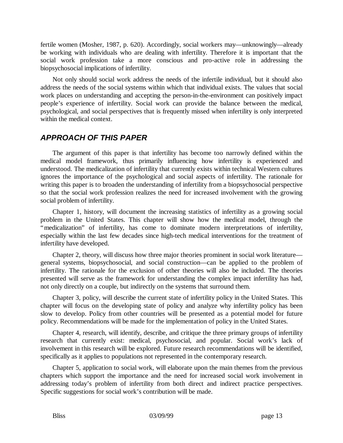fertile women (Mosher, 1987, p. 620). Accordingly, social workers may— unknowingly— already be working with individuals who are dealing with infertility. Therefore it is important that the social work profession take a more conscious and pro-active role in addressing the biopsychosocial implications of infertility.

Not only should social work address the needs of the infertile individual, but it should also address the needs of the social systems within which that individual exists. The values that social work places on understanding and accepting the person-in-the-environment can positively impact people's experience of infertility. Social work can provide the balance between the medical, psychological, and social perspectives that is frequently missed when infertility is only interpreted within the medical context.

# *APPROACH OF THIS PAPER*

The argument of this paper is that infertility has become too narrowly defined within the medical model framework, thus primarily influencing how infertility is experienced and understood. The medicalization of infertility that currently exists within technical Western cultures ignores the importance of the psychological and social aspects of infertility. The rationale for writing this paper is to broaden the understanding of infertility from a biopsychosocial perspective so that the social work profession realizes the need for increased involvement with the growing social problem of infertility.

Chapter 1, history, will document the increasing statistics of infertility as a growing social problem in the United States. This chapter will show how the medical model, through the "medicalization" of infertility, has come to dominate modern interpretations of infertility, especially within the last few decades since high-tech medical interventions for the treatment of infertility have developed.

Chapter 2, theory, will discuss how three major theories prominent in social work literature general systems, biopsychosocial, and social construction— can be applied to the problem of infertility. The rationale for the exclusion of other theories will also be included. The theories presented will serve as the framework for understanding the complex impact infertility has had, not only directly on a couple, but indirectly on the systems that surround them.

Chapter 3, policy, will describe the current state of infertility policy in the United States. This chapter will focus on the developing state of policy and analyze why infertility policy has been slow to develop. Policy from other countries will be presented as a potential model for future policy. Recommendations will be made for the implementation of policy in the United States.

Chapter 4, research, will identify, describe, and critique the three primary groups of infertility research that currently exist: medical, psychosocial, and popular. Social work's lack of involvement in this research will be explored. Future research recommendations will be identified, specifically as it applies to populations not represented in the contemporary research.

Chapter 5, application to social work, will elaborate upon the main themes from the previous chapters which support the importance and the need for increased social work involvement in addressing today's problem of infertility from both direct and indirect practice perspectives. Specific suggestions for social work's contribution will be made.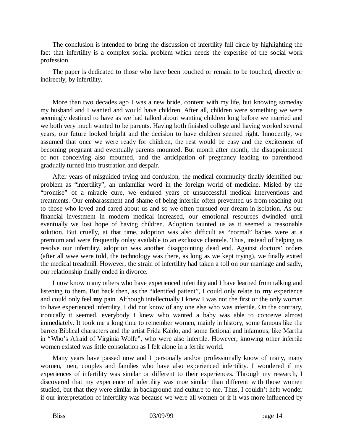The conclusion is intended to bring the discussion of infertility full circle by highlighting the fact that infertility is a complex social problem which needs the expertise of the social work profession.

The paper is dedicated to those who have been touched or remain to be touched, directly or indirectly, by infertility.

More than two decades ago I was a new bride, content with my life, but knowing someday my husband and I wanted and would have children. After all, children were something we were seemingly destined to have as we had talked about wanting children long before we married and we both very much wanted to be parents. Having both finished college and having worked several years, our future looked bright and the decision to have children seemed right. Innocently, we assumed that once we were ready for children, the rest would be easy and the excitement of becoming pregnant and eventually parents mounted. But month after month, the disappointment of not conceiving also mounted, and the anticipation of pregnancy leading to parenthood gradually turned into frustration and despair.

After years of misguided trying and confusion, the medical community finally identified our problem as "infertility", an unfamiliar word in the foreign world of medicine. Misled by the "promise" of a miracle cure, we endured years of unsuccessful medical interventions and treatments. Our embarassment and shame of being infertile often prevented us from reaching out to those who loved and cared about us and so we often pursued our dream in isolation. As our financial investment in modern medical increased, our emotional resources dwindled until eventually we lost hope of having children. Adoption taunted us as it seemed a reasonable solution. But cruelly, at that time, adoption was also difficult as "normal" babies were at a premium and were frequently onlay available to an exclusive clientele. Thus, instead of helping us resolve our infertility, adoption was another disappointing dead end. Against doctors' orders (after all wwe were told, the technology was there, as long as we kept trying), we finally exited the medical treadmill. However, the strain of infertility had taken a toll on our marriage and sadly, our relationship finally ended in divorce.

I now know many others who have experienced infertility and I have learned from talking and listening to them. But back then, as the "identifed patient", I could only relate to **my** experience and could only feel **my** pain. Although intellectually I knew I was not the first or the only woman to have experienced infertility, I did not know of any one else who was infertile. On the contrary, ironically it seemed, everybody I knew who wanted a baby was able to conceive almost immediately. It took me a long time to remember women, mainly in history, some famous like the barren Biblical characters and the artist Frida Kahlo, and some fictional and infamous, like Martha in "Who's Afraid of Virginia Wolfe", who were also infertile. However, knowing other infertile women existed was little consolation as I felt alone in a fertile world.

Many years have passed now and I personally and\or professionally know of many, many women, men, couples and families who have also experienced infertility. I wondered if my experiences of infertility was similar or different to their experiences. Through my research, I discovered that my experience of infertility was moe similar than different with those women studied, but that they were similar in background and culture to me. Thus, I couldn't help wonder if our interpretation of infertility was because we were all women or if it was more influenced by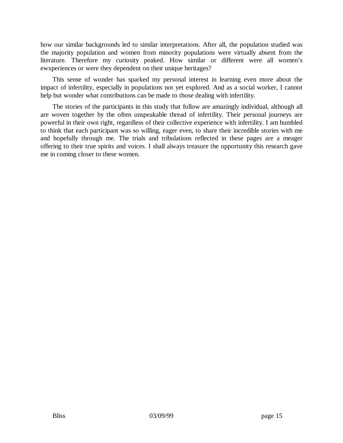how our similar backgrounds led to similar interpretations. After all, the population studied was the majority population and women from minority populations were virtually absent from the literature. Therefore my curiosity peaked. How similar or different were all women's ewxperiences or were they dependent on their unique heritages?

This sense of wonder has sparked my personal interest in learning even more about the impact of infertility, especially in populations not yet explored. And as a social worker, I cannot help but wonder what contributions can be made to those dealing with infertility.

The stories of the participants in this study that follow are amazingly individual, although all are woven together by the often unspeakable thread of infertility. Their personal journeys are powerful in their own right, regardless of their collective experience with infertility. I am humbled to think that each participant was so willing, eager even, to share their incredible stories with me and hopefully through me. The trials and tribulations reflected in these pages are a meager offering to their true spirits and voices. I shall always treasure the opportunity this research gave me in coming closer to these women.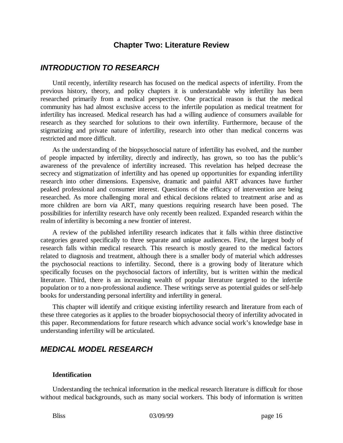### **Chapter Two: Literature Review**

### *INTRODUCTION TO RESEARCH*

Until recently, infertility research has focused on the medical aspects of infertility. From the previous history, theory, and policy chapters it is understandable why infertility has been researched primarily from a medical perspective. One practical reason is that the medical community has had almost exclusive access to the infertile population as medical treatment for infertility has increased. Medical research has had a willing audience of consumers available for research as they searched for solutions to their own infertility. Furthermore, because of the stigmatizing and private nature of infertility, research into other than medical concerns was restricted and more difficult.

As the understanding of the biopsychosocial nature of infertility has evolved, and the number of people impacted by infertility, directly and indirectly, has grown, so too has the public's awareness of the prevalence of infertility increased. This revelation has helped decrease the secrecy and stigmatization of infertility and has opened up opportunities for expanding infertility research into other dimensions. Expensive, dramatic and painful ART advances have further peaked professional and consumer interest. Questions of the efficacy of intervention are being researched. As more challenging moral and ethical decisions related to treatment arise and as more children are born via ART, many questions requiring research have been posed. The possibilities for infertility research have only recently been realized. Expanded research within the realm of infertility is becoming a new frontier of interest.

A review of the published infertility research indicates that it falls within three distinctive categories geared specifically to three separate and unique audiences. First, the largest body of research falls within medical research. This research is mostly geared to the medical factors related to diagnosis and treatment, although there is a smaller body of material which addresses the psychosocial reactions to infertility. Second, there is a growing body of literature which specifically focuses on the psychosocial factors of infertility, but is written within the medical literature. Third, there is an increasing wealth of popular literature targeted to the infertile population or to a non-professional audience. These writings serve as potential guides or self-help books for understanding personal infertility and infertility in general.

This chapter will identify and critique existing infertility research and literature from each of these three categories as it applies to the broader biopsychosocial theory of infertility advocated in this paper. Recommendations for future research which advance social work's knowledge base in understanding infertility will be articulated.

### *MEDICAL MODEL RESEARCH*

#### **Identification**

Understanding the technical information in the medical research literature is difficult for those without medical backgrounds, such as many social workers. This body of information is written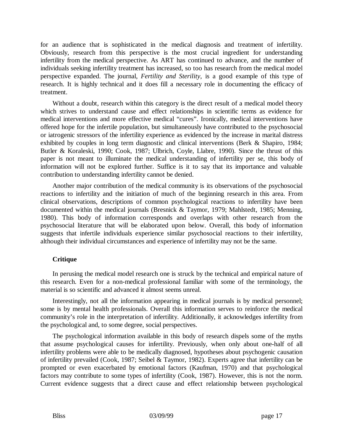for an audience that is sophisticated in the medical diagnosis and treatment of infertility. Obviously, research from this perspective is the most crucial ingredient for understanding infertility from the medical perspective. As ART has continued to advance, and the number of individuals seeking infertility treatment has increased, so too has research from the medical model perspective expanded. The journal, *Fertility and Sterility*, is a good example of this type of research. It is highly technical and it does fill a necessary role in documenting the efficacy of treatment.

Without a doubt, research within this category is the direct result of a medical model theory which strives to understand cause and effect relationships in scientific terms as evidence for medical interventions and more effective medical "cures". Ironically, medical interventions have offered hope for the infertile population, but simultaneously have contributed to the psychosocial or iatrogenic stressors of the infertility experience as evidenced by the increase in marital distress exhibited by couples in long term diagnostic and clinical interventions (Berk & Shapiro, 1984; Butler & Koraleski, 1990; Cook, 1987; Ulbrich, Coyle, Llabre, 1990). Since the thrust of this paper is not meant to illuminate the medical understanding of infertility per se, this body of information will not be explored further. Suffice is it to say that its importance and valuable contribution to understanding infertility cannot be denied.

Another major contribution of the medical community is its observations of the psychosocial reactions to infertility and the initiation of much of the beginning research in this area. From clinical observations, descriptions of common psychological reactions to infertility have been documented within the medical journals (Bresnick & Taymor, 1979; Mahlstedt, 1985; Menning, 1980). This body of information corresponds and overlaps with other research from the psychosocial literature that will be elaborated upon below. Overall, this body of information suggests that infertile individuals experience similar psychosocial reactions to their infertility, although their individual circumstances and experience of infertility may not be the same.

### **Critique**

In perusing the medical model research one is struck by the technical and empirical nature of this research. Even for a non-medical professional familiar with some of the terminology, the material is so scientific and advanced it almost seems unreal.

Interestingly, not all the information appearing in medical journals is by medical personnel; some is by mental health professionals. Overall this information serves to reinforce the medical community's role in the interpretation of infertility. Additionally, it acknowledges infertility from the psychological and, to some degree, social perspectives.

The psychological information available in this body of research dispels some of the myths that assume psychological causes for infertility. Previously, when only about one-half of all infertility problems were able to be medically diagnosed, hypotheses about psychogenic causation of infertility prevailed (Cook, 1987; Seibel & Taymor, 1982). Experts agree that infertility can be prompted or even exacerbated by emotional factors (Kaufman, 1970) and that psychological factors may contribute to some types of infertility (Cook, 1987). However, this is not the norm. Current evidence suggests that a direct cause and effect relationship between psychological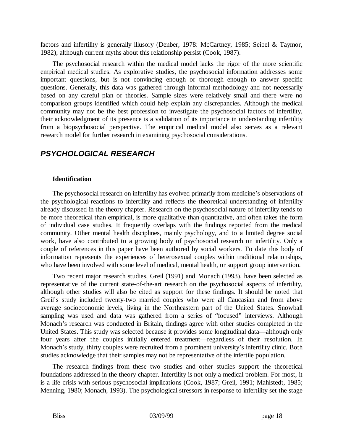factors and infertility is generally illusory (Denber, 1978: McCartney, 1985; Seibel & Taymor, 1982), although current myths about this relationship persist (Cook, 1987).

The psychosocial research within the medical model lacks the rigor of the more scientific empirical medical studies. As explorative studies, the psychosocial information addresses some important questions, but is not convincing enough or thorough enough to answer specific questions. Generally, this data was gathered through informal methodology and not necessarily based on any careful plan or theories. Sample sizes were relatively small and there were no comparison groups identified which could help explain any discrepancies. Although the medical community may not be the best profession to investigate the psychosocial factors of infertility, their acknowledgment of its presence is a validation of its importance in understanding infertility from a biopsychosocial perspective. The empirical medical model also serves as a relevant research model for further research in examining psychosocial considerations.

# *PSYCHOLOGICAL RESEARCH*

### **Identification**

The psychosocial research on infertility has evolved primarily from medicine's observations of the psychological reactions to infertility and reflects the theoretical understanding of infertility already discussed in the theory chapter. Research on the psychosocial nature of infertility tends to be more theoretical than empirical, is more qualitative than quantitative, and often takes the form of individual case studies. It frequently overlaps with the findings reported from the medical community. Other mental health disciplines, mainly psychology, and to a limited degree social work, have also contributed to a growing body of psychosocial research on infertility. Only a couple of references in this paper have been authored by social workers. To date this body of information represents the experiences of heterosexual couples within traditional relationships, who have been involved with some level of medical, mental health, or support group intervention.

Two recent major research studies, Greil (1991) and Monach (1993), have been selected as representative of the current state-of-the-art research on the psychosocial aspects of infertility, although other studies will also be cited as support for these findings. It should be noted that Greil's study included twenty-two married couples who were all Caucasian and from above average socioeconomic levels, living in the Northeastern part of the United States. Snowball sampling was used and data was gathered from a series of "focused" interviews. Although Monach's research was conducted in Britain, findings agree with other studies completed in the United States. This study was selected because it provides some longitudinal data— although only four years after the couples initially entered treatment— regardless of their resolution. In Monach's study, thirty couples were recruited from a prominent university's infertility clinic. Both studies acknowledge that their samples may not be representative of the infertile population.

The research findings from these two studies and other studies support the theoretical foundations addressed in the theory chapter. Infertility is not only a medical problem. For most, it is a life crisis with serious psychosocial implications (Cook, 1987; Greil, 1991; Mahlstedt, 1985; Menning, 1980; Monach, 1993). The psychological stressors in response to infertility set the stage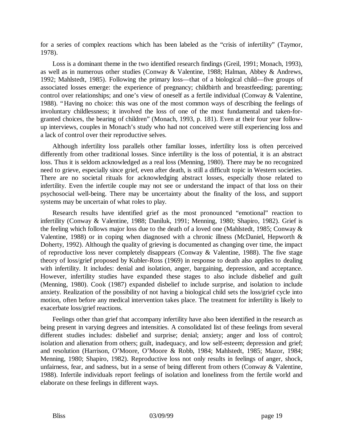for a series of complex reactions which has been labeled as the "crisis of infertility" (Taymor, 1978).

Loss is a dominant theme in the two identified research findings (Greil, 1991; Monach, 1993), as well as in numerous other studies (Conway & Valentine, 1988; Halman, Abbey & Andrews, 1992; Mahlstedt, 1985). Following the primary loss— that of a biological child— five groups of associated losses emerge: the experience of pregnancy; childbirth and breastfeeding; parenting; control over relationships; and one's view of oneself as a fertile individual (Conway & Valentine, 1988). "Having no choice: this was one of the most common ways of describing the feelings of involuntary childlessness; it involved the loss of one of the most fundamental and taken-forgranted choices, the bearing of children" (Monach, 1993, p. 181). Even at their four year followup interviews, couples in Monach's study who had not conceived were still experiencing loss and a lack of control over their reproductive selves.

Although infertility loss parallels other familiar losses, infertility loss is often perceived differently from other traditional losses. Since infertility is the loss of potential, it is an abstract loss. Thus it is seldom acknowledged as a real loss (Menning, 1980). There may be no recognized need to grieve, especially since grief, even after death, is still a difficult topic in Western societies. There are no societal rituals for acknowledging abstract losses, especially those related to infertility. Even the infertile couple may not see or understand the impact of that loss on their psychosocial well-being. There may be uncertainty about the finality of the loss, and support systems may be uncertain of what roles to play.

Research results have identified grief as the most pronounced "emotional" reaction to infertility (Conway & Valentine, 1988; Daniluk, 1991; Menning, 1980; Shapiro, 1982). Grief is the feeling which follows major loss due to the death of a loved one (Mahlstedt, 1985; Conway & Valentine, 1988) or in coping when diagnosed with a chronic illness (McDaniel, Hepworth & Doherty, 1992). Although the quality of grieving is documented as changing over time, the impact of reproductive loss never completely disappears (Conway & Valentine, 1988). The five stage theory of loss/grief proposed by Kubler-Ross (1969) in response to death also applies to dealing with infertility. It includes: denial and isolation, anger, bargaining, depression, and acceptance. However, infertility studies have expanded these stages to also include disbelief and guilt (Menning, 1980). Cook (1987) expanded disbelief to include surprise, and isolation to include anxiety. Realization of the possibility of not having a biological child sets the loss/grief cycle into motion, often before any medical intervention takes place. The treatment for infertility is likely to exacerbate loss/grief reactions.

Feelings other than grief that accompany infertility have also been identified in the research as being present in varying degrees and intensities. A consolidated list of these feelings from several different studies includes: disbelief and surprise; denial; anxiety; anger and loss of control; isolation and alienation from others; guilt, inadequacy, and low self-esteem; depression and grief; and resolution (Harrison, O'Moore, O'Moore & Robb, 1984; Mahlstedt, 1985; Mazor, 1984; Menning, 1980; Shapiro, 1982). Reproductive loss not only results in feelings of anger, shock, unfairness, fear, and sadness, but in a sense of being different from others (Conway & Valentine, 1988). Infertile individuals report feelings of isolation and loneliness from the fertile world and elaborate on these feelings in different ways.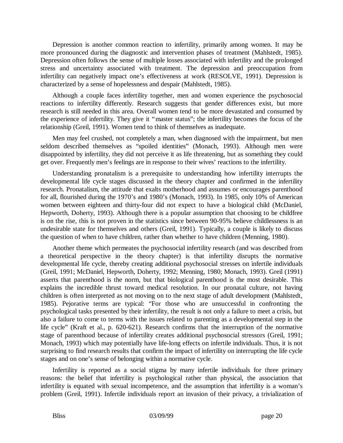Depression is another common reaction to infertility, primarily among women. It may be more pronounced during the diagnostic and intervention phases of treatment (Mahlstedt, 1985). Depression often follows the sense of multiple losses associated with infertility and the prolonged stress and uncertainty associated with treatment. The depression and preoccupation from infertility can negatively impact one's effectiveness at work (RESOLVE, 1991). Depression is characterized by a sense of hopelessness and despair (Mahlstedt, 1985).

Although a couple faces infertility together, men and women experience the psychosocial reactions to infertility differently. Research suggests that gender differences exist, but more research is still needed in this area. Overall women tend to be more devastated and consumed by the experience of infertility. They give it "master status"; the infertility becomes the focus of the relationship (Greil, 1991). Women tend to think of themselves as inadequate.

Men may feel crushed, not completely a man, when diagnosed with the impairment, but men seldom described themselves as "spoiled identities" (Monach, 1993). Although men were disappointed by infertility, they did not perceive it as life threatening, but as something they could get over. Frequently men's feelings are in response to their wives' reactions to the infertility.

Understanding pronatalism is a prerequisite to understanding how infertility interrupts the developmental life cycle stages discussed in the theory chapter and confirmed in the infertility research. Pronatalism, the attitude that exalts motherhood and assumes or encourages parenthood for all, flourished during the 1970's and 1980's (Monach, 1993). In 1985, only 10% of American women between eighteen and thirty-four did not expect to have a biological child (McDaniel, Hepworth, Doherty, 1993). Although there is a popular assumption that choosing to be childfree is on the rise, this is not proven in the statistics since between 90-95% believe childlessness is an undesirable state for themselves and others (Greil, 1991). Typically, a couple is likely to discuss the question of when to have children, rather than whether to have children (Menning, 1980).

Another theme which permeates the psychosocial infertility research (and was described from a theoretical perspective in the theory chapter) is that infertility disrupts the normative developmental life cycle, thereby creating additional psychosocial stresses on infertile individuals (Greil, 1991; McDaniel, Hepworth, Doherty, 1992; Menning, 1980; Monach, 1993). Greil (1991) asserts that parenthood is the norm, but that biological parenthood is the most desirable. This explains the incredible thrust toward medical resolution. In our pronatal culture, not having children is often interpreted as not moving on to the next stage of adult development (Mahlstedt, 1985). Pejorative terms are typical: "For those who are unsuccessful in confronting the psychological tasks presented by their infertility, the result is not only a failure to meet a crisis, but also a failure to come to terms with the issues related to parenting as a developmental step in the life cycle" (Kraft et al., p. 620-621). Research confirms that the interruption of the normative stage of parenthood because of infertility creates additional psychosocial stressors (Greil, 1991; Monach, 1993) which may potentially have life-long effects on infertile individuals. Thus, it is not surprising to find research results that confirm the impact of infertility on interrupting the life cycle stages and on one's sense of belonging within a normative cycle.

Infertility is reported as a social stigma by many infertile individuals for three primary reasons: the belief that infertility is psychological rather than physical, the association that infertility is equated with sexual incompetence, and the assumption that infertility is a woman's problem (Greil, 1991). Infertile individuals report an invasion of their privacy, a trivialization of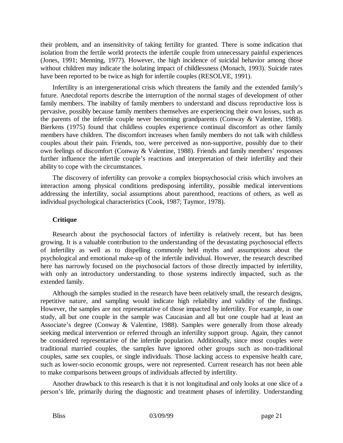their problem, and an insensitivity of taking fertility for granted. There is some indication that isolation from the fertile world protects the infertile couple from unnecessary painful experiences (Jones, 1991; Menning, 1977). However, the high incidence of suicidal behavior among those without children may indicate the isolating impact of childlessness (Monach, 1993). Suicide rates have been reported to be twice as high for infertile couples (RESOLVE, 1991).

Infertility is an intergenerational crisis which threatens the family and the extended family's future. Anecdotal reports describe the interruption of the normal stages of development of other family members. The inability of family members to understand and discuss reproductive loss is pervasive, possibly because family members themselves are experiencing their own losses, such as the parents of the infertile couple never becoming grandparents (Conway & Valentine, 1988). Bierkens (1975) found that childless couples experience continual discomfort as other family members have children. The discomfort increases when family members do not talk with childless couples about their pain. Friends, too, were perceived as non-supportive, possibly due to their own feelings of discomfort (Conway & Valentine, 1988). Friends and family members' responses further influence the infertile couple's reactions and interpretation of their infertility and their ability to cope with the circumstances.

The discovery of infertility can provoke a complex biopsychosocial crisis which involves an interaction among physical conditions predisposing infertility, possible medical interventions addressing the infertility, social assumptions about parenthood, reactions of others, as well as individual psychological characteristics (Cook, 1987; Taymor, 1978).

### **Critique**

Research about the psychosocial factors of infertility is relatively recent, but has been growing. It is a valuable contribution to the understanding of the devastating psychosocial effects of infertility as well as to dispelling commonly held myths and assumptions about the psychological and emotional make-up of the infertile individual. However, the research described here has narrowly focused on the psychosocial factors of those directly impacted by infertility, with only an introductory understanding to those systems indirectly impacted, such as the extended family.

Although the samples studied in the research have been relatively small, the research designs, repetitive nature, and sampling would indicate high reliability and validity of the findings. However, the samples are not representative of those impacted by infertility. For example, in one study, all but one couple in the sample was Caucasian and all but one couple had at least an Associate's degree (Conway & Valentine, 1988). Samples were generally from those already seeking medical intervention or referred through an infertility support group. Again, they cannot be considered representative of the infertile population. Additionally, since most couples were traditional married couples, the samples have ignored other groups such as non-traditional couples, same sex couples, or single individuals. Those lacking access to expensive health care, such as lower-socio economic groups, were not represented. Current research has not been able to make comparisons between groups of individuals affected by infertility.

Another drawback to this research is that it is not longitudinal and only looks at one slice of a person's life, primarily during the diagnostic and treatment phases of infertility. Understanding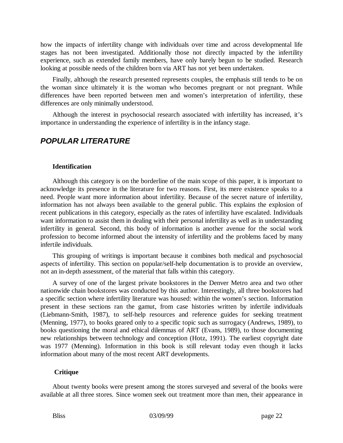how the impacts of infertility change with individuals over time and across developmental life stages has not been investigated. Additionally those not directly impacted by the infertility experience, such as extended family members, have only barely begun to be studied. Research looking at possible needs of the children born via ART has not yet been undertaken.

Finally, although the research presented represents couples, the emphasis still tends to be on the woman since ultimately it is the woman who becomes pregnant or not pregnant. While differences have been reported between men and women's interpretation of infertility, these differences are only minimally understood.

Although the interest in psychosocial research associated with infertility has increased, it's importance in understanding the experience of infertility is in the infancy stage.

# *POPULAR LITERATURE*

#### **Identification**

Although this category is on the borderline of the main scope of this paper, it is important to acknowledge its presence in the literature for two reasons. First, its mere existence speaks to a need. People want more information about infertility. Because of the secret nature of infertility, information has not always been available to the general public. This explains the explosion of recent publications in this category, especially as the rates of infertility have escalated. Individuals want information to assist them in dealing with their personal infertility as well as in understanding infertility in general. Second, this body of information is another avenue for the social work profession to become informed about the intensity of infertility and the problems faced by many infertile individuals.

This grouping of writings is important because it combines both medical and psychosocial aspects of infertility. This section on popular/self-help documentation is to provide an overview, not an in-depth assessment, of the material that falls within this category.

A survey of one of the largest private bookstores in the Denver Metro area and two other nationwide chain bookstores was conducted by this author. Interestingly, all three bookstores had a specific section where infertility literature was housed: within the women's section. Information present in these sections ran the gamut, from case histories written by infertile individuals (Liebmann-Smith, 1987), to self-help resources and reference guides for seeking treatment (Menning, 1977), to books geared only to a specific topic such as surrogacy (Andrews, 1989), to books questioning the moral and ethical dilemmas of ART (Evans, 1989), to those documenting new relationships between technology and conception (Hotz, 1991). The earliest copyright date was 1977 (Menning). Information in this book is still relevant today even though it lacks information about many of the most recent ART developments.

#### **Critique**

About twenty books were present among the stores surveyed and several of the books were available at all three stores. Since women seek out treatment more than men, their appearance in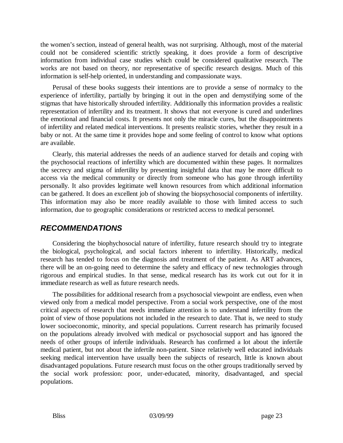the women's section, instead of general health, was not surprising. Although, most of the material could not be considered scientific strictly speaking, it does provide a form of descriptive information from individual case studies which could be considered qualitative research. The works are not based on theory, nor representative of specific research designs. Much of this information is self-help oriented, in understanding and compassionate ways.

Perusal of these books suggests their intentions are to provide a sense of normalcy to the experience of infertility, partially by bringing it out in the open and demystifying some of the stigmas that have historically shrouded infertility. Additionally this information provides a realistic representation of infertility and its treatment. It shows that not everyone is cured and underlines the emotional and financial costs. It presents not only the miracle cures, but the disappointments of infertility and related medical interventions. It presents realistic stories, whether they result in a baby or not. At the same time it provides hope and some feeling of control to know what options are available.

Clearly, this material addresses the needs of an audience starved for details and coping with the psychosocial reactions of infertility which are documented within these pages. It normalizes the secrecy and stigma of infertility by presenting insightful data that may be more difficult to access via the medical community or directly from someone who has gone through infertility personally. It also provides legitimate well known resources from which additional information can be gathered. It does an excellent job of showing the biopsychosocial components of infertility. This information may also be more readily available to those with limited access to such information, due to geographic considerations or restricted access to medical personnel.

# *RECOMMENDATIONS*

Considering the biophychosocial nature of infertility, future research should try to integrate the biological, psychological, and social factors inherent to infertility. Historically, medical research has tended to focus on the diagnosis and treatment of the patient. As ART advances, there will be an on-going need to determine the safety and efficacy of new technologies through rigorous and empirical studies. In that sense, medical research has its work cut out for it in immediate research as well as future research needs.

The possibilities for additional research from a psychosocial viewpoint are endless, even when viewed only from a medical model perspective. From a social work perspective, one of the most critical aspects of research that needs immediate attention is to understand infertility from the point of view of those populations not included in the research to date. That is, we need to study lower socioeconomic, minority, and special populations. Current research has primarily focused on the populations already involved with medical or psychosocial support and has ignored the needs of other groups of infertile individuals. Research has confirmed a lot about the infertile medical patient, but not about the infertile non-patient. Since relatively well educated individuals seeking medical intervention have usually been the subjects of research, little is known about disadvantaged populations. Future research must focus on the other groups traditionally served by the social work profession: poor, under-educated, minority, disadvantaged, and special populations.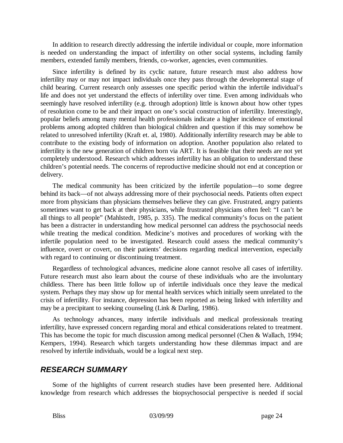In addition to research directly addressing the infertile individual or couple, more information is needed on understanding the impact of infertility on other social systems, including family members, extended family members, friends, co-worker, agencies, even communities.

Since infertility is defined by its cyclic nature, future research must also address how infertility may or may not impact individuals once they pass through the developmental stage of child bearing. Current research only assesses one specific period within the infertile individual's life and does not yet understand the effects of infertility over time. Even among individuals who seemingly have resolved infertility (e.g. through adoption) little is known about how other types of resolution come to be and their impact on one's social construction of infertility. Interestingly, popular beliefs among many mental health professionals indicate a higher incidence of emotional problems among adopted children than biological children and question if this may somehow be related to unresolved infertility (Kraft et. al, 1980). Additionally infertility research may be able to contribute to the existing body of information on adoption. Another population also related to infertility is the new generation of children born via ART. It is feasible that their needs are not yet completely understood. Research which addresses infertility has an obligation to understand these children's potential needs. The concerns of reproductive medicine should not end at conception or delivery.

The medical community has been criticized by the infertile population— to some degree behind its back— of not always addressing more of their psychosocial needs. Patients often expect more from physicians than physicians themselves believe they can give. Frustrated, angry patients sometimes want to get back at their physicians, while frustrated physicians often feel: "I can't be all things to all people" (Mahlstedt, 1985, p. 335). The medical community's focus on the patient has been a distracter in understanding how medical personnel can address the psychosocial needs while treating the medical condition. Medicine's motives and procedures of working with the infertile population need to be investigated. Research could assess the medical community's influence, overt or covert, on their patients' decisions regarding medical intervention, especially with regard to continuing or discontinuing treatment.

Regardless of technological advances, medicine alone cannot resolve all cases of infertility. Future research must also learn about the course of these individuals who are the involuntary childless. There has been little follow up of infertile individuals once they leave the medical system. Perhaps they may show up for mental health services which initially seem unrelated to the crisis of infertility. For instance, depression has been reported as being linked with infertility and may be a precipitant to seeking counseling (Link & Darling, 1986).

As technology advances, many infertile individuals and medical professionals treating infertility, have expressed concern regarding moral and ethical considerations related to treatment. This has become the topic for much discussion among medical personnel (Chen & Wallach, 1994; Kempers, 1994). Research which targets understanding how these dilemmas impact and are resolved by infertile individuals, would be a logical next step.

### *RESEARCH SUMMARY*

Some of the highlights of current research studies have been presented here. Additional knowledge from research which addresses the biopsychosocial perspective is needed if social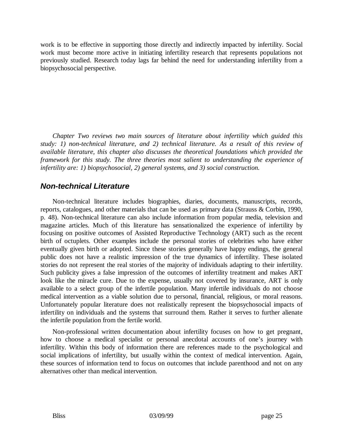work is to be effective in supporting those directly and indirectly impacted by infertility. Social work must become more active in initiating infertility research that represents populations not previously studied. Research today lags far behind the need for understanding infertility from a biopsychosocial perspective.

*Chapter Two reviews two main sources of literature about infertility which guided this study: 1) non-technical literature, and 2) technical literature. As a result of this review of available literature, this chapter also discusses the theoretical foundations which provided the framework for this study. The three theories most salient to understanding the experience of infertility are: 1) biopsychosocial, 2) general systems, and 3) social construction.*

### *Non-technical Literature*

Non-technical literature includes biographies, diaries, documents, manuscripts, records, reports, catalogues, and other materials that can be used as primary data (Strauss & Corbin, 1990, p. 48). Non-technical literature can also include information from popular media, television and magazine articles. Much of this literature has sensationalized the experience of infertility by focusing on positive outcomes of Assisted Reproductive Technology (ART) such as the recent birth of octuplets. Other examples include the personal stories of celebrities who have either eventually given birth or adopted. Since these stories generally have happy endings, the general public does not have a realistic impression of the true dynamics of infertility. These isolated stories do not represent the real stories of the majority of individuals adapting to their infertility. Such publicity gives a false impression of the outcomes of infertility treatment and makes ART look like the miracle cure. Due to the expense, usually not covered by insurance, ART is only available to a select group of the infertile population. Many infertile individuals do not choose medical intervention as a viable solution due to personal, financial, religious, or moral reasons. Unfortunately popular literature does not realistically represent the biopsychosocial impacts of infertility on individuals and the systems that surround them. Rather it serves to further alienate the infertile population from the fertile world.

Non-professional written documentation about infertility focuses on how to get pregnant, how to choose a medical specialist or personal anecdotal accounts of one's journey with infertility. Within this body of information there are references made to the psychological and social implications of infertility, but usually within the context of medical intervention. Again, these sources of information tend to focus on outcomes that include parenthood and not on any alternatives other than medical intervention.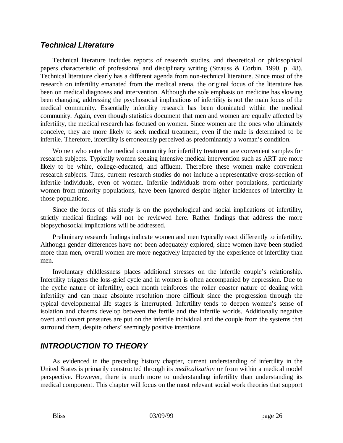### *Technical Literature*

Technical literature includes reports of research studies, and theoretical or philosophical papers characteristic of professional and disciplinary writing (Strauss & Corbin, 1990, p. 48). Technical literature clearly has a different agenda from non-technical literature. Since most of the research on infertility emanated from the medical arena, the original focus of the literature has been on medical diagnoses and intervention. Although the sole emphasis on medicine has slowing been changing, addressing the psychosocial implications of infertility is not the main focus of the medical community. Essentially infertility research has been dominated within the medical community. Again, even though statistics document that men and women are equally affected by infertility, the medical research has focused on women. Since women are the ones who ultimately conceive, they are more likely to seek medical treatment, even if the male is determined to be infertile. Therefore, infertility is erroneously perceived as predominantly a woman's condition.

Women who enter the medical community for infertility treatment are convenient samples for research subjects. Typically women seeking intensive medical intervention such as ART are more likely to be white, college-educated, and affluent. Therefore these women make convenient research subjects. Thus, current research studies do not include a representative cross-section of infertile individuals, even of women. Infertile individuals from other populations, particularly women from minority populations, have been ignored despite higher incidences of infertility in those populations.

Since the focus of this study is on the psychological and social implications of infertility, strictly medical findings will not be reviewed here. Rather findings that address the more biopsychosocial implications will be addressed.

Preliminary research findings indicate women and men typically react differently to infertility. Although gender differences have not been adequately explored, since women have been studied more than men, overall women are more negatively impacted by the experience of infertility than men.

Involuntary childlessness places additional stresses on the infertile couple's relationship. Infertility triggers the loss-grief cycle and in women is often accompanied by depression. Due to the cyclic nature of infertility, each month reinforces the roller coaster nature of dealing with infertility and can make absolute resolution more difficult since the progression through the typical developmental life stages is interrupted. Infertility tends to deepen women's sense of isolation and chasms develop between the fertile and the infertile worlds. Additionally negative overt and covert pressures are put on the infertile individual and the couple from the systems that surround them, despite others' seemingly positive intentions.

# *INTRODUCTION TO THEORY*

As evidenced in the preceding history chapter, current understanding of infertility in the United States is primarily constructed through its *medicalization* or from within a medical model perspective. However, there is much more to understanding infertility than understanding its medical component. This chapter will focus on the most relevant social work theories that support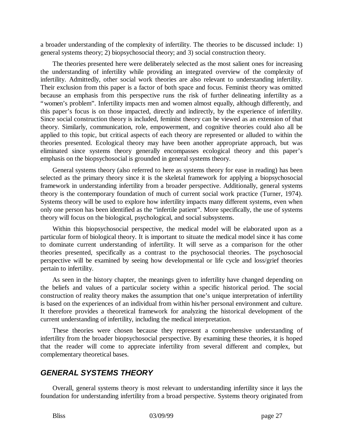a broader understanding of the complexity of infertility. The theories to be discussed include: 1) general systems theory; 2) biopsychosocial theory; and 3) social construction theory.

The theories presented here were deliberately selected as the most salient ones for increasing the understanding of infertility while providing an integrated overview of the complexity of infertility. Admittedly, other social work theories are also relevant to understanding infertility. Their exclusion from this paper is a factor of both space and focus. Feminist theory was omitted because an emphasis from this perspective runs the risk of further delineating infertility as a "women's problem". Infertility impacts men and women almost equally, although differently, and this paper's focus is on those impacted, directly and indirectly, by the experience of infertility. Since social construction theory is included, feminist theory can be viewed as an extension of that theory. Similarly, communication, role, empowerment, and cognitive theories could also all be applied to this topic, but critical aspects of each theory are represented or alluded to within the theories presented. Ecological theory may have been another appropriate approach, but was eliminated since systems theory generally encompasses ecological theory and this paper's emphasis on the biopsychosocial is grounded in general systems theory.

General systems theory (also referred to here as systems theory for ease in reading) has been selected as the primary theory since it is the skeletal framework for applying a biopsychosocial framework in understanding infertility from a broader perspective. Additionally, general systems theory is the contemporary foundation of much of current social work practice (Turner, 1974). Systems theory will be used to explore how infertility impacts many different systems, even when only one person has been identified as the "infertile patient". More specifically, the use of systems theory will focus on the biological, psychological, and social subsystems.

Within this biopsychosocial perspective, the medical model will be elaborated upon as a particular form of biological theory. It is important to situate the medical model since it has come to dominate current understanding of infertility. It will serve as a comparison for the other theories presented, specifically as a contrast to the psychosocial theories. The psychosocial perspective will be examined by seeing how developmental or life cycle and loss/grief theories pertain to infertility.

As seen in the history chapter, the meanings given to infertility have changed depending on the beliefs and values of a particular society within a specific historical period. The social construction of reality theory makes the assumption that one's unique interpretation of infertility is based on the experiences of an individual from within his/her personal environment and culture. It therefore provides a theoretical framework for analyzing the historical development of the current understanding of infertility, including the medical interpretation.

These theories were chosen because they represent a comprehensive understanding of infertility from the broader biopsychosocial perspective. By examining these theories, it is hoped that the reader will come to appreciate infertility from several different and complex, but complementary theoretical bases.

# *GENERAL SYSTEMS THEORY*

Overall, general systems theory is most relevant to understanding infertility since it lays the foundation for understanding infertility from a broad perspective. Systems theory originated from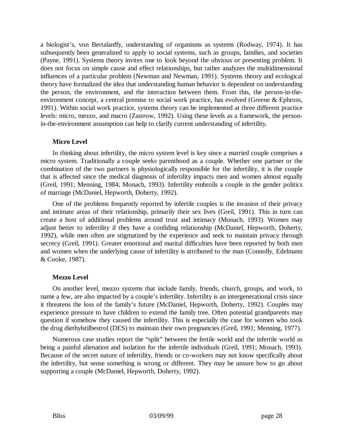a biologist's, von Bertalanffy, understanding of organisms as systems (Rodway, 1974). It has subsequently been generalized to apply to social systems, such as groups, families, and societies (Payne, 1991). Systems theory invites one to look beyond the obvious or presenting problem. It does not focus on simple cause and effect relationships, but rather analyzes the multidimensional influences of a particular problem (Newman and Newman, 1991). Systems theory and ecological theory have formalized the idea that understanding human behavior is dependent on understanding the person, the environment, and the interaction between them. From this, the person-in-theenvironment concept, a central premise to social work practice, has evolved (Greene & Ephross, 1991). Within social work practice, systems theory can be implemented at three different practice levels: micro, mezzo, and macro (Zastrow, 1992). Using these levels as a framework, the personin-the-environment assumption can help to clarify current understanding of infertility.

### **Micro Level**

In thinking about infertility, the micro system level is key since a married couple comprises a micro system. Traditionally a couple seeks parenthood as a couple. Whether one partner or the combination of the two partners is physiologically responsible for the infertility, it is the couple that is affected since the medical diagnosis of infertility impacts men and women almost equally (Greil, 1991; Menning, 1984; Monach, 1993). Infertility embroils a couple in the gender politics of marriage (McDaniel, Hepworth, Doherty, 1992).

One of the problems frequently reported by infertile couples is the invasion of their privacy and intimate areas of their relationship, primarily their sex lives (Greil, 1991). This in turn can create a host of additional problems around trust and intimacy (Monach, 1993). Women may adjust better to infertility if they have a confiding relationship (McDaniel, Hepworth, Doherty, 1992), while men often are stigmatized by the experience and seek to maintain privacy through secrecy (Greil, 1991). Greater emotional and marital difficulties have been reported by both men and women when the underlying cause of infertility is attributed to the man (Connolly, Edelmann & Cooke, 1987).

### **Mezzo Level**

On another level, mezzo systems that include family, friends, church, groups, and work, to name a few, are also impacted by a couple's infertility. Infertility is an intergenerational crisis since it threatens the loss of the family's future (McDaniel, Hepworth, Doherty, 1992). Couples may experience pressure to have children to extend the family tree. Often potential grandparents may question if somehow they caused the infertility. This is especially the case for women who took the drug diethylstilbestrol (DES) to maintain their own pregnancies (Greil, 1991; Menning, 1977).

Numerous case studies report the "split" between the fertile world and the infertile world as being a painful alienation and isolation for the infertile individuals (Greil, 1991; Monach, 1993). Because of the secret nature of infertility, friends or co-workers may not know specifically about the infertility, but sense something is wrong or different. They may be unsure how to go about supporting a couple (McDaniel, Hepworth, Doherty, 1992).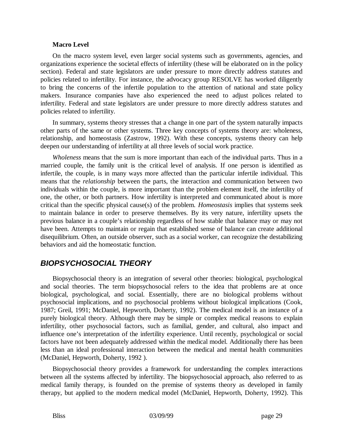#### **Macro Level**

On the macro system level, even larger social systems such as governments, agencies, and organizations experience the societal effects of infertility (these will be elaborated on in the policy section). Federal and state legislators are under pressure to more directly address statutes and policies related to infertility. For instance, the advocacy group RESOLVE has worked diligently to bring the concerns of the infertile population to the attention of national and state policy makers. Insurance companies have also experienced the need to adjust polices related to infertility. Federal and state legislators are under pressure to more directly address statutes and policies related to infertility.

In summary, systems theory stresses that a change in one part of the system naturally impacts other parts of the same or other systems. Three key concepts of systems theory are: wholeness, relationship, and homeostasis (Zastrow, 1992). With these concepts, systems theory can help deepen our understanding of infertility at all three levels of social work practice.

*Wholeness* means that the sum is more important than each of the individual parts. Thus in a married couple, the family unit is the critical level of analysis. If one person is identified as infertile, the couple, is in many ways more affected than the particular infertile individual. This means that the *relationship* between the parts, the interaction and communication between two individuals within the couple, is more important than the problem element itself, the infertility of one, the other, or both partners. How infertility is interpreted and communicated about is more critical than the specific physical cause(s) of the problem. *Homeostasis* implies that systems seek to maintain balance in order to preserve themselves. By its very nature, infertility upsets the previous balance in a couple's relationship regardless of how stable that balance may or may not have been. Attempts to maintain or regain that established sense of balance can create additional disequilibrium. Often, an outside observer, such as a social worker, can recognize the destabilizing behaviors and aid the homeostatic function.

### *BIOPSYCHOSOCIAL THEORY*

Biopsychosocial theory is an integration of several other theories: biological, psychological and social theories. The term biopsychosocial refers to the idea that problems are at once biological, psychological, and social. Essentially, there are no biological problems without psychosocial implications, and no psychosocial problems without biological implications (Cook, 1987; Greil, 1991; McDaniel, Hepworth, Doherty, 1992). The medical model is an instance of a purely biological theory. Although there may be simple or complex medical reasons to explain infertility, other psychosocial factors, such as familial, gender, and cultural, also impact and influence one's interpretation of the infertility experience. Until recently, psychological or social factors have not been adequately addressed within the medical model. Additionally there has been less than an ideal professional interaction between the medical and mental health communities (McDaniel, Hepworth, Doherty, 1992 ).

Biopsychosocial theory provides a framework for understanding the complex interactions between all the systems affected by infertility. The biopsychosocial approach, also referred to as medical family therapy, is founded on the premise of systems theory as developed in family therapy, but applied to the modern medical model (McDaniel, Hepworth, Doherty, 1992). This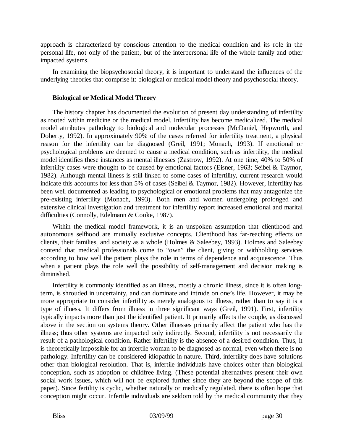approach is characterized by conscious attention to the medical condition and its role in the personal life, not only of the patient, but of the interpersonal life of the whole family and other impacted systems.

In examining the biopsychosocial theory, it is important to understand the influences of the underlying theories that comprise it: biological or medical model theory and psychosocial theory.

#### **Biological or Medical Model Theory**

The history chapter has documented the evolution of present day understanding of infertility as rooted within medicine or the medical model. Infertility has become medicalized. The medical model attributes pathology to biological and molecular processes (McDaniel, Hepworth, and Doherty, 1992). In approximately 90% of the cases referred for infertility treatment, a physical reason for the infertility can be diagnosed (Greil, 1991; Monach, 1993). If emotional or psychological problems are deemed to cause a medical condition, such as infertility, the medical model identifies these instances as mental illnesses (Zastrow, 1992). At one time, 40% to 50% of infertility cases were thought to be caused by emotional factors (Eisner, 1963; Seibel & Taymor, 1982). Although mental illness is still linked to some cases of infertility, current research would indicate this accounts for less than 5% of cases (Seibel & Taymor, 1982). However, infertility has been well documented as leading to psychological or emotional problems that may antagonize the pre-existing infertility (Monach, 1993). Both men and women undergoing prolonged and extensive clinical investigation and treatment for infertility report increased emotional and marital difficulties (Connolly, Edelmann & Cooke, 1987).

Within the medical model framework, it is an unspoken assumption that clienthood and autonomous selfhood are mutually exclusive concepts. Clienthood has far-reaching effects on clients, their families, and society as a whole (Holmes & Saleebey, 1993). Holmes and Saleebey contend that medical professionals come to "own" the client, giving or withholding services according to how well the patient plays the role in terms of dependence and acquiescence. Thus when a patient plays the role well the possibility of self-management and decision making is diminished.

Infertility is commonly identified as an illness, mostly a chronic illness, since it is often longterm, is shrouded in uncertainty, and can dominate and intrude on one's life. However, it may be more appropriate to consider infertility as merely analogous to illness, rather than to say it is a type of illness. It differs from illness in three significant ways (Greil, 1991). First, infertility typically impacts more than just the identified patient. It primarily affects the couple, as discussed above in the section on systems theory. Other illnesses primarily affect the patient who has the illness; thus other systems are impacted only indirectly. Second, infertility is not necessarily the result of a pathological condition. Rather infertility is the absence of a desired condition. Thus, it is theoretically impossible for an infertile woman to be diagnosed as normal, even when there is no pathology. Infertility can be considered idiopathic in nature. Third, infertility does have solutions other than biological resolution. That is, infertile individuals have choices other than biological conception, such as adoption or childfree living. (These potential alternatives present their own social work issues, which will not be explored further since they are beyond the scope of this paper). Since fertility is cyclic, whether naturally or medically regulated, there is often hope that conception might occur. Infertile individuals are seldom told by the medical community that they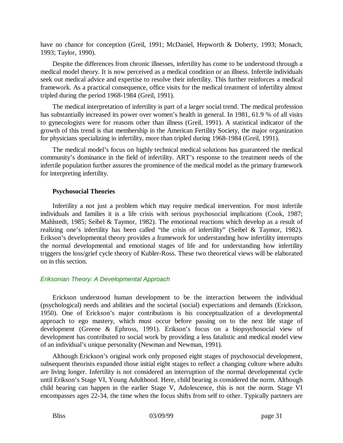have no chance for conception (Greil, 1991; McDaniel, Hepworth & Doherty, 1993; Monach, 1993; Taylor, 1990).

Despite the differences from chronic illnesses, infertility has come to be understood through a medical model theory. It is now perceived as a medical condition or an illness. Infertile individuals seek out medical advice and expertise to resolve their infertility. This further reinforces a medical framework. As a practical consequence, office visits for the medical treatment of infertility almost tripled during the period 1968-1984 (Greil, 1991).

The medical interpretation of infertility is part of a larger social trend. The medical profession has substantially increased its power over women's health in general. In 1981, 61.9 % of all visits to gynecologists were for reasons other than illness (Greil, 1991). A statistical indicator of the growth of this trend is that membership in the American Fertility Society, the major organization for physicians specializing in infertility, more than tripled during 1968-1984 (Greil, 1991).

The medical model's focus on highly technical medical solutions has guaranteed the medical community's dominance in the field of infertility. ART's response to the treatment needs of the infertile population further assures the prominence of the medical model as the primary framework for interpreting infertility.

### **Psychosocial Theories**

Infertility a not just a problem which may require medical intervention. For most infertile individuals and families it is a life crisis with serious psychosocial implications (Cook, 1987; Mahlstedt, 1985; Seibel & Taymor, 1982). The emotional reactions which develop as a result of realizing one's infertility has been called "the crisis of infertility" (Seibel & Taymor, 1982). Erikson's developmental theory provides a framework for understanding how infertility interrupts the normal developmental and emotional stages of life and for understanding how infertility triggers the loss/grief cycle theory of Kubler-Ross. These two theoretical views will be elaborated on in this section.

### *Eriksonian Theory: A Developmental Approach*

Erickson understood human development to be the interaction between the individual (psychological) needs and abilities and the societal (social) expectations and demands (Erickson, 1950). One of Erickson's major contributions is his conceptualization of a developmental approach to ego mastery, which must occur before passing on to the next life stage of development (Greene & Ephross, 1991). Erikson's focus on a biopsychosocial view of development has contributed to social work by providing a less fatalistic and medical model view of an individual's unique personality (Newman and Newman, 1991).

Although Erickson's original work only proposed eight stages of psychosocial development, subsequent theorists expanded those initial eight stages to reflect a changing culture where adults are living longer. Infertility is not considered an interruption of the normal developmental cycle until Erikson's Stage VI, Young Adulthood. Here, child bearing is considered the norm. Although child bearing can happen in the earlier Stage V, Adolescence, this is not the norm. Stage VI encompasses ages 22-34, the time when the focus shifts from self to other. Typically partners are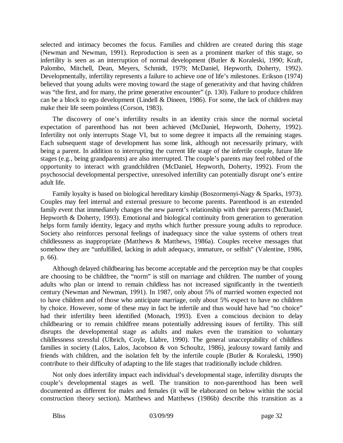selected and intimacy becomes the focus. Families and children are created during this stage (Newman and Newman, 1991). Reproduction is seen as a prominent marker of this stage, so infertility is seen as an interruption of normal development (Butler & Koraleski, 1990; Kraft, Palombo, Mitchell, Dean, Meyers, Schmidt, 1979; McDaniel, Hepworth, Doherty, 1992). Developmentally, infertility represents a failure to achieve one of life's milestones. Erikson (1974) believed that young adults were moving toward the stage of generativity and that having children was "the first, and for many, the prime generative encounter" (p. 130). Failure to produce children can be a block to ego development (Lindell & Dineen, 1986). For some, the lack of children may make their life seem pointless (Corson, 1983).

The discovery of one's infertility results in an identity crisis since the normal societal expectation of parenthood has not been achieved (McDaniel, Hepworth, Doherty, 1992). Infertility not only interrupts Stage VI, but to some degree it impacts all the remaining stages. Each subsequent stage of development has some link, although not necessarily primary, with being a parent. In addition to interrupting the current life stage of the infertile couple, future life stages (e.g., being grandparents) are also interrupted. The couple's parents may feel robbed of the opportunity to interact with grandchildren (McDaniel, Hepworth, Doherty, 1992). From the psychosocial developmental perspective, unresolved infertility can potentially disrupt one's entire adult life.

Family loyalty is based on biological hereditary kinship (Boszormenyi-Nagy & Sparks, 1973). Couples may feel internal and external pressure to become parents. Parenthood is an extended family event that immediately changes the new parent's relationship with their parents (McDaniel, Hepworth & Doherty, 1993). Emotional and biological continuity from generation to generation helps form family identity, legacy and myths which further pressure young adults to reproduce. Society also reinforces personal feelings of inadequacy since the value systems of others treat childlessness as inappropriate (Matthews & Matthews, 1986a). Couples receive messages that somehow they are "unfulfilled, lacking in adult adequacy, immature, or selfish" (Valentine, 1986, p. 66).

Although delayed childbearing has become acceptable and the perception may be that couples are choosing to be childfree, the "norm" is still on marriage and children. The number of young adults who plan or intend to remain childless has not increased significantly in the twentieth century (Newman and Newman, 1991). In 1987, only about 5% of married women expected not to have children and of those who anticipate marriage, only about 5% expect to have no children by choice. However, some of these may in fact be infertile and thus would have had "no choice" had their infertility been identified (Monach, 1993). Even a conscious decision to delay childbearing or to remain childfree means potentially addressing issues of fertility. This still disrupts the developmental stage as adults and makes even the transition to voluntary childlessness stressful (Ulbrich, Coyle, Llabre, 1990). The general unacceptability of childless families in society (Lalos, Lalos, Jacobson & von Schoultz, 1986), jealousy toward family and friends with children, and the isolation felt by the infertile couple (Butler & Koraleski, 1990) contribute to their difficulty of adapting to the life stages that traditionally include children.

Not only does infertility impact each individual's developmental stage, infertility disrupts the couple's developmental stages as well. The transition to non-parenthood has been well documented as different for males and females (it will be elaborated on below within the social construction theory section). Matthews and Matthews (1986b) describe this transition as a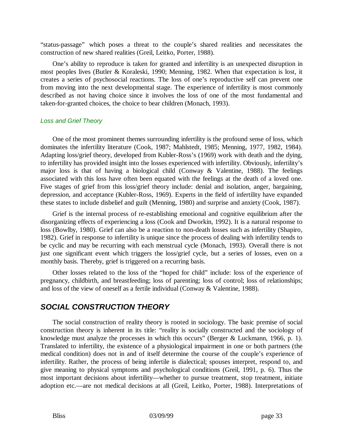"status-passage" which poses a threat to the couple's shared realities and necessitates the construction of new shared realities (Greil, Leitko, Porter, 1988).

One's ability to reproduce is taken for granted and infertility is an unexpected disruption in most peoples lives (Butler & Koraleski, 1990; Menning, 1982. When that expectation is lost, it creates a series of psychosocial reactions. The loss of one's reproductive self can prevent one from moving into the next developmental stage. The experience of infertility is most commonly described as not having choice since it involves the loss of one of the most fundamental and taken-for-granted choices, the choice to bear children (Monach, 1993).

#### *Loss and Grief Theory*

One of the most prominent themes surrounding infertility is the profound sense of loss, which dominates the infertility literature (Cook, 1987; Mahlstedt, 1985; Menning, 1977, 1982, 1984). Adapting loss/grief theory, developed from Kubler-Ross's (1969) work with death and the dying, to infertility has provided insight into the losses experienced with infertility. Obviously, infertility's major loss is that of having a biological child (Conway & Valentine, 1988). The feelings associated with this loss have often been equated with the feelings at the death of a loved one. Five stages of grief from this loss/grief theory include: denial and isolation, anger, bargaining, depression, and acceptance (Kubler-Ross, 1969). Experts in the field of infertility have expanded these states to include disbelief and guilt (Menning, 1980) and surprise and anxiety (Cook, 1987).

Grief is the internal process of re-establishing emotional and cognitive equilibrium after the disorganizing effects of experiencing a loss (Cook and Dworkin, 1992). It is a natural response to loss (Bowlby, 1980). Grief can also be a reaction to non-death losses such as infertility (Shapiro, 1982). Grief in response to infertility is unique since the process of dealing with infertility tends to be cyclic and may be recurring with each menstrual cycle (Monach, 1993). Overall there is not just one significant event which triggers the loss/grief cycle, but a series of losses, even on a monthly basis. Thereby, grief is triggered on a recurring basis.

Other losses related to the loss of the "hoped for child" include: loss of the experience of pregnancy, childbirth, and breastfeeding; loss of parenting; loss of control; loss of relationships; and loss of the view of oneself as a fertile individual (Conway & Valentine, 1988).

# *SOCIAL CONSTRUCTION THEORY*

The social construction of reality theory is rooted in sociology. The basic premise of social construction theory is inherent in its title: "reality is socially constructed and the sociology of knowledge must analyze the processes in which this occurs" (Berger & Luckmann, 1966, p. 1). Translated to infertility, the existence of a physiological impairment in one or both partners (the medical condition) does not in and of itself determine the course of the couple's experience of infertility. Rather, the process of being infertile is dialectical; spouses interpret, respond to, and give meaning to physical symptoms and psychological conditions (Greil, 1991, p. 6). Thus the most important decisions about infertility— whether to pursue treatment, stop treatment, initiate adoption etc.— are not medical decisions at all (Greil, Leitko, Porter, 1988). Interpretations of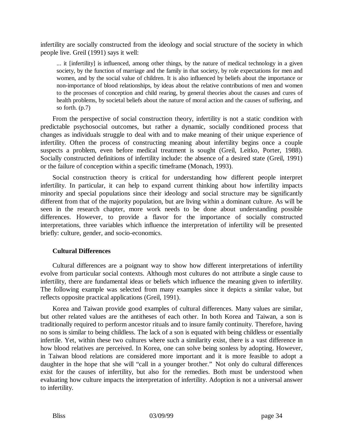infertility are socially constructed from the ideology and social structure of the society in which people live. Greil (1991) says it well:

... it [infertility] is influenced, among other things, by the nature of medical technology in a given society, by the function of marriage and the family in that society, by role expectations for men and women, and by the social value of children. It is also influenced by beliefs about the importance or non-importance of blood relationships, by ideas about the relative contributions of men and women to the processes of conception and child rearing, by general theories about the causes and cures of health problems, by societal beliefs about the nature of moral action and the causes of suffering, and so forth. (p.7)

From the perspective of social construction theory, infertility is not a static condition with predictable psychosocial outcomes, but rather a dynamic, socially conditioned process that changes as individuals struggle to deal with and to make meaning of their unique experience of infertility. Often the process of constructing meaning about infertility begins once a couple suspects a problem, even before medical treatment is sought (Greil, Leitko, Porter, 1988). Socially constructed definitions of infertility include: the absence of a desired state (Greil, 1991) or the failure of conception within a specific timeframe (Monach, 1993).

Social construction theory is critical for understanding how different people interpret infertility. In particular, it can help to expand current thinking about how infertility impacts minority and special populations since their ideology and social structure may be significantly different from that of the majority population, but are living within a dominant culture. As will be seen in the research chapter, more work needs to be done about understanding possible differences. However, to provide a flavor for the importance of socially constructed interpretations, three variables which influence the interpretation of infertility will be presented briefly: culture, gender, and socio-economics.

#### **Cultural Differences**

Cultural differences are a poignant way to show how different interpretations of infertility evolve from particular social contexts. Although most cultures do not attribute a single cause to infertility, there are fundamental ideas or beliefs which influence the meaning given to infertility. The following example was selected from many examples since it depicts a similar value, but reflects opposite practical applications (Greil, 1991).

Korea and Taiwan provide good examples of cultural differences. Many values are similar, but other related values are the antitheses of each other. In both Korea and Taiwan, a son is traditionally required to perform ancestor rituals and to insure family continuity. Therefore, having no sons is similar to being childless. The lack of a son is equated with being childless or essentially infertile. Yet, within these two cultures where such a similarity exist, there is a vast difference in how blood relatives are perceived. In Korea, one can solve being sonless by adopting. However, in Taiwan blood relations are considered more important and it is more feasible to adopt a daughter in the hope that she will "call in a younger brother." Not only do cultural differences exist for the causes of infertility, but also for the remedies. Both must be understood when evaluating how culture impacts the interpretation of infertility. Adoption is not a universal answer to infertility.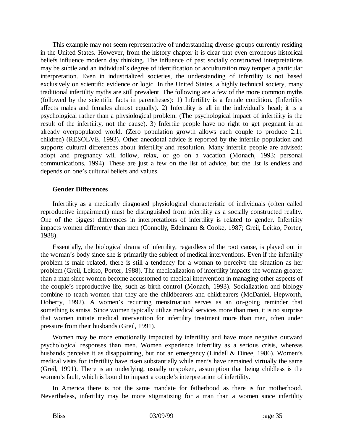This example may not seem representative of understanding diverse groups currently residing in the United States. However, from the history chapter it is clear that even erroneous historical beliefs influence modern day thinking. The influence of past socially constructed interpretations may be subtle and an individual's degree of identification or acculturation may temper a particular interpretation. Even in industrialized societies, the understanding of infertility is not based exclusively on scientific evidence or logic. In the United States, a highly technical society, many traditional infertility myths are still prevalent. The following are a few of the more common myths (followed by the scientific facts in parentheses): 1) Infertility is a female condition. (Infertility affects males and females almost equally). 2) Infertility is all in the individual's head; it is a psychological rather than a physiological problem. (The psychological impact of infertility is the result of the infertility, not the cause). 3) Infertile people have no right to get pregnant in an already overpopulated world. (Zero population growth allows each couple to produce 2.11 children) (RESOLVE, 1993). Other anecdotal advice is reported by the infertile population and supports cultural differences about infertility and resolution. Many infertile people are advised: adopt and pregnancy will follow, relax, or go on a vacation (Monach, 1993; personal communications, 1994). These are just a few on the list of advice, but the list is endless and depends on one's cultural beliefs and values.

#### **Gender Differences**

Infertility as a medically diagnosed physiological characteristic of individuals (often called reproductive impairment) must be distinguished from infertility as a socially constructed reality. One of the biggest differences in interpretations of infertility is related to gender. Infertility impacts women differently than men (Connolly, Edelmann & Cooke, 1987; Greil, Leitko, Porter, 1988).

Essentially, the biological drama of infertility, regardless of the root cause, is played out in the woman's body since she is primarily the subject of medical interventions. Even if the infertility problem is male related, there is still a tendency for a woman to perceive the situation as her problem (Greil, Leitko, Porter, 1988). The medicalization of infertility impacts the woman greater than a man since women become accustomed to medical intervention in managing other aspects of the couple's reproductive life, such as birth control (Monach, 1993). Socialization and biology combine to teach women that they are the childbearers and childrearers (McDaniel, Hepworth, Doherty, 1992). A women's recurring menstruation serves as an on-going reminder that something is amiss. Since women typically utilize medical services more than men, it is no surprise that women initiate medical intervention for infertility treatment more than men, often under pressure from their husbands (Greil, 1991).

Women may be more emotionally impacted by infertility and have more negative outward psychological responses than men. Women experience infertility as a serious crisis, whereas husbands perceive it as disappointing, but not an emergency (Lindell & Dinee, 1986). Women's medical visits for infertility have risen substantially while men's have remained virtually the same (Greil, 1991). There is an underlying, usually unspoken, assumption that being childless is the women's fault, which is bound to impact a couple's interpretation of infertility.

In America there is not the same mandate for fatherhood as there is for motherhood. Nevertheless, infertility may be more stigmatizing for a man than a women since infertility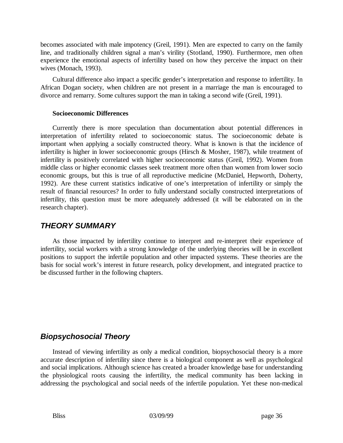becomes associated with male impotency (Greil, 1991). Men are expected to carry on the family line, and traditionally children signal a man's virility (Stotland, 1990). Furthermore, men often experience the emotional aspects of infertility based on how they perceive the impact on their wives (Monach, 1993).

Cultural difference also impact a specific gender's interpretation and response to infertility. In African Dogan society, when children are not present in a marriage the man is encouraged to divorce and remarry. Some cultures support the man in taking a second wife (Greil, 1991).

#### **Socioeconomic Differences**

Currently there is more speculation than documentation about potential differences in interpretation of infertility related to socioeconomic status. The socioeconomic debate is important when applying a socially constructed theory. What is known is that the incidence of infertility is higher in lower socioeconomic groups (Hirsch & Mosher, 1987), while treatment of infertility is positively correlated with higher socioeconomic status (Greil, 1992). Women from middle class or higher economic classes seek treatment more often than women from lower socio economic groups, but this is true of all reproductive medicine (McDaniel, Hepworth, Doherty, 1992). Are these current statistics indicative of one's interpretation of infertility or simply the result of financial resources? In order to fully understand socially constructed interpretations of infertility, this question must be more adequately addressed (it will be elaborated on in the research chapter).

## *THEORY SUMMARY*

As those impacted by infertility continue to interpret and re-interpret their experience of infertility, social workers with a strong knowledge of the underlying theories will be in excellent positions to support the infertile population and other impacted systems. These theories are the basis for social work's interest in future research, policy development, and integrated practice to be discussed further in the following chapters.

### *Biopsychosocial Theory*

Instead of viewing infertility as only a medical condition, biopsychosocial theory is a more accurate description of infertility since there is a biological component as well as psychological and social implications. Although science has created a broader knowledge base for understanding the physiological roots causing the infertility, the medical community has been lacking in addressing the psychological and social needs of the infertile population. Yet these non-medical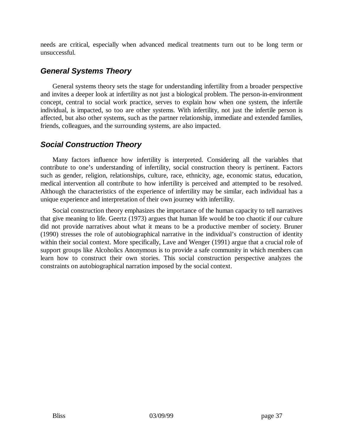needs are critical, especially when advanced medical treatments turn out to be long term or unsuccessful.

# *General Systems Theory*

General systems theory sets the stage for understanding infertility from a broader perspective and invites a deeper look at infertility as not just a biological problem. The person-in-environment concept, central to social work practice, serves to explain how when one system, the infertile individual, is impacted, so too are other systems. With infertility, not just the infertile person is affected, but also other systems, such as the partner relationship, immediate and extended families, friends, colleagues, and the surrounding systems, are also impacted.

# *Social Construction Theory*

Many factors influence how infertility is interpreted. Considering all the variables that contribute to one's understanding of infertility, social construction theory is pertinent. Factors such as gender, religion, relationships, culture, race, ethnicity, age, economic status, education, medical intervention all contribute to how infertility is perceived and attempted to be resolved. Although the characteristics of the experience of infertility may be similar, each individual has a unique experience and interpretation of their own journey with infertility.

Social construction theory emphasizes the importance of the human capacity to tell narratives that give meaning to life. Geertz (1973) argues that human life would be too chaotic if our culture did not provide narratives about what it means to be a productive member of society. Bruner (1990) stresses the role of autobiographical narrative in the individual's construction of identity within their social context. More specifically, Lave and Wenger (1991) argue that a crucial role of support groups like Alcoholics Anonymous is to provide a safe community in which members can learn how to construct their own stories. This social construction perspective analyzes the constraints on autobiographical narration imposed by the social context.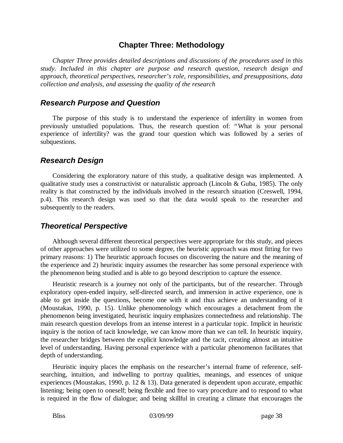# **Chapter Three: Methodology**

*Chapter Three provides detailed descriptions and discussions of the procedures used in this study. Included in this chapter are purpose and research question, research design and approach, theoretical perspectives, researcher's role, responsibilities, and presuppositions, data collection and analysis, and assessing the quality of the research*

## *Research Purpose and Question*

The purpose of this study is to understand the experience of infertility in women from previously unstudied populations. Thus, the research question of: "What is your personal experience of infertility? was the grand tour question which was followed by a series of subquestions.

## *Research Design*

Considering the exploratory nature of this study, a qualitative design was implemented. A qualitative study uses a constructivist or naturalistic approach (Lincoln & Guba, 1985). The only reality is that constructed by the individuals involved in the research situation (Creswell, 1994, p.4). This research design was used so that the data would speak to the researcher and subsequently to the readers.

# *Theoretical Perspective*

Although several different theoretical perspectives were appropriate for this study, and pieces of other approaches were utilized to some degree, the heuristic approach was most fitting for two primary reasons: 1) The heuristic approach focuses on discovering the nature and the meaning of the experience and 2) heuristic inquiry assumes the researcher has some personal experience with the phenomenon being studied and is able to go beyond description to capture the essence.

Heuristic research is a journey not only of the participants, but of the researcher. Through exploratory open-ended inquiry, self-directed search, and immersion in active experience, one is able to get inside the questions, become one with it and thus achieve an understanding of it (Moustakas, 1990, p. 15). Unlike phenomenology which encourages a detachment from the phenomenon being investigated, heuristic inquiry emphasizes connectedness and relationship. The main research question develops from an intense interest in a particular topic. Implicit in heuristic inquiry is the notion of tacit knowledge, we can know more than we can tell. In heuristic inquiry, the researcher bridges between the explicit knowledge and the tacit, creating almost an intuitive level of understanding. Having personal experience with a particular phenomenon facilitates that depth of understanding.

Heuristic inquiry places the emphasis on the researcher's internal frame of reference, selfsearching, intuition, and indwelling to portray qualities, meanings, and essences of unique experiences (Moustakas, 1990, p. 12 & 13). Data generated is dependent upon accurate, empathic listening; being open to oneself; being flexible and free to vary procedure and to respond to what is required in the flow of dialogue; and being skillful in creating a climate that encourages the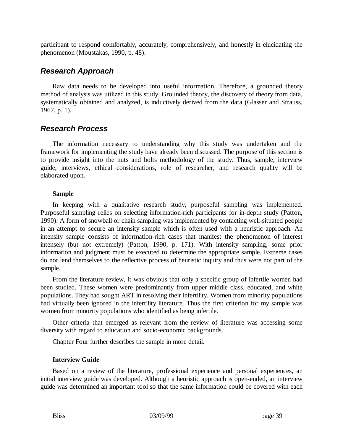participant to respond comfortably, accurately, comprehensively, and honestly in elucidating the phenomenon (Moustakas, 1990, p. 48).

# *Research Approach*

Raw data needs to be developed into useful information. Therefore, a grounded theory method of analysis was utilized in this study. Grounded theory, the discovery of theory from data, systematically obtained and analyzed, is inductively derived from the data (Glasser and Strauss, 1967, p. 1).

# *Research Process*

The information necessary to understanding why this study was undertaken and the framework for implementing the study have already been discussed. The purpose of this section is to provide insight into the nuts and bolts methodology of the study. Thus, sample, interview guide, interviews, ethical considerations, role of researcher, and research quality will be elaborated upon.

## **Sample**

In keeping with a qualitative research study, purposeful sampling was implemented. Purposeful sampling relies on selecting information-rich participants for in-depth study (Patton, 1990). A form of snowball or chain sampling was implemented by contacting well-situated people in an attempt to secure an intensity sample which is often used with a heuristic approach. An intensity sample consists of information-rich cases that manifest the phenomenon of interest intensely (but not extremely) (Patton, 1990, p. 171). With intensity sampling, some prior information and judgment must be executed to determine the appropriate sample. Extreme cases do not lend themselves to the reflective process of heuristic inquiry and thus were not part of the sample.

From the literature review, it was obvious that only a specific group of infertile women had been studied. These women were predominantly from upper middle class, educated, and white populations. They had sought ART in resolving their infertility. Women from minority populations had virtually been ignored in the infertility literature. Thus the first criterion for my sample was women from minority populations who identified as being infertile.

Other criteria that emerged as relevant from the review of literature was accessing some diversity with regard to education and socio-economic backgrounds.

Chapter Four further describes the sample in more detail.

## **Interview Guide**

Based on a review of the literature, professional experience and personal experiences, an initial interview guide was developed. Although a heuristic approach is open-ended, an interview guide was determined an important tool so that the same information could be covered with each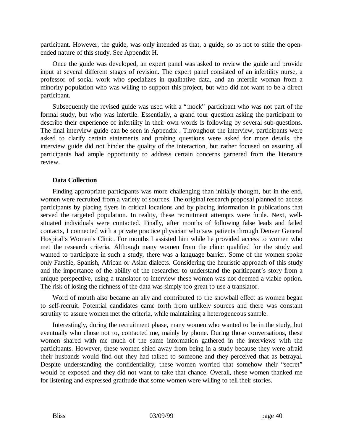participant. However, the guide, was only intended as that, a guide, so as not to stifle the openended nature of this study. See Appendix H.

Once the guide was developed, an expert panel was asked to review the guide and provide input at several different stages of revision. The expert panel consisted of an infertility nurse, a professor of social work who specializes in qualitative data, and an infertile woman from a minority population who was willing to support this project, but who did not want to be a direct participant.

Subsequently the revised guide was used with a "mock" participant who was not part of the formal study, but who was infertile. Essentially, a grand tour question asking the participant to describe their experience of infertility in their own words is following by several sub-questions. The final interview guide can be seen in Appendix . Throughout the interview, participants were asked to clarify certain statements and probing questions were asked for more details. the interview guide did not hinder the quality of the interaction, but rather focused on assuring all participants had ample opportunity to address certain concerns garnered from the literature review.

## **Data Collection**

Finding appropriate participants was more challenging than initially thought, but in the end, women were recruited from a variety of sources. The original research proposal planned to access participants by placing flyers in critical locations and by placing information in publications that served the targeted population. In reality, these recruitment attempts were futile. Next, wellsituated individuals were contacted. Finally, after months of following false leads and failed contacts, I connected with a private practice physician who saw patients through Denver General Hospital's Women's Clinic. For months I assisted him while he provided access to women who met the research criteria. Although many women from the clinic qualified for the study and wanted to participate in such a study, there was a language barrier. Some of the women spoke only Farshie, Spanish, African or Asian dialects. Considering the heuristic approach of this study and the importance of the ability of the researcher to understand the pariticpant's story from a unique perspective, using a translator to interview these women was not deemed a viable option. The risk of losing the richness of the data was simply too great to use a translator.

Word of mouth also became an ally and contributed to the snowball effect as women began to self-recruit. Potential candidates came forth from unlikely sources and there was constant scrutiny to assure women met the criteria, while maintaining a heterogeneous sample.

Interestingly, during the recruitment phase, many women who wanted to be in the study, but eventually who chose not to, contacted me, mainly by phone. During those conversations, these women shared with me much of the same information gathered in the interviews with the participants. However, these women shied away from being in a study because they were afraid their husbands would find out they had talked to someone and they perceived that as betrayal. Despite understanding the confidentiality, these women worried that somehow their "secret" would be exposed and they did not want to take that chance. Overall, these women thanked me for listening and expressed gratitude that some women were willing to tell their stories.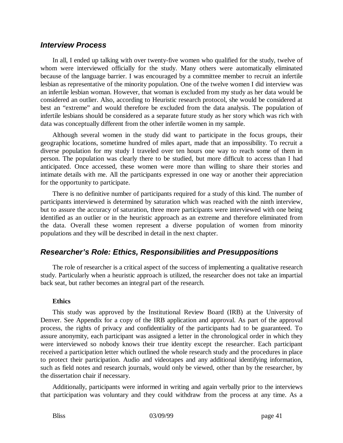## *Interview Process*

In all, I ended up talking with over twenty-five women who qualified for the study, twelve of whom were interviewed officially for the study. Many others were automatically eliminated because of the language barrier. I was encouraged by a committee member to recruit an infertile lesbian as representative of the minority population. One of the twelve women I did interview was an infertile lesbian woman. However, that woman is excluded from my study as her data would be considered an outlier. Also, according to Heuristic research protocol, she would be considered at best an "extreme" and would therefore be excluded from the data analysis. The population of infertile lesbians should be considered as a separate future study as her story which was rich with data was conceptually different from the other infertile women in my sample.

Although several women in the study did want to participate in the focus groups, their geographic locations, sometime hundred of miles apart, made that an impossibility. To recruit a diverse population for my study I traveled over ten hours one way to reach some of them in person. The population was clearly there to be studied, but more difficult to access than I had anticipated. Once accessed, these women were more than willing to share their stories and intimate details with me. All the participants expressed in one way or another their appreciation for the opportunity to participate.

There is no definitive number of participants required for a study of this kind. The number of participants interviewed is determined by saturation which was reached with the ninth interview, but to assure the accuracy of saturation, three more participants were interviewed with one being identified as an outlier or in the heuristic approach as an extreme and therefore eliminated from the data. Overall these women represent a diverse population of women from minority populations and they will be described in detail in the next chapter.

# *Researcher's Role: Ethics, Responsibilities and Presuppositions*

The role of researcher is a critical aspect of the success of implementing a qualitative research study. Particularly when a heuristic approach is utilized, the researcher does not take an impartial back seat, but rather becomes an integral part of the research.

## **Ethics**

This study was approved by the Institutional Review Board (IRB) at the University of Denver. See Appendix for a copy of the IRB application and approval. As part of the approval process, the rights of privacy and confidentiality of the participants had to be guaranteed. To assure anonymity, each participant was assigned a letter in the chronological order in which they were interviewed so nobody knows their true identity except the researcher. Each participant received a participation letter which outlined the whole research study and the procedures in place to protect their participation. Audio and videotapes and any additional identifying information, such as field notes and research journals, would only be viewed, other than by the researcher, by the dissertation chair if necessary.

Additionally, participants were informed in writing and again verbally prior to the interviews that participation was voluntary and they could withdraw from the process at any time. As a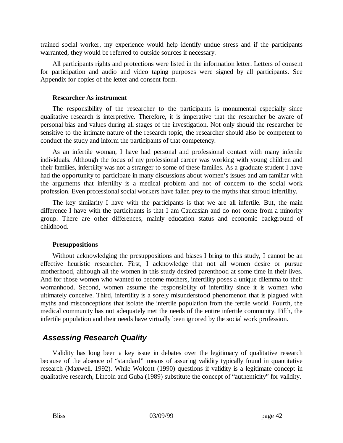trained social worker, my experience would help identify undue stress and if the participants warranted, they would be referred to outside sources if necessary.

All participants rights and protections were listed in the information letter. Letters of consent for participation and audio and video taping purposes were signed by all participants. See Appendix for copies of the letter and consent form.

### **Researcher As instrument**

The responsibility of the researcher to the participants is monumental especially since qualitative research is interpretive. Therefore, it is imperative that the researcher be aware of personal bias and values during all stages of the investigation. Not only should the researcher be sensitive to the intimate nature of the research topic, the researcher should also be competent to conduct the study and inform the participants of that competency.

As an infertile woman, I have had personal and professional contact with many infertile individuals. Although the focus of my professional career was working with young children and their families, infertility was not a stranger to some of these families. As a graduate student I have had the opportunity to participate in many discussions about women's issues and am familiar with the arguments that infertility is a medical problem and not of concern to the social work profession. Even professional social workers have fallen prey to the myths that shroud infertility.

The key similarity I have with the participants is that we are all infertile. But, the main difference I have with the participants is that I am Caucasian and do not come from a minority group. There are other differences, mainly education status and economic background of childhood.

## **Presuppositions**

Without acknowledging the presuppositions and biases I bring to this study, I cannot be an effective heuristic researcher. First, I acknowledge that not all women desire or pursue motherhood, although all the women in this study desired parenthood at some time in their lives. And for those women who wanted to become mothers, infertility poses a unique dilemma to their womanhood. Second, women assume the responsibility of infertility since it is women who ultimately conceive. Third, infertility is a sorely misunderstood phenomenon that is plagued with myths and misconceptions that isolate the infertile population from the fertile world. Fourth, the medical community has not adequately met the needs of the entire infertile community. Fifth, the infertile population and their needs have virtually been ignored by the social work profession.

# *Assessing Research Quality*

Validity has long been a key issue in debates over the legitimacy of qualitative research because of the absence of "standard" means of assuring validity typically found in quantitative research (Maxwell, 1992). While Wolcott (1990) questions if validity is a legitimate concept in qualitative research, Lincoln and Guba (1989) substitute the concept of "authenticity" for validity.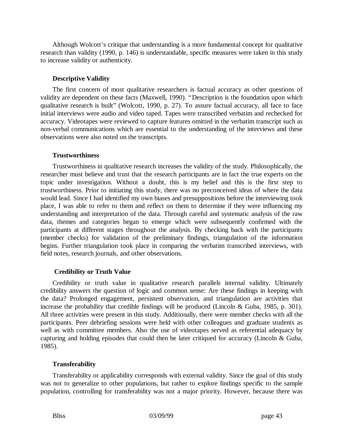Although Wolcott's critique that understanding is a more fundamental concept for qualitative research than validity (1990, p. 146) is understandable, specific measures were taken in this study to increase validity or authenticity.

### **Descriptive Validity**

The first concern of most qualitative researchers is factual accuracy as other questions of validity are dependent on these facts (Maxwell, 1990). "Description is the foundation upon which qualitative research is built" (Wolcott, 1990, p. 27). To assure factual accuracy, all face to face initial interviews were audio and video taped. Tapes were transcribed verbatim and rechecked for accuracy. Videotapes were reviewed to capture features omitted in the verbatim transcript such as non-verbal communications which are essential to the understanding of the interviews and these observations were also noted on the transcripts.

### **Trustworthiness**

Trustworthiness in qualitative research increases the validity of the study. Philosophically, the researcher must believe and trust that the research participants are in fact the true experts on the topic under investigation. Without a doubt, this is my belief and this is the first step to trustworthiness. Prior to initiating this study, there was no preconceived ideas of where the data would lead. Since I had identified my own biases and presuppositions before the interviewing took place, I was able to refer to them and reflect on them to determine if they were influencing my understanding and interpretation of the data. Through careful and systematic analysis of the raw data, themes and categories began to emerge which were subsequently confirmed with the participants at different stages throughout the analysis. By checking back with the participants (member checks) for validation of the preliminary findings, triangulation of the information begins. Further triangulation took place in comparing the verbatim transcribed interviews, with field notes, research journals, and other observations.

## **Credibility or Truth Value**

Credibility or truth value in qualitative research parallels internal validity. Ultimately credibility answers the question of logic and common sense: Are these findings in keeping with the data? Prolonged engagement, persistent observation, and triangulation are activities that increase the probability that credible findings will be produced (Lincoln & Guba, 1985, p. 301). All three activities were present in this study. Additionally, there were member checks with all the participants. Peer debriefing sessions were held with other colleagues and graduate students as well as with committee members. Also the use of videotapes served as referential adequacy by capturing and holding episodes that could then be later critiqued for accuracy (Lincoln & Guba, 1985).

## **Transferability**

Transferability or applicability corresponds with external validity. Since the goal of this study was not to generalize to other populations, but rather to explore findings specific to the sample population, controlling for transferability was not a major priority. However, because there was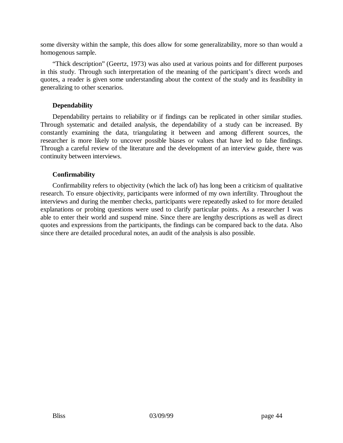some diversity within the sample, this does allow for some generalizability, more so than would a homogenous sample.

"Thick description" (Geertz, 1973) was also used at various points and for different purposes in this study. Through such interpretation of the meaning of the participant's direct words and quotes, a reader is given some understanding about the context of the study and its feasibility in generalizing to other scenarios.

### **Dependability**

Dependability pertains to reliability or if findings can be replicated in other similar studies. Through systematic and detailed analysis, the dependability of a study can be increased. By constantly examining the data, triangulating it between and among different sources, the researcher is more likely to uncover possible biases or values that have led to false findings. Through a careful review of the literature and the development of an interview guide, there was continuity between interviews.

## **Confirmability**

Confirmability refers to objectivity (which the lack of) has long been a criticism of qualitative research. To ensure objectivity, participants were informed of my own infertility. Throughout the interviews and during the member checks, participants were repeatedly asked to for more detailed explanations or probing questions were used to clarify particular points. As a researcher I was able to enter their world and suspend mine. Since there are lengthy descriptions as well as direct quotes and expressions from the participants, the findings can be compared back to the data. Also since there are detailed procedural notes, an audit of the analysis is also possible.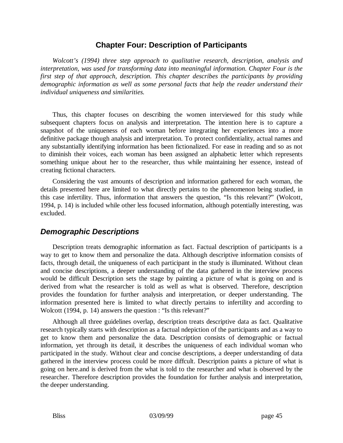# **Chapter Four: Description of Participants**

*Wolcott's (1994) three step approach to qualitative research, description, analysis and interpretation, was used for transforming data into meaningful information. Chapter Four is the first step of that approach, description. This chapter describes the participants by providing demographic information as well as some personal facts that help the reader understand their individual uniqueness and similarities.*

Thus, this chapter focuses on describing the women interviewed for this study while subsequent chapters focus on analysis and interpretation. The intention here is to capture a snapshot of the uniqueness of each woman before integrating her experiences into a more definitive package though analysis and interpretation. To protect confidentiality, actual names and any substantially identifying information has been fictionalized. For ease in reading and so as not to diminish their voices, each woman has been assigned an alphabetic letter which represents something unique about her to the researcher, thus while maintaining her essence, instead of creating fictional characters.

Considering the vast amounts of description and information gathered for each woman, the details presented here are limited to what directly pertains to the phenomenon being studied, in this case infertility. Thus, information that answers the question, "Is this relevant?" (Wolcott, 1994, p. 14) is included while other less focused information, although potentially interesting, was excluded.

# *Demographic Descriptions*

Description treats demographic information as fact. Factual description of participants is a way to get to know them and personalize the data. Although descriptive information consists of facts, through detail, the uniqueness of each participant in the study is illuminated. Without clean and concise descriptions, a deeper understanding of the data gathered in the interview process would be difficult Description sets the stage by painting a picture of what is going on and is derived from what the researcher is told as well as what is observed. Therefore, description provides the foundation for further analysis and interpretation, or deeper understanding. The information presented here is limited to what directly pertains to infertility and according to Wolcott (1994, p. 14) answers the question : "Is this relevant?"

Although all three guidelines overlap, description treats descriptive data as fact. Qualitative research typically starts with description as a factual ndepiction of the participants and as a way to get to know them and personalize the data. Description consists of demographic or factual information, yet through its detail, it describes the uniqueness of each individual woman who participated in the study. Without clear and concise descriptions, a deeper understanding of data gathered in the interview process could be more diffcult. Description paints a picture of what is going on here.and is derived from the what is told to the researcher and what is observed by the researcher. Therefore description provides the foundation for further analysis and interpretation, the deeper understanding.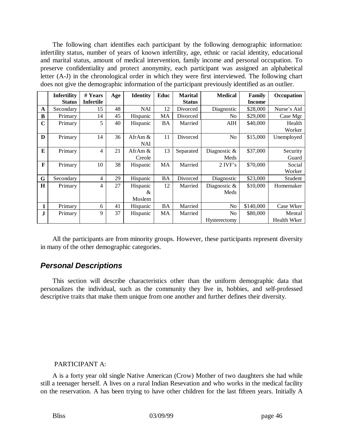The following chart identifies each participant by the following demographic information: infertility status, number of years of known infertility, age, ethnic or racial identity, educational and marital status, amount of medical intervention, family income and personal occupation. To preserve confidentiality and protect anonymity, each participant was assigned an alphabetical letter (A-J) in the chronological order in which they were first interviewed. The following chart does not give the demographic information of the participant previously identified as an outlier.

|              | <b>Infertility</b> | # Years          | Age | <b>Identity</b> | Educ | <b>Marital</b> | <b>Medical</b> | Family        | Occupation  |
|--------------|--------------------|------------------|-----|-----------------|------|----------------|----------------|---------------|-------------|
|              | <b>Status</b>      | <b>Infertile</b> |     |                 |      | <b>Status</b>  |                | <b>Income</b> |             |
| A            | Secondary          | 15               | 48  | <b>NAI</b>      | 12   | Divorced       | Diagnostic     | \$28,000      | Nurse's Aid |
| B            | Primary            | 14               | 45  | Hispanic        | MA   | Divorced       | N <sub>0</sub> | \$29,000      | Case Mgr    |
| $\mathbf C$  | Primary            | 5                | 40  | Hispanic        | BA   | Married        | AIH            | \$40,000      | Health      |
|              |                    |                  |     |                 |      |                |                |               | Worker      |
| D            | Primary            | 14               | 36  | AfrAm &         | 11   | Divorced       | No             | \$15,000      | Unemployed  |
|              |                    |                  |     | NAI             |      |                |                |               |             |
| E            | Primary            | 4                | 21  | AfrAm &         | 13   | Separated      | Diagnostic &   | \$37,000      | Security    |
|              |                    |                  |     | Creole          |      |                | Meds           |               | Guard       |
| $\mathbf{F}$ | Primary            | 10               | 38  | Hispanic        | MA   | Married        | 2 IVF's        | \$70,000      | Social      |
|              |                    |                  |     |                 |      |                |                |               | Worker      |
| G            | Secondary          | 4                | 29  | Hispanic        | BA   | Divorced       | Diagnostic     | \$23,000      | Student     |
| H            | Primary            | 4                | 27  | Hispanic        | 12   | Married        | Diagnostic &   | \$10,000      | Homemaker   |
|              |                    |                  |     | &               |      |                | Meds           |               |             |
|              |                    |                  |     | Moslem          |      |                |                |               |             |
| I            | Primary            | 6                | 41  | Hispanic        | BA   | Married        | N <sub>o</sub> | \$140,000     | Case Wker   |
| $\bf J$      | Primary            | 9                | 37  | Hispanic        | MA   | Married        | N <sub>o</sub> | \$80,000      | Mental      |
|              |                    |                  |     |                 |      |                | Hysterectomy   |               | Health Wker |

All the participants are from minority groups. However, these participants represent diversity in many of the other demographic categories.

# *Personal Descriptions*

This section will describe characteristics other than the uniform demographic data that personalizes the individual, such as the community they live in, hobbies, and self-professed descriptive traits that make them unique from one another and further defines their diversity.

## PARTICIPANT A:

A is a forty year old single Native American (Crow) Mother of two daughters she had while still a teenager herself. A lives on a rural Indian Resevation and who works in the medical facility on the reservation. A has been trying to have other children for the last fifteen years. Initially A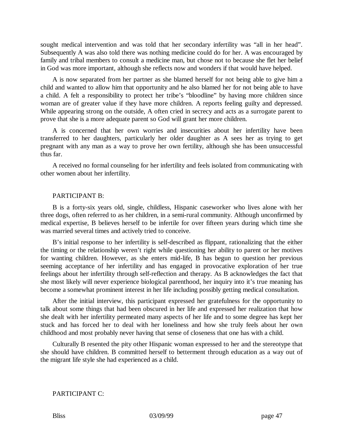sought medical intervention and was told that her secondary infertility was "all in her head". Subsequently A was also told there was nothing medicine could do for her. A was encouraged by family and tribal members to consult a medicine man, but chose not to because she flet her belief in God was more important, although she reflects now and wonders if that would have helped.

A is now separated from her partner as she blamed herself for not being able to give him a child and wanted to allow him that opportunity and he also blamed her for not being able to have a child. A felt a responsibility to protect her tribe's "bloodline" by having more children since woman are of greater value if they have more children. A reports feeling guilty and depressed. While appearing strong on the outside, A often cried in secrecy and acts as a surrogate parent to prove that she is a more adequate parent so God will grant her more children.

A is concerned that her own worries and insecurities about her infertility have been transferred to her daughters, particularly her older daughter as A sees her as trying to get pregnant with any man as a way to prove her own fertility, although she has been unsuccessful thus far.

A received no formal counseling for her infertility and feels isolated from communicating with other women about her infertility.

#### PARTICIPANT B:

B is a forty-six years old, single, childless, Hispanic caseworker who lives alone with her three dogs, often referred to as her children, in a semi-rural community. Although unconfirmed by medical expertise, B believes herself to be infertile for over fifteen years during which time she was married several times and actively tried to conceive.

B's initial response to her infertility is self-described as flippant, rationalizing that the either the timing or the relationship weren't right while questioning her ability to parent or her motives for wanting children. However, as she enters mid-life, B has begun to question her previous seeming acceptance of her infertility and has engaged in provocative exploration of her true feelings about her infertility through self-reflection and therapy. As B acknowledges the fact that she most likely will never experience biological parenthood, her inquiry into it's true meaning has become a somewhat prominent interest in her life including possibly getting medical consultation.

After the initial interview, this participant expressed her gratefulness for the opportunity to talk about some things that had been obscured in her life and expressed her realization that how she dealt with her infertility permeated many aspects of her life and to some degree has kept her stuck and has forced her to deal with her loneliness and how she truly feels about her own childhood and most probably never having that sense of closeness that one has with a child.

Culturally B resented the pity other Hispanic woman expressed to her and the stereotype that she should have children. B committed herself to betterment through education as a way out of the migrant life style she had experienced as a child.

### PARTICIPANT C: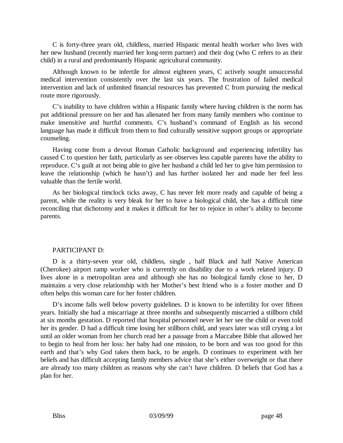C is forty-three years old, childless, married Hispanic mental health worker who lives with her new husband (recently married her long-term partner) and their dog (who C refers to as their child) in a rural and predominantly Hispanic agricultural community.

Although known to be infertile for almost eighteen years, C actively sought unsuccessful medical intervention consistently over the last six years. The frustration of failed medical intervention and lack of unlimited financial resources has prevented C from pursuing the medical route more rigorously.

C's inability to have children within a Hispanic family where having children is the norm has put additional pressure on her and has alienated her from many family members who continue to make insensitive and hurtful comments. C's husband's command of English as his second language has made it difficult from them to find culturally sensitive support groups or appropriate counseling.

Having come from a devout Roman Catholic background and experiencing infertility has caused C to question her faith, particularly as see observes less capable parents have the ability to reproduce. C's guilt at not being able to give her husband a child led her to give him permission to leave the relationship (which he hasn't) and has further isolated her and made her feel less valuable than the fertile world.

As her biological timclock ticks away, C has never felt more ready and capable of being a parent, while the reality is very bleak for her to have a biological child, she has a difficult time reconciling that dichotomy and it makes it difficult for her to rejoice in other's ability to become parents.

## PARTICIPANT D:

D is a thirty-seven year old, childless, single , half Black and half Native American (Cherokee) airport ramp worker who is currently on disability due to a work related injury. D lives alone in a metropolitan area and although she has no biological family close to her, D maintains a very close relationship with her Mother's best friend who is a foster mother and D often helps this woman care for her foster children.

D's income falls well below poverty guidelines. D is known to be infertility for over fifteen years. Initially she had a miscarriage at three months and subsequently miscarried a stillborn child at six months gestation. D reported that hospital personnel never let her see the child or even told her its gender. D had a difficult time losing her stillborn child, and years later was still crying a lot until an older woman from her church read her a passage from a Maccabee Bible that allowed her to begin to heal from her loss: her baby had one mission, to be born and was too good for this earth and that's why God takes them back, to be angels. D continues to experiment with her beliefs and has difficult accepting family members advice that she's either overweight or that there are already too many children as reasons why she can't have children. D beliefs that God has a plan for her.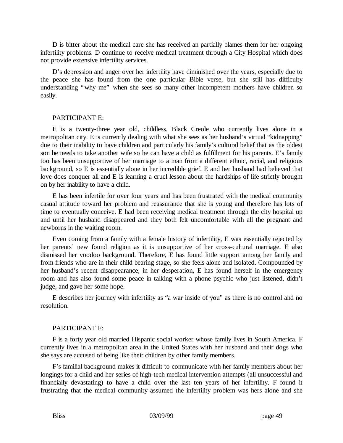D is bitter about the medical care she has received an partially blames them for her ongoing infertility problems. D continue to receive medical treatment through a City Hospital which does not provide extensive infertility services.

D's depression and anger over her infertility have diminished over the years, especially due to the peace she has found from the one particular Bible verse, but she still has difficulty understanding "why me" when she sees so many other incompetent mothers have children so easily.

### PARTICIPANT E:

E is a twenty-three year old, childless, Black Creole who currently lives alone in a metropolitan city. E is currently dealing with what she sees as her husband's virtual "kidnapping" due to their inability to have children and particularly his family's cultural belief that as the oldest son he needs to take another wife so he can have a child as fulfillment for his parents. E's family too has been unsupportive of her marriage to a man from a different ethnic, racial, and religious background, so E is essentially alone in her incredible grief. E and her husband had believed that love does conquer all and E is learning a cruel lesson about the hardships of life strictly brought on by her inability to have a child.

E has been infertile for over four years and has been frustrated with the medical community casual attitude toward her problem and reassurance that she is young and therefore has lots of time to eventually conceive. E had been receiving medical treatment through the city hospital up and until her husband disappeared and they both felt uncomfortable with all the pregnant and newborns in the waiting room.

Even coming from a family with a female history of infertility, E was essentially rejected by her parents' new found religion as it is unsupportive of her cross-cultural marriage. E also dismissed her voodoo background. Therefore, E has found little support among her family and from friends who are in their child bearing stage, so she feels alone and isolated. Compounded by her husband's recent disappearance, in her desperation, E has found herself in the emergency room and has also found some peace in talking with a phone psychic who just listened, didn't judge, and gave her some hope.

E describes her journey with infertility as "a war inside of you" as there is no control and no resolution.

### PARTICIPANT F:

F is a forty year old married Hispanic social worker whose family lives in South America. F currently lives in a metropolitan area in the United States with her husband and their dogs who she says are accused of being like their children by other family members.

F's familial background makes it difficult to communicate with her family members about her longings for a child and her series of high-tech medical intervention attempts (all unsuccessful and financially devastating) to have a child over the last ten years of her infertility. F found it frustrating that the medical community assumed the infertility problem was hers alone and she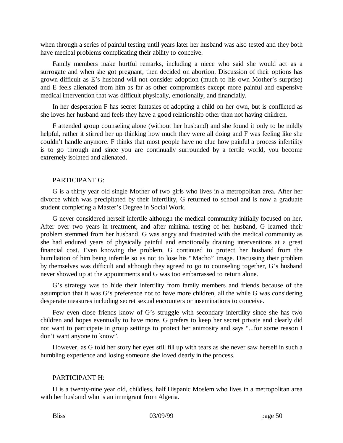when through a series of painful testing until years later her husband was also tested and they both have medical problems complicating their ability to conceive.

Family members make hurtful remarks, including a niece who said she would act as a surrogate and when she got pregnant, then decided on abortion. Discussion of their options has grown difficult as E's husband will not consider adoption (much to his own Mother's surprise) and E feels alienated from him as far as other compromises except more painful and expensive medical intervention that was difficult physically, emotionally, and financially.

In her desperation F has secret fantasies of adopting a child on her own, but is conflicted as she loves her husband and feels they have a good relationship other than not having children.

F attended group counseling alone (without her husband) and she found it only to be mildly helpful, rather it stirred her up thinking how much they were all doing and F was feeling like she couldn't handle anymore. F thinks that most people have no clue how painful a process infertility is to go through and since you are continually surrounded by a fertile world, you become extremely isolated and alienated.

#### PARTICIPANT G:

G is a thirty year old single Mother of two girls who lives in a metropolitan area. After her divorce which was precipitated by their infertility, G returned to school and is now a graduate student completing a Master's Degree in Social Work.

G never considered herself infertile although the medical community initially focused on her. After over two years in treatment, and after minimal testing of her husband, G learned their problem stemmed from her husband. G was angry and frustrated with the medical community as she had endured years of physically painful and emotionally draining interventions at a great financial cost. Even knowing the problem, G continued to protect her husband from the humiliation of him being infertile so as not to lose his "Macho" image. Discussing their problem by themselves was difficult and although they agreed to go to counseling together, G's husband never showed up at the appointments and G was too embarrassed to return alone.

G's strategy was to hide their infertility from family members and friends because of the assumption that it was G's preference not to have more children, all the while G was considering desperate measures including secret sexual encounters or inseminations to conceive.

Few even close friends know of G's struggle with secondary infertility since she has two children and hopes eventually to have more. G prefers to keep her secret private and clearly did not want to participate in group settings to protect her animosity and says "...for some reason I don't want anyone to know".

However, as G told her story her eyes still fill up with tears as she never saw herself in such a humbling experience and losing someone she loved dearly in the process.

### PARTICIPANT H:

H is a twenty-nine year old, childless, half Hispanic Moslem who lives in a metropolitan area with her husband who is an immigrant from Algeria.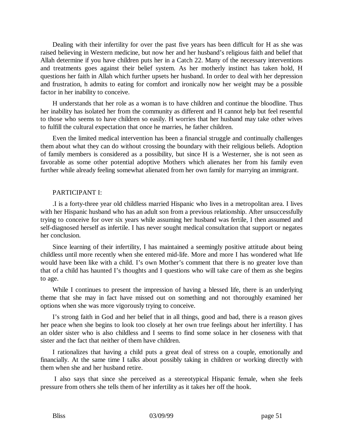Dealing with their infertility for over the past five years has been difficult for H as she was raised believing in Western medicine, but now her and her husband's religious faith and belief that Allah determine if you have children puts her in a Catch 22. Many of the necessary interventions and treatments goes against their belief system. As her motherly instinct has taken hold, H questions her faith in Allah which further upsets her husband. In order to deal with her depression and frustration, h admits to eating for comfort and ironically now her weight may be a possible factor in her inability to conceive.

H understands that her role as a woman is to have children and continue the bloodline. Thus her inability has isolated her from the community as different and H cannot help but feel resentful to those who seems to have children so easily. H worries that her husband may take other wives to fulfill the cultural expectation that once he marries, he father children.

Even the limited medical intervention has been a financial struggle and continually challenges them about what they can do without crossing the boundary with their religious beliefs. Adoption of family members is considered as a possibility, but since H is a Westerner, she is not seen as favorable as some other potential adoptive Mothers which alienates her from his family even further while already feeling somewhat alienated from her own family for marrying an immigrant.

### PARTICIPANT I:

.I is a forty-three year old childless married Hispanic who lives in a metropolitan area. I lives with her Hispanic husband who has an adult son from a previous relationship. After unsuccessfully trying to conceive for over six years while assuming her husband was fertile, I then assumed and self-diagnosed herself as infertile. I has never sought medical consultation that support or negates her conclusion.

Since learning of their infertility, I has maintained a seemingly positive attitude about being childless until more recently when she entered mid-life. More and more I has wondered what life would have been like with a child. I's own Mother's comment that there is no greater love than that of a child has haunted I's thoughts and I questions who will take care of them as she begins to age.

While I continues to present the impression of having a blessed life, there is an underlying theme that she may in fact have missed out on something and not thoroughly examined her options when she was more vigorously trying to conceive.

I's strong faith in God and her belief that in all things, good and bad, there is a reason gives her peace when she begins to look too closely at her own true feelings about her infertility. I has an older sister who is also childless and I seems to find some solace in her closeness with that sister and the fact that neither of them have children.

I rationalizes that having a child puts a great deal of stress on a couple, emotionally and financially. At the same time I talks about possibly taking in children or working directly with them when she and her husband retire.

 I also says that since she perceived as a stereotypical Hispanic female, when she feels pressure from others she tells them of her infertility as it takes her off the hook.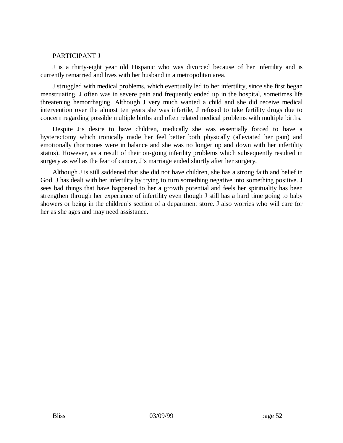### PARTICIPANT J

J is a thirty-eight year old Hispanic who was divorced because of her infertility and is currently remarried and lives with her husband in a metropolitan area.

J struggled with medical problems, which eventually led to her infertility, since she first began menstruating. J often was in severe pain and frequently ended up in the hospital, sometimes life threatening hemorrhaging. Although J very much wanted a child and she did receive medical intervention over the almost ten years she was infertile, J refused to take fertility drugs due to concern regarding possible multiple births and often related medical problems with multiple births.

Despite J's desire to have children, medically she was essentially forced to have a hysterectomy which ironically made her feel better both physically (alleviated her pain) and emotionally (hormones were in balance and she was no longer up and down with her infertility status). However, as a result of their on-going inferility problems which subsequently resulted in surgery as well as the fear of cancer, J's marriage ended shortly after her surgery.

Although J is still saddened that she did not have children, she has a strong faith and belief in God. J has dealt with her infertility by trying to turn something negative into something positive. J sees bad things that have happened to her a growth potential and feels her spirituality has been strengthen through her experience of infertility even though J still has a hard time going to baby showers or being in the children's section of a department store. J also worries who will care for her as she ages and may need assistance.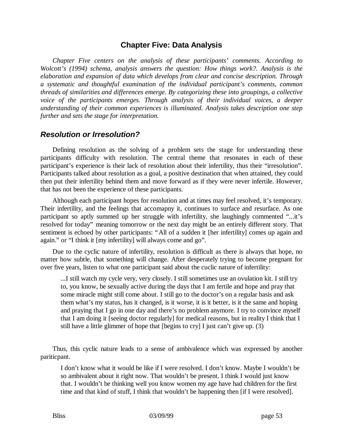# **Chapter Five: Data Analysis**

*Chapter Five centers on the analysis of these participants' comments. According to Wolcott's (1994) schema, analysis answers the question: How things work?. Analysis is the elaboration and expansion of data which develops from clear and concise description. Through a systematic and thoughtful examination of the individual participant's comments, common threads of similarities and differences emerge. By categorizing these into groupings, a collective voice of the participants emerges. Through analysis of their individual voices, a deeper understanding of their common experiences is illuminated. Analysis takes description one step further and sets the stage for interpretation.*

# *Resolution or Irresolution?*

Defining resolution as the solving of a problem sets the stage for understanding these participants difficulty with resolution. The central theme that resonates in each of these participant's experience is their lack of resolution about their infertility, thus their "irresolution". Participants talked about resolution as a goal, a positive destination that when attained, they could then put their infertility behind them and move forward as if they were never infertile. However, that has not been the experience of these participants.

Although each participant hopes for resolution and at times may feel resolved, it's temporary. Their infertility, and the feelings that accomapny it, continues to surface and resurface. As one participant so aptly summed up her struggle with infertility, she laughingly commented "...it's resolved for today" meaning tomorrow or the next day might be an entirely different story. That sentiment is echoed by other participants: "All of a sudden it [her infertility] comes up again and again." or "I think it [my infertility] will always come and go".

Due to the cyclic nature of infertility, resolution is difficult as there is always that hope, no matter how subtle, that something will change. After desperately trying to become pregnant for over five years, listen to what one participant said about the cuclic nature of infertility:

...I still watch my cycle very, very closely. I still sometimes use an ovulation kit. I still try to, you know, be sexually active during the days that I am fertile and hope and pray that some miracle might still come about. I still go to the doctor's on a regular basis and ask them what's my status, has it changed, is it worse, it is it better, is it the same and hoping and praying that I go in one day and there's no problem anymore. I try to convince myself that I am doing it [seeing doctor regularly] for medical reasons, but in reality I think that I still have a little glimmer of hope that [begins to cry] I just can't give up. (3)

Thus, this cyclic nature leads to a sense of ambivalence which was expressed by another pariticpant.

I don't know what it would be like if I were resolved. I don't know. Maybe I wouldn't be so ambivalent about it right now. That wouldn't be present. I think I would just know that. I wouldn't be thinking well you know women my age have had children for the first time and that kind of stuff, I think that wouldn't be happening then [if I were resolved].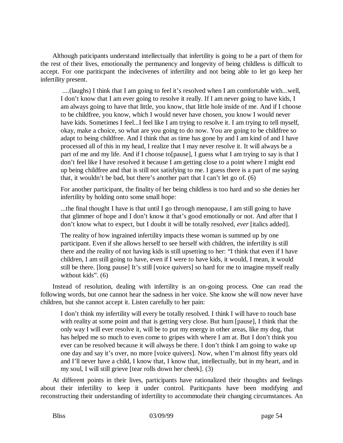Although paticipants understand intellectually that infertility is going to be a part of them for the rest of their lives, emotionally the permanency and longevity of being childless is difficult to accept. For one pariticpant the indecivenes of infertility and not being able to let go keep her infertility present.

 ....(laughs) I think that I am going to feel it's resolved when I am comfortable with...well, I don't know that I am ever going to resolve it really. If I am never going to have kids, I am always going to have that little, you know, that little hole inside of me. And if I choose to be childfree, you know, which I would never have chosen, you know I would never have kids. Sometimes I feel...I feel like I am trying to resolve it. I am trying to tell myself, okay, make a choice, so what are you going to do now. You are going to be childfree so adapt to being childfree. And I think that as time has gone by and I am kind of and I have processed all of this in my head, I realize that I may never resolve it. It will always be a part of me and my life. And if I choose to[pause], I guess what I am trying to say is that I don't feel like I have resolved it because I am getting close to a point where I might end up being childfree and that is still not satisfying to me. I guess there is a part of me saying that, it wouldn't be bad, but there's another part that I can't let go of. (6)

For another participant, the finality of her being childless is too hard and so she denies her infertility by holding onto some small hope:

...the final thought I have is that until I go through menopause, I am still going to have that glimmer of hope and I don't know it that's good emotionally or not. And after that I don't know what to expect, but I doubt it will be totally resolved, *ever* [italics added].

The reality of how ingrained infertility impacts these woman is summed up by one participant. Even if she allows herself to see herself with children, the infertility is still there and the reality of not having kids is still upsetting to her: "I think that even if I have children, I am still going to have, even if I were to have kids, it would, I mean, it would still be there. [long pause] It's still [voice quivers] so hard for me to imagine myself really without kids". (6)

Instead of resolution, dealing with infertility is an on-going process. One can read the following words, but one cannot hear the sadness in her voice. She know she will now never have children, but she cannot accept it. Listen carefully to her pain:

I don't think my infertility will every be totally resolved. I think I will have to touch base with reality at some point and that is getting very close. But hum [pause], I think that the only way I will ever resolve it, will be to put my energy in other areas, like my dog, that has helped me so much to even come to gripes with where I am at. But I don't think you ever can be resolved because it will always be there. I don't think I am going to wake up one day and say it's over, no more [voice quivers]. Now, when I'm almost fifty years old and I'll never have a child, I know that, I know that, intellectually, but in my heart, and in my soul, I will still grieve [tear rolls down her cheek]. (3)

At different points in their lives, participants have rationalized their thoughts and feelings about their infertility to keep it under control. Pariticpants have been modifying and reconstructing their understanding of infertility to accommodate their changing circumstances. An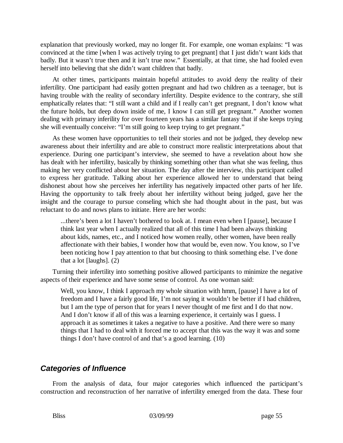explanation that previously worked, may no longer fit. For example, one woman explains: "I was convinced at the time [when I was actively trying to get pregnant] that I just didn't want kids that badly. But it wasn't true then and it isn't true now." Essentially, at that time, she had fooled even herself into believing that she didn't want children that badly.

At other times, participants maintain hopeful attitudes to avoid deny the reality of their infertility. One participant had easily gotten pregnant and had two children as a teenager, but is having trouble with the reality of secondary infertility. Despite evidence to the contrary, she still emphatically relates that: "I still want a child and if I really can't get pregnant, I don't know what the future holds, but deep down inside of me, I know I can still get pregnant." Another women dealing with primary inferility for over fourteen years has a similar fantasy that if she keeps trying she will eventually conceive: "I'm still going to keep trying to get pregnant."

As these women have opportunities to tell their stories and not be judged, they develop new awareness about their infertility and are able to construct more realistic interpretations about that experience. During one participant's interview, she seemed to have a revelation about how she has dealt with her infertility, basically by thinking something other than what she was feeling, thus making her very conflicted about her situation. The day after the interview, this participant called to express her gratitude. Talking about her experience allowed her to understand that being dishonest about how she perceives her infertility has negatively impacted other parts of her life. Having the opportunity to talk freely about her infertility without being judged, gave her the insight and the courage to pursue conseling which she had thought about in the past, but was reluctant to do and nows plans to initiate. Here are her words:

...there's been a lot I haven't bothered to look at. I mean even when I [pause], because I think last year when I actually realized that all of this time I had been always thinking about kids, names, etc., and I noticed how women really, other women, have been really affectionate with their babies, I wonder how that would be, even now. You know, so I've been noticing how I pay attention to that but choosing to think something else. I've done that a lot [laughs]. (2)

Turning their infertility into something positive allowed participants to minimize the negative aspects of their experience and have some sense of control. As one woman said:

Well, you know, I think I approach my whole situation with hmm, [pause] I have a lot of freedom and I have a fairly good life, I'm not saying it wouldn't be better if I had children, but I am the type of person that for years I never thought of me first and I do that now. And I don't know if all of this was a learning experience, it certainly was I guess. I approach it as sometimes it takes a negative to have a positive. And there were so many things that I had to deal with it forced me to accept that this was the way it was and some things I don't have control of and that's a good learning. (10)

# *Categories of Influence*

From the analysis of data, four major categories which influenced the participant's construction and reconstruction of her narrative of infertility emerged from the data. These four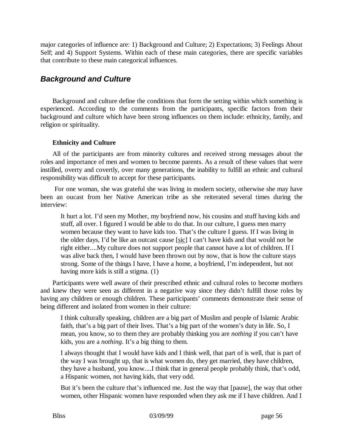major categories of influence are: 1) Background and Culture; 2) Expectations; 3) Feelings About Self; and 4) Support Systems. Within each of these main categories, there are specific variables that contribute to these main categorical influences.

# *Background and Culture*

Background and culture define the conditions that form the setting within which something is experienced. According to the comments from the participants, specific factors from their background and culture which have been strong influences on them include: ethnicity, family, and religion or spirituality.

## **Ethnicity and Culture**

All of the participants are from minority cultures and received strong messages about the roles and importance of men and women to become parents. As a result of these values that were instilled, overty and covertly, over many generations, the inability to fulfill an ethnic and cultural responsibility was difficult to accept for these participants.

 For one woman, she was grateful she was living in modern society, otherwise she may have been an oucast from her Native American tribe as she reiterated several times during the interview:

It hurt a lot. I'd seen my Mother, my boyfriend now, his cousins and stuff having kids and stuff, all over. I figured I would be able to do that. In our culture, I guess men marry women because they want to have kids too. That's the culture I guess. If I was living in the older days, I'd be like an outcast cause  $[sic]$  I can't have kids and that would not be right either....My culture does not support people that cannot have a lot of children. If I was alive back then, I would have been thrown out by now, that is how the culture stays strong. Some of the things I have, I have a home, a boyfriend, I'm independent, but not having more kids is still a stigma. (1)

Participants were well aware of their prescribed ethnic and cultural roles to become mothers and knew they were seen as different in a negative way since they didn't fulfill those roles by having any children or enough children. These participants' comments demonstrate their sense of being different and isolated from women in their culture:

I think culturally speaking, children are a big part of Muslim and people of Islamic Arabic faith, that's a big part of their lives. That's a big part of the women's duty in life. So, I mean, you know, so to them they are probably thinking you are *nothing* if you can't have kids, you are a *nothing*. It's a big thing to them.

I always thought that I would have kids and I think well, that part of is well, that is part of the way I was brought up, that is what women do, they get married, they have children, they have a husband, you know....I think that in general people probably think, that's odd, a Hispanic women, not having kids, that very odd.

But it's been the culture that's influenced me. Just the way that [pause], the way that other women, other Hispanic women have responded when they ask me if I have children. And I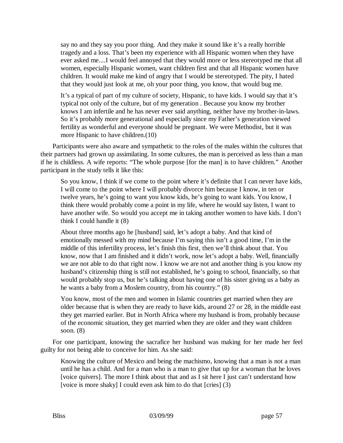say no and they say you poor thing. And they make it sound like it's a really horrible tragedy and a loss. That's been my experience with all Hispanic women when they have ever asked me....I would feel annoyed that they would more or less stereotyped me that all women, especially Hispanic women, want children first and that all Hispanic women have children. It would make me kind of angry that I would be stereotyped. The pity, I hated that they would just look at me, oh your poor thing, you know, that would bug me.

It's a typical of part of my culture of society, Hispanic, to have kids. I would say that it's typical not only of the culture, but of my generation . Because you know my brother knows I am infertile and he has never ever said anything, neither have my brother-in-laws. So it's probably more generational and especially since my Father's generation viewed fertility as wonderful and everyone should be pregnant. We were Methodist, but it was more Hispanic to have children.(10)

Participants were also aware and sympathetic to the roles of the males within the cultures that their partners had grown up assimilating. In some cultures, the man is perceived as less than a man if he is childless. A wife reports: "The whole purpose [for the man] is to have children." Another participant in the study tells it like this:

So you know, I think if we come to the point where it's definite that I can never have kids, I will come to the point where I will probably divorce him because I know, in ten or twelve years, he's going to want you know kids, he's going to want kids. You know, I think there would probably come a point in my life, where he would say listen, I want to have another wife. So would you accept me in taking another women to have kids. I don't think I could handle it (8)

About three months ago he [husband] said, let's adopt a baby. And that kind of emotionally messed with my mind because I'm saying this isn't a good time, I'm in the middle of this infertility process, let's finish this first, then we'll think about that. You know, now that I am finished and it didn't work, now let's adopt a baby. Well, financially we are not able to do that right now. I know we are not and another thing is you know my husband's citizenship thing is still not established, he's going to school, financially, so that would probably stop us, but he's talking about having one of his sister giving us a baby as he wants a baby from a Moslem country, from his country." (8)

You know, most of the men and women in Islamic countries get married when they are older because that is when they are ready to have kids, around 27 or 28, in the middle east they get married earlier. But in North Africa where my husband is from, probably because of the economic situation, they get married when they are older and they want children soon. (8)

For one participant, knowing the sacrafice her husband was making for her made her feel guilty for not being able to conceive for him. As she said:

Knowing the culture of Mexico and being the machismo, knowing that a man is not a man until he has a child. And for a man who is a man to give that up for a woman that he loves [voice quivers]. The more I think about that and as I sit here I just can't understand how [voice is more shaky] I could even ask him to do that [cries] (3)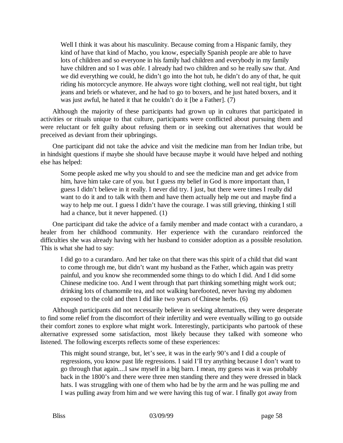Well I think it was about his masculinity. Because coming from a Hispanic family, they kind of have that kind of Macho, you know, especially Spanish people are able to have lots of children and so everyone in his family had children and everybody in my family have children and so I was *able.* I already had two children and so he really saw that. And we did everything we could, he didn't go into the hot tub, he didn't do any of that, he quit riding his motorcycle anymore. He always wore tight clothing, well not real tight, but tight jeans and briefs or whatever, and he had to go to boxers, and he just hated boxers, and it was just awful, he hated it that he couldn't do it [be a Father]. (7)

Although the majority of these participants had grown up in cultures that participated in activities or rituals unique to that culture, participants were conflicted about pursuing them and were reluctant or felt guilty about refusing them or in seeking out alternatives that would be preceived as deviant from their upbringings.

One participant did not take the advice and visit the medicine man from her Indian tribe, but in hindsight questions if maybe she should have because maybe it would have helped and nothing else has helped:

Some people asked me why you should to and see the medicine man and get advice from him, have him take care of you. but I guess my belief in God is more important than, I guess I didn't believe in it really. I never did try. I just, but there were times I really did want to do it and to talk with them and have them actually help me out and maybe find a way to help me out. I guess I didn't have the courage. I was still grieving, thinking I still had a chance, but it never happened. (1)

One participant did take the advice of a family member and made contact with a curandaro, a healer from her childhood community. Her experience with the curandaro reinforced the difficulties she was already having with her husband to consider adoption as a possible resolution. This is what she had to say:

I did go to a curandaro. And her take on that there was this spirit of a child that did want to come through me, but didn't want my husband as the Father, which again was pretty painful, and you know she recommended some things to do which I did. And I did some Chinese medicine too. And I went through that part thinking something might work out; drinking lots of chamomile tea, and not walking barefooted, never having my abdomen exposed to the cold and then I did like two years of Chinese herbs. (6)

Although participants did not necessarily believe in seeking alternatives, they were desperate to find some relief from the discomfort of their infertility and were eventually willing to go outside their comfort zones to explore what might work. Interestingly, participants who partook of these alternative expressed some satisfaction, most likely because they talked with someone who listened. The following excerpts reflects some of these experiences:

This might sound strange, but, let's see, it was in the early 90's and I did a couple of regressions, you know past life regressions. I said I'll try anything because I don't want to go through that again....I saw myself in a big barn. I mean, my guess was it was probably back in the 1800's and there were three men standing there and they were dressed in black hats. I was struggling with one of them who had be by the arm and he was pulling me and I was pulling away from him and we were having this tug of war. I finally got away from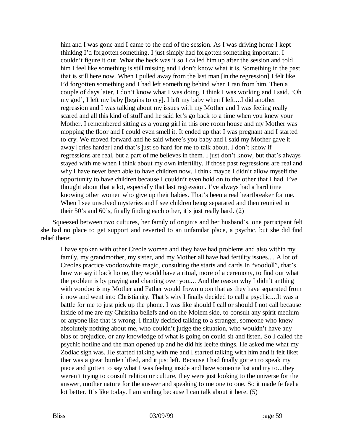him and I was gone and I came to the end of the session. As I was driving home I kept thinking I'd forgotten something. I just simply had forgotten something important. I couldn't figure it out. What the heck was it so I called him up after the session and told him I feel like something is still missing and I don't know what it is. Something in the past that is still here now. When I pulled away from the last man [in the regression] I felt like I'd forgotten something and I had left something behind when I ran from him. Then a couple of days later, I don't know what I was doing, I think I was working and I said. 'Oh my god', I left my baby [begins to cry]. I left my baby when I left....I did another regression and I was talking about my issues with my Mother and I was feeling really scared and all this kind of stuff and he said let's go back to a time when you knew your Mother. I remembered sitting as a young girl in this one room house and my Mother was mopping the floor and I could even smell it. It ended up that I was pregnant and I started to cry. We moved forward and he said where's you baby and I said my Mother gave it away [cries harder] and that's just so hard for me to talk about. I don't know if regressions are real, but a part of me believes in them. I just don't know, but that's always stayed with me when I think about my own infertility. If those past regressions are real and why I have never been able to have children now. I think maybe I didn't allow myself the opportunity to have children because I couldn't even hold on to the other that I had. I've thought about that a lot, especially that last regression. I've always had a hard time knowing other women who give up their babies. That's been a real heartbreaker for me. When I see unsolved mysteries and I see children being separated and then reunited in their 50's and 60's, finally finding each other, it's just really hard. (2)

Squeezed between two cultures, her family of origin's and her husband's, one participant felt she had no place to get support and reverted to an unfamilar place, a psychic, but she did find relief there:

I have spoken with other Creole women and they have had problems and also within my family, my grandmother, my sister, and my Mother all have had fertility issues.... A lot of Creoles practice voodoowhite magic, consulting the starts and cards.In "voodoll", that's how we say it back home, they would have a ritual, more of a ceremony, to find out what the problem is by praying and chanting over you.... And the reason why I didn't anthing with voodoo is my Mother and Father would frown upon that as they have separated from it now and went into Christianity. That's why I finally decided to call a psychic....It was a battle for me to just pick up the phone. I was like should I call or should I not call because inside of me are my Christina beliefs and on the Molem side, to consult any spirit medium or anyone like that is wrong. I finally decided talking to a stranger, someone who knew absolutely nothing about me, who couldn't judge the situation, who wouldn't have any bias or prejudice, or any knowledge of what is going on could sit and listen. So I called the psychic hotline and the man opened up and he did his leelte things. He asked me what my Zodiac sign was. He started talking with me and I started talking with him and it felt liket ther was a great burden lifted, and it just left. Because I had finally gotten to speak my piece and gotten to say what I was feeling inside and have someone list and try to...they weren't trying to consult relition or culture, they were just looking to the universe for the answer, mother nature for the answer and speaking to me one to one. So it made fe feel a lot better. It's like today. I am smiling because I can talk about it here. (5)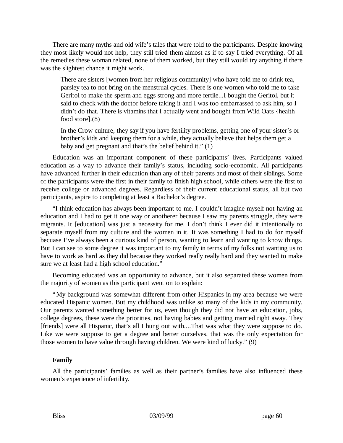There are many myths and old wife's tales that were told to the participants. Despite knowing they most likely would not help, they still tried them almost as if to say I tried everything. Of all the remedies these woman related, none of them worked, but they still would try anything if there was the slightest chance it might work.

There are sisters [women from her religious community] who have told me to drink tea, parsley tea to not bring on the menstrual cycles. There is one women who told me to take Geritol to make the sperm and eggs strong and more fertile...I bought the Geritol, but it said to check with the doctor before taking it and I was too embarrassed to ask him, so I didn't do that. There is vitamins that I actually went and bought from Wild Oats {health food store].(8)

In the Crow culture, they say if you have fertility problems, getting one of your sister's or brother's kids and keeping them for a while, they actually believe that helps them get a baby and get pregnant and that's the belief behind it." (1)

Education was an important component of these participants' lives. Participants valued education as a way to advance their family's status, including socio-economic. All participants have advanced further in their education than any of their parents and most of their siblings. Some of the participants were the first in their family to finish high school, while others were the first to receive college or advanced degrees. Regardless of their current educational status, all but two participants, aspire to completing at least a Bachelor's degree.

"I think education has always been important to me. I couldn't imagine myself not having an education and I had to get it one way or anotherer because I saw my parents struggle, they were migrants. It [education] was just a necessity for me. I don't think I ever did it intentionally to separate myself from my culture and the women in it. It was something I had to do for myself becuase I've always been a curious kind of person, wanting to learn and wanting to know things. But I can see to some degree it was important to my family in terms of my folks not wanting us to have to work as hard as they did because they worked really really hard and they wanted to make sure we at least had a high school education."

Becoming educated was an opportunity to advance, but it also separated these women from the majority of women as this participant went on to explain:

"My background was somewhat different from other Hispanics in my area because we were educated Hispanic women. But my childhood was unlike so many of the kids in my community. Our parents wanted something better for us, even though they did not have an education, jobs, college degrees, these were the priorities, not having babies and getting married right away. They [friends] were all Hispanic, that's all I hung out with....That was what they were suppose to do. Like we were suppose to get a degree and better ourselves, that was the only expectation for those women to have value through having children. We were kind of lucky." (9)

## **Family**

All the participants' families as well as their partner's families have also influenced these women's experience of infertility.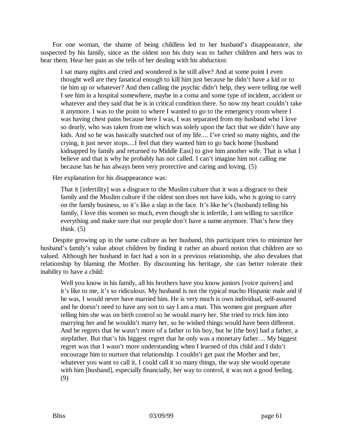For one woman, the shame of being childless led to her husband's disappearance, she suspected by his family, since as the oldest son his duty was to father children and hers was to bear them. Hear her pain as she tells of her dealing with his abduction:

I sat many nights and cried and wondered is he still alive? And at some point I even thought well are they fanatical enough to kill him just because he didn't have a kid or to tie him up or whatever? And then calling the psychic didn't help, they were telling me well I see him in a hospital somewhere, maybe in a coma and some type of incident, accident or whatever and they said that he is in critical condition there. So now my heart couldn't take it anymore. I was to the point to where I wanted to go to the emergency room where I was having chest pains because here I was, I was separated from my husband who I love so dearly, who was taken from me which was solely upon the fact that we didn't have any kids. And so he was basically snatched out of my life.... I've cried so many nights, and the crying, it just never stops....I feel that they wanted him to go back home [husband kidnapped by family and returned to Middle East] to give him another wife. That is what I believe and that is why he probably has not called. I can't imagine him not calling me because has he has always been very protective and caring and loving. (5)

Her explanation for his disappearance was:

That it [infertility] was a disgrace to the Muslim culture that it was a disgrace to their family and the Muslim culture if the oldest son does not have kids, who is going to carry on the family business, so it's like a slap in the face. It's like he's (husband) telling his family, I love this women so much, even though she is infertile, I am willing to sacrifice everything and make sure that our people don't have a name anymore. That's how they think.  $(5)$ 

Despite growing up in the same culture as her husband, this participant tries to minimize her husband's family's value about children by finding it rather an absurd notion that children are so valued. Although her husband in fact had a son in a previous relationship, she also devalues that relationship by blaming the Mother. By discounting his heritage, she can better tolerate their inability to have a child:

Well you know in his family, all his brothers have you know juniors [voice quivers] and it's like to me, it's so ridiculous. My husband is not the typical macho Hispanic male and if he was, I would never have married him. He is very much is own individual, self-assured and he doesn't need to have any son to say I am a man. This women got pregnant after telling him she was on birth control so he would marry her. She tried to trick him into marrying her and he wouldn't marry her, so he wished things would have been different. And he regrets that he wasn't more of a father to his boy, but he [the boy] had a father, a stepfather. But that's his biggest regret that he only was a monetary father.... My biggest regret was that I wasn't more understanding when I learned of this child and I didn't encourage him to nurture that relationship. I couldn't get past the Mother and her, whatever you want to call it, I could call it so many things, the way she would operate with him [husband], especially financially, her way to control, it was not a good feeling. (9)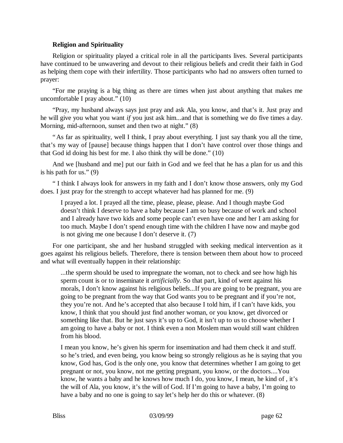## **Religion and Spirituality**

Religion or spirituality played a critical role in all the participants lives. Several participants have continued to be unwavering and devout to their religious beliefs and credit their faith in God as helping them cope with their infertility. Those participants who had no answers often turned to prayer:

"For me praying is a big thing as there are times when just about anything that makes me uncomfortable I pray about." (10)

"Pray, my husband always says just pray and ask Ala, you know, and that's it. Just pray and he will give you what you want *if* you just ask him...and that is something we do five times a day. Morning, mid-afternoon, sunset and then two at night." (8)

"As far as spirituality, well I think, I pray about everything. I just say thank you all the time, that's my way of [pause] because things happen that I don't have control over those things and that God id doing his best for me. I also think thy will be done." (10)

And we [husband and me] put our faith in God and we feel that he has a plan for us and this is his path for us." (9)

" I think I always look for answers in my faith and I don't know those answers, only my God does. I just pray for the strength to accept whatever had has planned for me. (9)

I prayed a lot. I prayed all the time, please, please, please. And I though maybe God doesn't think I deserve to have a baby because I am so busy because of work and school and I already have two kids and some people can't even have one and her I am asking for too much. Maybe I don't spend enough time with the children I have now and maybe god is not giving me one because I don't deserve it. (7)

For one participant, she and her husband struggled with seeking medical intervention as it goes against his religious beliefs. Therefore, there is tension between them about how to proceed and what will eventually happen in their relationship:

...the sperm should be used to impregnate the woman, not to check and see how high his sperm count is or to inseminate it *artificially*. So that part, kind of went against his morals, I don't know against his religious beliefs...If you are going to be pregnant, you are going to be pregnant from the way that God wants you to be pregnant and if you're not, they you're not. And he's accepted that also because I told him, if I can't have kids, you know, I think that you should just find another woman, or you know, get divorced or something like that. But he just says it's up to God, it isn't up to us to choose whether I am going to have a baby or not. I think even a non Moslem man would still want children from his blood.

I mean you know, he's given his sperm for insemination and had them check it and stuff. so he's tried, and even being, you know being so strongly religious as he is saying that you know, God has, God is the only one, you know that determines whether I am going to get pregnant or not, you know, not me getting pregnant, you know, or the doctors....You know, he wants a baby and he knows how much I do, you know, I mean, he kind of , it's the will of Ala, you know, it's the will of God. If I'm going to have a baby, I'm going to have a baby and no one is going to say let's help her do this or whatever. (8)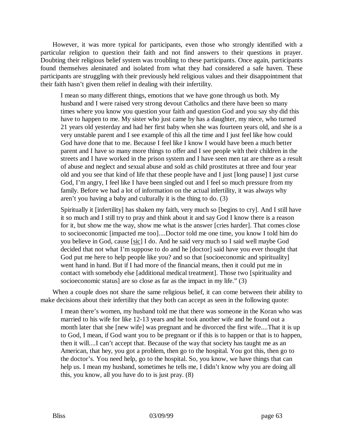However, it was more typical for participants, even those who strongly identified with a particular religion to question their faith and not find answers to their questions in prayer. Doubting their religious belief system was troubling to these participants. Once again, participants found themselves aleninated and isolated from what they had considered a safe haven. These participants are struggling with their previously held religious values and their disappointment that their faith hasn't given them relief in dealing with their infertility.

I mean so many different things, emotions that we have gone through us both. My husband and I were raised very strong devout Catholics and there have been so many times where you know you question your faith and question God and you say shy did this have to happen to me. My sister who just came by has a daughter, my niece, who turned 21 years old yesterday and had her first baby when she was fourteen years old, and she is a very unstable parent and I see example of this all the time and I just feel like how could God have done that to me. Because I feel like I know I would have been a much better parent and I have so many more things to offer and I see people with their children in the streets and I have worked in the prison system and I have seen men tat are there as a result of abuse and neglect and sexual abuse and sold as child prostitutes at three and four year old and you see that kind of life that these people have and I just [long pause] I just curse God, I'm angry, I feel like I have been singled out and I feel so much pressure from my family. Before we had a lot of information on the actual infertility, it was always why aren't you having a baby and culturally it is the thing to do. (3)

Spiritually it [infertility] has shaken my faith, very much so [begins to cry]. And I still have it so much and I still try to pray and think about it and say God I know there is a reason for it, but show me the way, show me what is the answer [cries harder]. That comes close to socioeconomic [impacted me too]....Doctor told me one time, you know I told him do you believe in God, cause [sic] I do. And he said very much so I said well maybe God decided that not what I'm suppose to do and he [doctor] said have you ever thought that God put me here to help people like you? and so that [socioeconomic and spirituality] went hand in hand. But if I had more of the financial means, then it could put me in contact with somebody else [additional medical treatment]. Those two [spirituality and socioeconomic status] are so close as far as the impact in my life." (3)

When a couple does not share the same religious belief, it can come between their ability to make decisions about their infertility that they both can accept as seen in the following quote:

I mean there's women, my husband told me that there was someone in the Koran who was married to his wife for like 12-13 years and he took another wife and he found out a month later that she [new wife] was pregnant and he divorced the first wife....That it is up to God, I mean, if God want you to be pregnant or if this is to happen or that is to happen, then it will....I can't accept that. Because of the way that society has taught me as an American, that hey, you got a problem, then go to the hospital. You got this, then go to the doctor's. You need help, go to the hospital. So, you know, we have things that can help us. I mean my husband, sometimes he tells me, I didn't know why you are doing all this, you know, all you have do to is just pray. (8)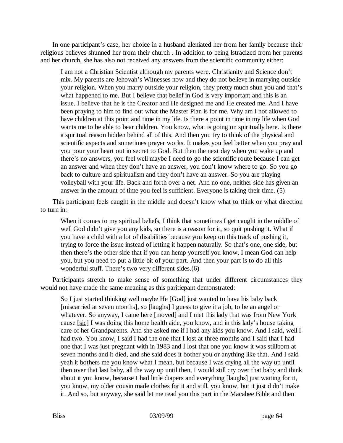In one participant's case, her choice in a husband aleniated her from her family because their religious believes shunned her from their church . In addition to being lstracized from her parents and her church, she has also not received any answers from the scientific community either:

I am not a Christian Scientist although my parents were. Christianity and Science don't mix. My parents are Jehovah's Witnesses now and they do not believe in marrying outside your religion. When you marry outside your religion, they pretty much shun you and that's what happened to me. But I believe that belief in God is very important and this is an issue. I believe that he is the Creator and He designed me and He created me. And I have been praying to him to find out what the Master Plan is for me. Why am I not allowed to have children at this point and time in my life. Is there a point in time in my life when God wants me to be able to bear children. You know, what is going on spiritually here. Is there a spiritual reason hidden behind all of this. And then you try to think of the physical and scientific aspects and sometimes prayer works. It makes you feel better when you pray and you pour your heart out in secret to God. But then the next day when you wake up and there's no answers, you feel well maybe I need to go the scientific route because I can get an answer and when they don't have an answer, you don't know where to go. So you go back to culture and spiritualism and they don't have an answer. So you are playing volleyball with your life. Back and forth over a net. And no one, neither side has given an answer in the amount of time you feel is sufficient. Everyone is taking their time. (5)

This participant feels caught in the middle and doesn't know what to think or what direction to turn in:

When it comes to my spiritual beliefs, I think that sometimes I get caught in the middle of well God didn't give you any kids, so there is a reason for it, so quit pushing it. What if you have a child with a lot of disabilities because you keep on this track of pushing it, trying to force the issue instead of letting it happen naturally. So that's one, one side, but then there's the other side that if you can hemp yourself you know, I mean God can help you, but you need to put a little bit of your part. And then your part is to do all this wonderful stuff. There's two very different sides.(6)

Participants stretch to make sense of something that under different circumstances they would not have made the same meaning as this pariticpant demonstrated:

So I just started thinking well maybe He [God] just wanted to have his baby back [miscarried at seven months], so [laughs] I guess to give it a job, to be an angel or whatever. So anyway, I came here [moved] and I met this lady that was from New York cause [sic] I was doing this home health aide, you know, and in this lady's house taking care of her Grandparents. And she asked me if I had any kids you know. And I said, well I had two. You know, I said I had the one that I lost at three months and I said that I had one that I was just pregnant with in 1983 and I lost that one you know it was stillborn at seven months and it died, and she said does it bother you or anything like that. And I said yeah it bothers me you know what I mean, but because I was crying all the way up until then over that last baby, all the way up until then, I would still cry over that baby and think about it you know, because I had little diapers and everything [laughs] just waiting for it, you know, my older cousin made clothes for it and still, you know, but it just didn't make it. And so, but anyway, she said let me read you this part in the Macabee Bible and then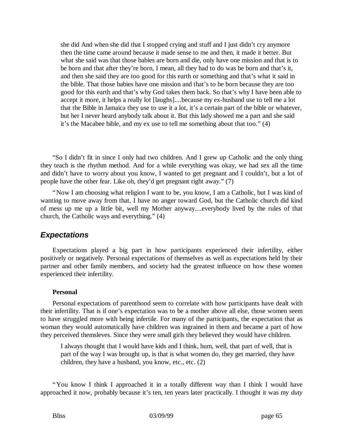she did And when she did that I stopped crying and stuff and I just didn't cry anymore then the time came around because it made sense to me and then, it made it better. But what she said was that those babies are born and die, only have one mission and that is to be born and that after they're born, I mean, all they had to do was be born and that's it, and then she said they are too good for this earth or something and that's what it said in the bible. That those babies have one mission and that's to be born because they are too good for this earth and that's why God takes them back. So that's why I have been able to accept it more, it helps a really lot [laughs]....because my ex-husband use to tell me a lot that the Bible in Jamaica they use to use it a lot, it's a certain part of the bible or whatever, but her I never heard anybody talk about it. But this lady showed me a part and she said it's the Macabee bible, and my ex use to tell me something about that too." (4)

"So I didn't fit in since I only had two children. And I grew up Catholic and the only thing they teach is the rhythm method. And for a while everything was okay, we had sex all the time and didn't have to worry about you know, I wanted to get pregnant and I couldn't, but a lot of people have the other fear. Like oh, they'd get pregnant right away." (7)

"Now I am choosing what religion I want to be, you know, I am a Catholic, but I was kind of wanting to move away from that. I have no anger toward God, but the Catholic church did kind of mess up me up a little bit, well my Mother anyway....everybody lived by the rules of that church, the Catholic ways and everything." (4)

## *Expectations*

Expectations played a big part in how participants experienced their infertility, either positively or negatively. Personal expectations of themselves as well as expectations held by their partner and other family members, and society had the greatest influence on how these women experienced their infertility.

## **Personal**

Personal expectations of parenthood seem to correlate with how participants have dealt with their infertility. That is if one's expectation was to be a mother above all else, those women seem to have struggled more with being infertile. For many of the participants, the expectation that as woman they would automatically have children was ingrained in them and became a part of how they perceived themsleves. Since they were small girls they believed they would have children.

I always thought that I would have kids and I think, hum, well, that part of well, that is part of the way I was brought up, is that is what women do, they get married, they have children, they have a husband, you know, etc., etc. (2)

"You know I think I approached it in a totally different way than I think I would have approached it now, probably because it's ten, ten years later practically. I thought it was my *duty*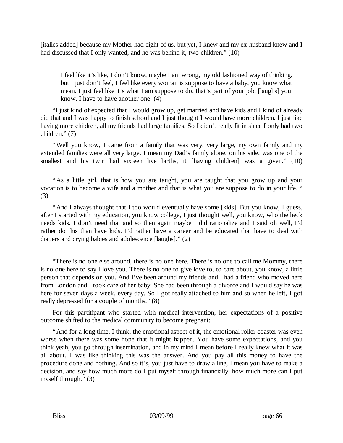[italics added] because my Mother had eight of us. but yet, I knew and my ex-husband knew and I had discussed that I only wanted, and he was behind it, two children." (10)

I feel like it's like, I don't know, maybe I am wrong, my old fashioned way of thinking, but I just don't feel, I feel like every woman is suppose to have a baby, you know what I mean. I just feel like it's what I am suppose to do, that's part of your job, [laughs] you know. I have to have another one. (4)

"I just kind of expected that I would grow up, get married and have kids and I kind of already did that and I was happy to finish school and I just thought I would have more children. I just like having more children, all my friends had large families. So I didn't really fit in since I only had two children." (7)

"Well you know, I came from a family that was very, very large, my own family and my extended families were all very large. I mean my Dad's family alone, on his side, was one of the smallest and his twin had sixteen live births, it [having children] was a given." (10)

"As a little girl, that is how you are taught, you are taught that you grow up and your vocation is to become a wife and a mother and that is what you are suppose to do in your life. " (3)

"And I always thought that I too would eventually have some [kids]. But you know, I guess, after I started with my education, you know college, I just thought well, you know, who the heck needs kids. I don't need that and so then again maybe I did rationalize and I said oh well, I'd rather do this than have kids. I'd rather have a career and be educated that have to deal with diapers and crying babies and adolescence [laughs]." (2)

"There is no one else around, there is no one here. There is no one to call me Mommy, there is no one here to say I love you. There is no one to give love to, to care about, you know, a little person that depends on you. And I've been around my friends and I had a friend who moved here from London and I took care of her baby. She had been through a divorce and I would say he was here for seven days a week, every day. So I got really attached to him and so when he left, I got really depressed for a couple of months." (8)

For this partitipant who started with medical intervention, her expectations of a positive outcome shifted to the medical community to become pregnant:

"And for a long time, I think, the emotional aspect of it, the emotional roller coaster was even worse when there was some hope that it might happen. You have some expectations, and you think yeah, you go through insemination, and in my mind I mean before I really knew what it was all about, I was like thinking this was the answer. And you pay all this money to have the procedure done and nothing. And so it's, you just have to draw a line, I mean you have to make a decision, and say how much more do I put myself through financially, how much more can I put myself through." (3)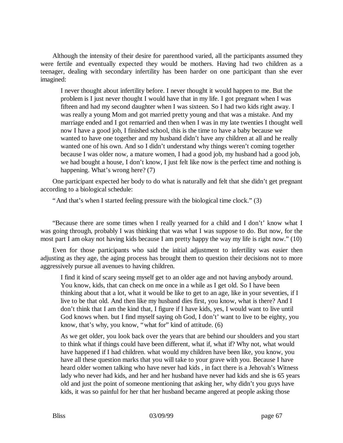Although the intensity of their desire for parenthood varied, all the participants assumed they were fertile and eventually expected they would be mothers. Having had two children as a teenager, dealing with secondary infertility has been harder on one participant than she ever imagined:

I never thought about infertility before. I never thought it would happen to me. But the problem is I just never thought I would have that in my life. I got pregnant when I was fifteen and had my second daughter when I was sixteen. So I had two kids right away. I was really a young Mom and got married pretty young and that was a mistake. And my marriage ended and I got remarried and then when I was in my late twenties I thought well now I have a good job, I finished school, this is the time to have a baby because we wanted to have one together and my husband didn't have any children at all and he really wanted one of his own. And so I didn't understand why things weren't coming together because I was older now, a mature women, I had a good job, my husband had a good job, we had bought a house, I don't know, I just felt like now is the perfect time and nothing is happening. What's wrong here? (7)

One participant expected her body to do what is naturally and felt that she didn't get pregnant according to a biological schedule:

"And that's when I started feeling pressure with the biological time clock." (3)

"Because there are some times when I really yearned for a child and I don't' know what I was going through, probably I was thinking that was what I was suppose to do. But now, for the most part I am okay not having kids because I am pretty happy the way my life is right now." (10)

Even for those participants who said the initial adjustment to infertility was easier then adjusting as they age, the aging process has brought them to question their decisions not to more aggressively pursue all avenues to having children.

I find it kind of scary seeing myself get to an older age and not having anybody around. You know, kids, that can check on me once in a while as I get old. So I have been thinking about that a lot, what it would be like to get to an age, like in your seventies, if I live to be that old. And then like my husband dies first, you know, what is there? And I don't think that I am the kind that, I figure if I have kids, yes, I would want to live until God knows when. but I find myself saying oh God, I don't' want to live to be eighty, you know, that's why, you know, "what for" kind of attitude. (6)

As we get older, you look back over the years that are behind our shoulders and you start to think what if things could have been different, what if, what if? Why not, what would have happened if I had children. what would my children have been like, you know, you have all these question marks that you will take to your grave with you. Because I have heard older women talking who have never had kids , in fact there is a Jehovah's Witness lady who never had kids, and her and her husband have never had kids and she is 65 years old and just the point of someone mentioning that asking her, why didn't you guys have kids, it was so painful for her that her husband became angered at people asking those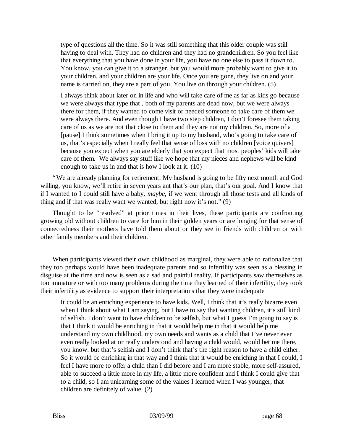type of questions all the time. So it was still something that this older couple was still having to deal with. They had no children and they had no grandchildren. So you feel like that everything that you have done in your life, you have no one else to pass it down to. You know, you can give it to a stranger, but you would more probably want to give it to your children. and your children are your life. Once you are gone, they live on and your name is carried on, they are a part of you. You live on through your children. (5)

I always think about later on in life and who will take care of me as far as kids go because we were always that type that , both of my parents are dead now, but we were always there for them, if they wanted to come visit or needed someone to take care of them we were always there. And even though I have two step children, I don't foresee them taking care of us as we are not that close to them and they are not my children. So, more of a [pause] I think sometimes when I bring it up to my husband, who's going to take care of us, that's especially when I really feel that sense of loss with no children [voice quivers] because you expect when you are elderly that you expect that most peoples' kids will take care of them. We always say stuff like we hope that my nieces and nephews will be kind enough to take us in and that is how I look at it. (10)

"We are already planning for retirement. My husband is going to be fifty next month and God willing, you know, we'll retire in seven years ant that's our plan, that's our goal. And I know that if I wanted to I could still have a baby, *maybe,* if we went through all those tests and all kinds of thing and if that was really want we wanted, but right now it's not." (9)

Thought to be "resolved" at prior times in their lives, these participants are confronting growing old without children to care for him in their golden years or are longing for that sense of connectedness their mothers have told them about or they see in friends with children or with other family members and their children.

When participants viewed their own childhood as marginal, they were able to rationalize that they too perhaps would have been inadequate parents and so infertility was seen as a blessing in disguise at the time and now is seen as a sad and painful reality. If participants saw themselves as too immature or with too many problems during the time they learned of their infertility, they took their infertility as evidence to support their interpretations that they were inadequate

It could be an enriching experience to have kids. Well, I think that it's really bizarre even when I think about what I am saying, but I have to say that wanting children, it's still kind of selfish. I don't want to have children to be selfish, but what I guess I'm going to say is that I think it would be enriching in that it would help me in that it would help me understand my own childhood, my own needs and wants as a child that I've never ever even really looked at or really understood and having a child would, would bet me there, you know. but that's selfish and I don't think that's the right reason to have a child either. So it would be enriching in that way and I think that it would be enriching in that I could, I feel I have more to offer a child than I did before and I am more stable, more self-assured, able to succeed a little more in my life, a little more confident and I think I could give that to a child, so I am unlearning some of the values I learned when I was younger, that children are definitely of value. (2)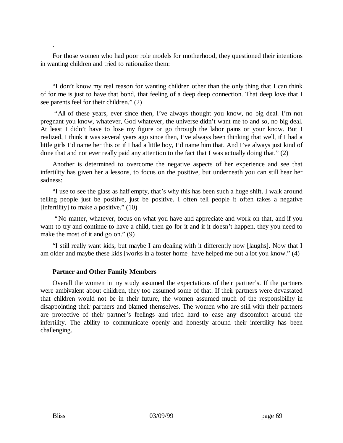For those women who had poor role models for motherhood, they questioned their intentions in wanting children and tried to rationalize them:

"I don't know my real reason for wanting children other than the only thing that I can think of for me is just to have that bond, that feeling of a deep deep connection. That deep love that I see parents feel for their children." (2)

 "All of these years, ever since then, I've always thought you know, no big deal. I'm not pregnant you know, whatever, God whatever, the universe didn't want me to and so, no big deal. At least I didn't have to lose my figure or go through the labor pains or your know. But I realized, I think it was several years ago since then, I've always been thinking that well, if I had a little girls I'd name her this or if I had a little boy, I'd name him that. And I've always just kind of done that and not ever really paid any attention to the fact that I was actually doing that." (2)

Another is determined to overcome the negative aspects of her experience and see that infertility has given her a lessons, to focus on the positive, but underneath you can still hear her sadness:

"I use to see the glass as half empty, that's why this has been such a huge shift. I walk around telling people just be positive, just be positive. I often tell people it often takes a negative [infertility] to make a positive."  $(10)$ 

 "No matter, whatever, focus on what you have and appreciate and work on that, and if you want to try and continue to have a child, then go for it and if it doesn't happen, they you need to make the most of it and go on." (9)

"I still really want kids, but maybe I am dealing with it differently now [laughs]. Now that I am older and maybe these kids [works in a foster home] have helped me out a lot you know." (4)

### **Partner and Other Family Members**

Overall the women in my study assumed the expectations of their partner's. If the partners were ambivalent about children, they too assumed some of that. If their partners were devastated that children would not be in their future, the women assumed much of the responsibility in disappointing their partners and blamed themselves. The women who are still with their partners are protective of their partner's feelings and tried hard to ease any discomfort around the infertility. The ability to communicate openly and honestly around their infertility has been challenging.

.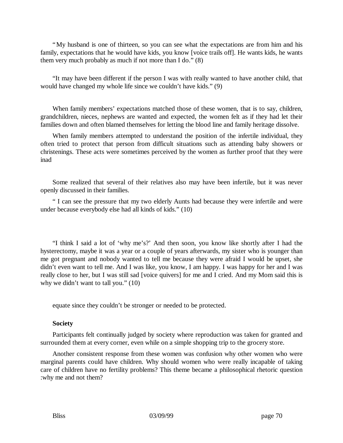"My husband is one of thirteen, so you can see what the expectations are from him and his family, expectations that he would have kids, you know [voice trails off]. He wants kids, he wants them very much probably as much if not more than I do." (8)

"It may have been different if the person I was with really wanted to have another child, that would have changed my whole life since we couldn't have kids." (9)

When family members' expectations matched those of these women, that is to say, children, grandchildren, nieces, nephews are wanted and expected, the women felt as if they had let their families down and often blamed themselves for letting the blood line and family heritage dissolve.

When family members attempted to understand the position of the infertile individual, they often tried to protect that person from difficult situations such as attending baby showers or christenings. These acts were sometimes perceived by the women as further proof that they were inad

Some realized that several of their relatives also may have been infertile, but it was never openly discussed in their families.

" I can see the pressure that my two elderly Aunts had because they were infertile and were under because everybody else had all kinds of kids." (10)

"I think I said a lot of 'why me's?' And then soon, you know like shortly after I had the hysterectomy, maybe it was a year or a couple of years afterwards, my sister who is younger than me got pregnant and nobody wanted to tell me because they were afraid I would be upset, she didn't even want to tell me. And I was like, you know, I am happy. I was happy for her and I was really close to her, but I was still sad [voice quivers] for me and I cried. And my Mom said this is why we didn't want to tall you." (10)

equate since they couldn't be stronger or needed to be protected.

### **Society**

Participants felt continually judged by society where reproduction was taken for granted and surrounded them at every corner, even while on a simple shopping trip to the grocery store.

Another consistent response from these women was confusion why other women who were marginal parents could have children. Why should women who were really incapable of taking care of children have no fertility problems? This theme became a philosophical rhetoric question :why me and not them?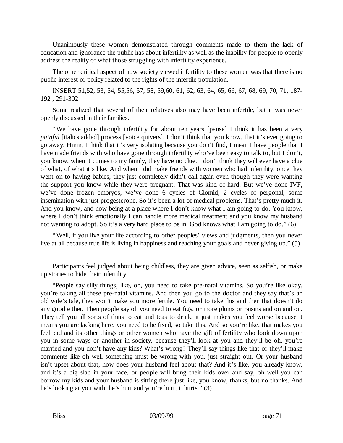Unanimously these women demonstrated through comments made to them the lack of education and ignorance the public has about infertility as well as the inability for people to openly address the reality of what those struggling with infertility experience.

The other critical aspect of how society viewed infertility to these women was that there is no public interest or policy related to the rights of the infertile population.

INSERT 51,52, 53, 54, 55,56, 57, 58, 59,60, 61, 62, 63, 64, 65, 66, 67, 68, 69, 70, 71, 187- 192 , 291-302

Some realized that several of their relatives also may have been infertile, but it was never openly discussed in their families.

"We have gone through infertility for about ten years [pause] I think it has been a very *painful* [italics added] process [voice quivers]. I don't think that you know, that it's ever going to go away. Hmm, I think that it's very isolating because you don't find, I mean I have people that I have made friends with who have gone through infertility who've been easy to talk to, but I don't, you know, when it comes to my family, they have no clue. I don't think they will ever have a clue of what, of what it's like. And when I did make friends with women who had infertility, once they went on to having babies, they just completely didn't call again even though they were wanting the support you know while they were pregnant. That was kind of hard. But we've done IVF, we've done frozen embryos, we've done 6 cycles of Clomid, 2 cycles of pergonal, some insemination with just progesterone. So it's been a lot of medical problems. That's pretty much it. And you know, and now being at a place where I don't know what I am going to do. You know, where I don't think emotionally I can handle more medical treatment and you know my husband not wanting to adopt. So it's a very hard place to be in. God knows what I am going to do." (6)

"Well, if you live your life according to other peoples' views and judgments, then you never live at all because true life is living in happiness and reaching your goals and never giving up." (5)

Participants feel judged about being childless, they are given advice, seen as selfish, or make up stories to hide their infertility.

"People say silly things, like, oh, you need to take pre-natal vitamins. So you're like okay, you're taking all these pre-natal vitamins. And then you go to the doctor and they say that's an old wife's tale, they won't make you more fertile. You need to take this and then that doesn't do any good either. Then people say oh you need to eat figs, or more plums or raisins and on and on. They tell you all sorts of thins to eat and teas to drink, it just makes you feel worse because it means you are lacking here, you need to be fixed, so take this. And so you're like, that makes you feel bad and its other things or other women who have the gift of fertility who look down upon you in some ways or another in society, because they'll look at you and they'll be oh, you're married and you don't have any kids? What's wrong? They'll say things like that or they'll make comments like oh well something must be wrong with you, just straight out. Or your husband isn't upset about that, how does your husband feel about that? And it's like, you already know, and it's a big slap in your face, or people will bring their kids over and say, oh well you can borrow my kids and your husband is sitting there just like, you know, thanks, but no thanks. And he's looking at you with, he's hurt and you're hurt, it hurts." (3)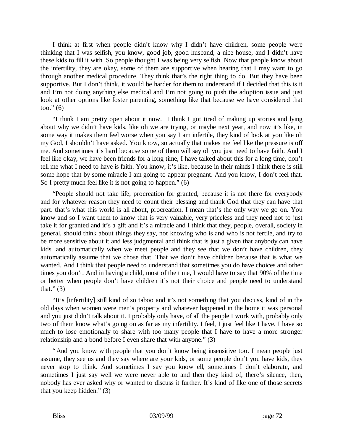I think at first when people didn't know why I didn't have children, some people were thinking that I was selfish, you know, good job, good husband, a nice house, and I didn't have these kids to fill it with. So people thought I was being very selfish. Now that people know about the infertility, they are okay, some of them are supportive when hearing that I may want to go through another medical procedure. They think that's the right thing to do. But they have been supportive. But I don't think, it would be harder for them to understand if I decided that this is it and I'm not doing anything else medical and I'm not going to push the adoption issue and just look at other options like foster parenting, something like that because we have considered that too." (6)

"I think I am pretty open about it now. I think I got tired of making up stories and lying about why we didn't have kids, like oh we are trying, or maybe next year, and now it's like, in some way it makes them feel worse when you say I am infertile, they kind of look at you like oh my God, I shouldn't have asked. You know, so actually that makes me feel like the pressure is off me. And sometimes it's hard because some of them will say oh you just need to have faith. And I feel like okay, we have been friends for a long time, I have talked about this for a long time, don't tell me what I need to have is faith. You know, it's like, because in their minds I think there is still some hope that by some miracle I am going to appear pregnant. And you know, I don't feel that. So I pretty much feel like it is not going to happen." (6)

"People should not take life, procreation for granted, because it is not there for everybody and for whatever reason they need to count their blessing and thank God that they can have that part. that's what this world is all about, procreation. I mean that's the only way we go on. You know and so I want them to know that is very valuable, very priceless and they need not to just take it for granted and it's a gift and it's a miracle and I think that they, people, overall, society in general, should think about things they say, not knowing who is and who is not fertile, and try to be more sensitive about it and less judgmental and think that is just a given that anybody can have kids. and automatically when we meet people and they see that we don't have children, they automatically assume that we chose that. That we don't have children because that is what we wanted. And I think that people need to understand that sometimes you do have choices and other times you don't. And in having a child, most of the time, I would have to say that 90% of the time or better when people don't have children it's not their choice and people need to understand that." $(3)$ 

"It's [infertility] still kind of so taboo and it's not something that you discuss, kind of in the old days when women were men's property and whatever happened in the home it was personal and you just didn't talk about it. I probably only have, of all the people I work with, probably only two of them know what's going on as far as my infertility. I feel, I just feel like I have, I have so much to lose emotionally to share with too many people that I have to have a more stronger relationship and a bond before I even share that with anyone." (3)

"And you know with people that you don't know being insensitive too. I mean people just assume, they see us and they say where are your kids, or some people don't you have kids, they never stop to think. And sometimes I say you know ell, sometimes I don't elaborate, and sometimes I just say well we were never able to and then they kind of, there's silence, then, nobody has ever asked why or wanted to discuss it further. It's kind of like one of those secrets that you keep hidden." (3)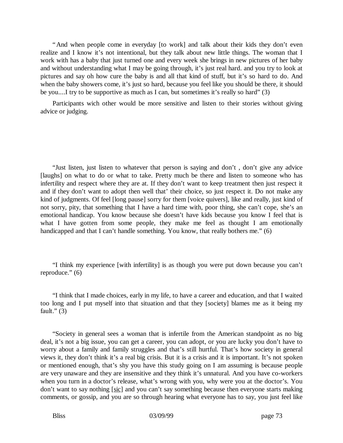"And when people come in everyday [to work] and talk about their kids they don't even realize and I know it's not intentional, but they talk about new little things. The woman that I work with has a baby that just turned one and every week she brings in new pictures of her baby and without understanding what I may be going through, it's just real hard. and you try to look at pictures and say oh how cure the baby is and all that kind of stuff, but it's so hard to do. And when the baby showers come, it's just so hard, because you feel like you should be there, it should be you....I try to be supportive as much as I can, but sometimes it's really so hard" (3)

Participants wich other would be more sensitive and listen to their stories without giving advice or judging.

"Just listen, just listen to whatever that person is saying and don't , don't give any advice [laughs] on what to do or what to take. Pretty much be there and listen to someone who has infertility and respect where they are at. If they don't want to keep treatment then just respect it and if they don't want to adopt then well that' their choice, so just respect it. Do not make any kind of judgments. Of feel [long pause] sorry for them [voice quivers], like and really, just kind of not sorry, pity, that something that I have a hard time with, poor thing, she can't cope, she's an emotional handicap. You know because she doesn't have kids because you know I feel that is what I have gotten from some people, they make me feel as thought I am emotionally handicapped and that I can't handle something. You know, that really bothers me." (6)

"I think my experience [with infertility] is as though you were put down because you can't reproduce." $(6)$ 

"I think that I made choices, early in my life, to have a career and education, and that I waited too long and I put myself into that situation and that they [society] blames me as it being my fault." $(3)$ 

"Society in general sees a woman that is infertile from the American standpoint as no big deal, it's not a big issue, you can get a career, you can adopt, or you are lucky you don't have to worry about a family and family struggles and that's still hurtful. That's how society in general views it, they don't think it's a real big crisis. But it is a crisis and it is important. It's not spoken or mentioned enough, that's shy you have this study going on I am assuming is because people are very unaware and they are insensitive and they think it's unnatural. And you have co-workers when you turn in a doctor's release, what's wrong with you, why were you at the doctor's. You don't want to say nothing [sic] and you can't say something because then everyone starts making comments, or gossip, and you are so through hearing what everyone has to say, you just feel like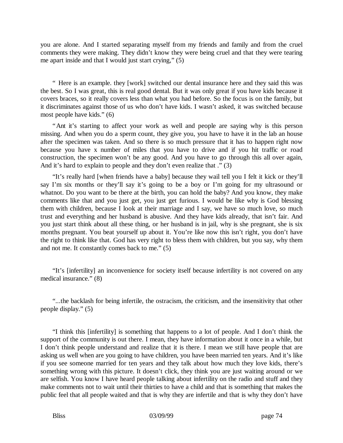you are alone. And I started separating myself from my friends and family and from the cruel comments they were making. They didn't know they were being cruel and that they were tearing me apart inside and that I would just start crying,"  $(5)$ 

" Here is an example. they [work] switched our dental insurance here and they said this was the best. So I was great, this is real good dental. But it was only great if you have kids because it covers braces, so it really covers less than what you had before. So the focus is on the family, but it discriminates against those of us who don't have kids. I wasn't asked, it was switched because most people have kids." (6)

"Ant it's starting to affect your work as well and people are saying why is this person missing. And when you do a sperm count, they give you, you have to have it in the lab an house after the specimen was taken. And so there is so much pressure that it has to happen right now because you have x number of miles that you have to drive and if you hit traffic or road construction, the specimen won't be any good. And you have to go through this all over again, And it's hard to explain to people and they don't even realize that ." (3)

"It's really hard [when friends have a baby] because they wail tell you I felt it kick or they'll say I'm six months or they'll say it's going to be a boy or I'm going for my ultrasound or whatnot. Do you want to be there at the birth, you can hold the baby? And you know, they make comments like that and you just get, you just get furious. I would be like why is God blessing them with children, because I look at their marriage and I say, we have so much love, so much trust and everything and her husband is abusive. And they have kids already, that isn't fair. And you just start think about all these thing, or her husband is in jail, why is she pregnant, she is six months pregnant. You beat yourself up about it. You're like now this isn't right, you don't have the right to think like that. God has very right to bless them with children, but you say, why them and not me. It constantly comes back to me." (5)

"It's [infertility] an inconvenience for society itself because infertility is not covered on any medical insurance." (8)

"...the backlash for being infertile, the ostracism, the criticism, and the insensitivity that other people display." (5)

"I think this [infertility] is something that happens to a lot of people. And I don't think the support of the community is out there. I mean, they have information about it once in a while, but I don't think people understand and realize that it is there. I mean we still have people that are asking us well when are you going to have children, you have been married ten years. And it's like if you see someone married for ten years and they talk about how much they love kids, there's something wrong with this picture. It doesn't click, they think you are just waiting around or we are selfish. You know I have heard people talking about infertility on the radio and stuff and they make comments not to wait until their thirties to have a child and that is something that makes the public feel that all people waited and that is why they are infertile and that is why they don't have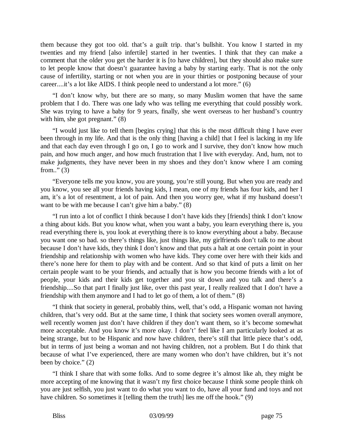them because they got too old. that's a guilt trip. that's bullshit. You know I started in my twenties and my friend [also infertile] started in her twenties. I think that they can make a comment that the older you get the harder it is [to have children], but they should also make sure to let people know that doesn't guarantee having a baby by starting early. That is not the only cause of infertility, starting or not when you are in your thirties or postponing because of your career....it's a lot like AIDS. I think people need to understand a lot more." (6)

"I don't know why, but there are so many, so many Muslim women that have the same problem that I do. There was one lady who was telling me everything that could possibly work. She was trying to have a baby for 9 years, finally, she went overseas to her husband's country with him, she got pregnant." (8)

"I would just like to tell them [begins crying] that this is the most difficult thing I have ever been through in my life. And that is the only thing [having a child] that I feel is lacking in my life and that each day even through I go on, I go to work and I survive, they don't know how much pain, and how much anger, and how much frustration that I live with everyday. And, hum, not to make judgments, they have never been in my shoes and they don't know where I am coming from.." $(3)$ 

"Everyone tells me you know, you are young, you're still young. But when you are ready and you know, you see all your friends having kids, I mean, one of my friends has four kids, and her I am, it's a lot of resentment, a lot of pain. And then you worry gee, what if my husband doesn't want to be with me because I can't give him a baby." (8)

"I run into a lot of conflict I think because I don't have kids they [friends] think I don't know a thing about kids. But you know what, when you want a baby, you learn everything there is, you read everything there is, you look at everything there is to know everything about a baby. Because you want one so bad. so there's things like, just things like, my girlfriends don't talk to me about because I don't have kids, they think I don't know and that puts a halt at one certain point in your friendship and relationship with women who have kids. They come over here with their kids and there's none here for them to play with and be content. And so that kind of puts a limit on her certain people want to be your friends, and actually that is how you become friends with a lot of people, your kids and their kids get together and you sit down and you talk and there's a friendship....So that part I finally just like, over this past year, I really realized that I don't have a friendship with them anymore and I had to let go of them, a lot of them." (8)

"I think that society in general, probably thins, well, that's odd, a Hispanic woman not having children, that's very odd. But at the same time, I think that society sees women overall anymore, well recently women just don't have children if they don't want them, so it's become somewhat more acceptable. And you know it's more okay. I don't' feel like I am particularly looked at as being strange, but to be Hispanic and now have children, there's still that little piece that's odd, but in terms of just being a woman and not having children, not a problem. But I do think that because of what I've experienced, there are many women who don't have children, but it's not been by choice." (2)

"I think I share that with some folks. And to some degree it's almost like ah, they might be more accepting of me knowing that it wasn't my first choice because I think some people think oh you are just selfish, you just want to do what you want to do, have all your fund and toys and not have children. So sometimes it [telling them the truth] lies me off the hook." (9)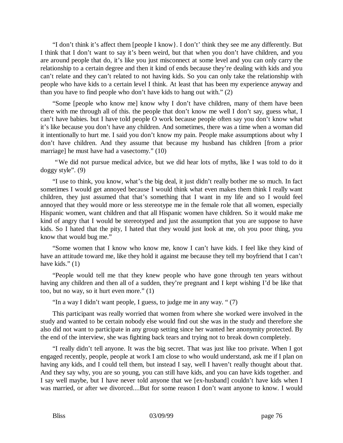"I don't think it's affect them [people I know}. I don't' think they see me any differently. But I think that I don't want to say it's been weird, but that when you don't have children, and you are around people that do, it's like you just misconnect at some level and you can only carry the relationship to a certain degree and then it kind of ends because they're dealing with kids and you can't relate and they can't related to not having kids. So you can only take the relationship with people who have kids to a certain level I think. At least that has been my experience anyway and than you have to find people who don't have kids to hang out with." (2)

"Some [people who know me] know why I don't have children, many of them have been there with me through all of this. the people that don't know me well I don't say, guess what, I can't have babies. but I have told people O work because people often say you don't know what it's like because you don't have any children. And sometimes, there was a time when a woman did it intentionally to hurt me. I said you don't know my pain. People make assumptions about why I don't have children. And they assume that because my husband has children [from a prior marriage] he must have had a vasectomy." (10)

 "We did not pursue medical advice, but we did hear lots of myths, like I was told to do it doggy style". (9)

"I use to think, you know, what's the big deal, it just didn't really bother me so much. In fact sometimes I would get annoyed because I would think what even makes them think I really want children, they just assumed that that's something that I want in my life and so I would feel annoyed that they would more or less stereotype me in the female role that all women, especially Hispanic women, want children and that all Hispanic women have children. So it would make me kind of angry that I would be stereotyped and just the assumption that you are suppose to have kids. So I hated that the pity, I hated that they would just look at me, oh you poor thing, you know that would bug me."

"Some women that I know who know me, know I can't have kids. I feel like they kind of have an attitude toward me, like they hold it against me because they tell my boyfriend that I can't have kids." (1)

"People would tell me that they knew people who have gone through ten years without having any children and then all of a sudden, they're pregnant and I kept wishing I'd be like that too, but no way, so it hurt even more." (1)

"In a way I didn't want people, I guess, to judge me in any way. " (7)

This participant was really worried that women from where she worked were involved in the study and wanted to be certain nobody else would find out she was in the study and therefore she also did not want to participate in any group setting since her wanted her anonymity protected. By the end of the interview, she was fighting back tears and trying not to break down completely.

"I really didn't tell anyone. It was the big secret. That was just like too private. When I got engaged recently, people, people at work I am close to who would understand, ask me if I plan on having any kids, and I could tell them, but instead I say, well I haven't really thought about that. And they say why, you are so young, you can still have kids, and you can have kids together. and I say well maybe, but I have never told anyone that we [ex-husband] couldn't have kids when I was married, or after we divorced....But for some reason I don't want anyone to know. I would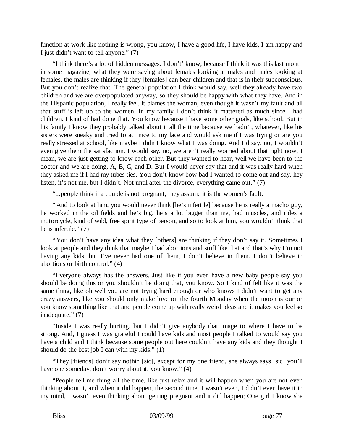function at work like nothing is wrong, you know, I have a good life, I have kids, I am happy and I just didn't want to tell anyone." (7)

"I think there's a lot of hidden messages. I don't' know, because I think it was this last month in some magazine, what they were saying about females looking at males and males looking at females, the males are thinking if they [females] can bear children and that is in their subconscious. But you don't realize that. The general population I think would say, well they already have two children and we are overpopulated anyway, so they should be happy with what they have. And in the Hispanic population, I really feel, it blames the woman, even though it wasn't my fault and all that stuff is left up to the women. In my family I don't think it mattered as much since I had children. I kind of had done that. You know because I have some other goals, like school. But in his family I know they probably talked about it all the time because we hadn't, whatever, like his sisters were sneaky and tried to act nice to my face and would ask me if I was trying or are you really stressed at school, like maybe I didn't know what I was doing. And I'd say, no, I wouldn't even give them the satisfaction. I would say, no, we aren't really worried about that right now, I mean, we are just getting to know each other. But they wanted to hear, well we have been to the doctor and we are doing, A, B, C, and D. But I would never say that and it was really hard when they asked me if I had my tubes ties. You don't know bow bad I wanted to come out and say, hey listen, it's not me, but I didn't. Not until after the divorce, everything came out." (7)

"...people think if a couple is not pregnant, they assume it is the women's fault:

"And to look at him, you would never think [he's infertile] because he is really a macho guy, he worked in the oil fields and he's big, he's a lot bigger than me, had muscles, and rides a motorcycle, kind of wild, free spirit type of person, and so to look at him, you wouldn't think that he is infertile." (7)

"You don't have any idea what they [others] are thinking if they don't say it. Sometimes I look at people and they think that maybe I had abortions and stuff like that and that's why I'm not having any kids. but I've never had one of them, I don't believe in them. I don't believe in abortions or birth control." (4)

"Everyone always has the answers. Just like if you even have a new baby people say you should be doing this or you shouldn't be doing that, you know. So I kind of felt like it was the same thing, like oh well you are not trying hard enough or who knows I didn't want to get any crazy answers, like you should only make love on the fourth Monday when the moon is our or you know something like that and people come up with really weird ideas and it makes you feel so inadequate." (7)

"Inside I was really hurting, but I didn't give anybody that image to where I have to be strong. And, I guess I was grateful I could have kids and most people I talked to would say you have a child and I think because some people out here couldn't have any kids and they thought I should do the best job I can with my kids." (1)

"They [friends] don't say nothin [sic], except for my one friend, she always says [sic] you'll have one someday, don't worry about it, you know." (4)

"People tell me thing all the time, like just relax and it will happen when you are not even thinking about it, and when it did happen, the second time, I wasn't even, I didn't even have it in my mind, I wasn't even thinking about getting pregnant and it did happen; One girl I know she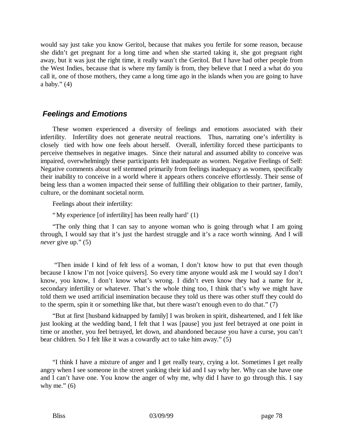would say just take you know Geritol, because that makes you fertile for some reason, because she didn't get pregnant for a long time and when she started taking it, she got pregnant right away, but it was just the right time, it really wasn't the Geritol. But I have had other people from the West Indies, because that is where my family is from, they believe that I need a what do you call it, one of those mothers, they came a long time ago in the islands when you are going to have a baby." $(4)$ 

# *Feelings and Emotions*

These women experienced a diversity of feelings and emotions associated with their infertility. Infertility does not generate neutral reactions. Thus, narrating one's infertility is closely tied with how one feels about herself. Overall, infertility forced these participants to perceive themselves in negative images. Since their natural and assumed ability to conceive was impaired, overwhelmingly these participants felt inadequate as women. Negative Feelings of Self: Negative comments about self stemmed primarily from feelings inadequacy as women, specifically their inability to conceive in a world where it appears others conceive effortlessly. Their sense of being less than a women impacted their sense of fulfilling their obligation to their partner, family, culture, or the dominant societal norm.

Feelings about their infertility:

"My experience [of infertility] has been really hard' (1)

"The only thing that I can say to anyone woman who is going through what I am going through, I would say that it's just the hardest struggle and it's a race worth winning. And I will *never* give up." (5)

 "Then inside I kind of felt less of a woman, I don't know how to put that even though because I know I'm not [voice quivers]. So every time anyone would ask me I would say I don't know, you know, I don't know what's wrong. I didn't even know they had a name for it, secondary infertility or whatever. That's the whole thing too, I think that's why we might have told them we used artificial insemination because they told us there was other stuff they could do to the sperm, spin it or something like that, but there wasn't enough even to do that." (7)

"But at first [husband kidnapped by family] I was broken in spirit, disheartened, and I felt like just looking at the wedding band, I felt that I was [pause] you just feel betrayed at one point in time or another, you feel betrayed, let down, and abandoned because you have a curse, you can't bear children. So I felt like it was a cowardly act to take him away." (5)

"I think I have a mixture of anger and I get really teary, crying a lot. Sometimes I get really angry when I see someone in the street yanking their kid and I say why her. Why can she have one and I can't have one. You know the anger of why me, why did I have to go through this. I say why me."  $(6)$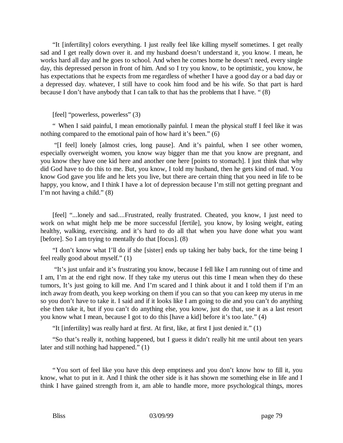"It [infertility] colors everything. I just really feel like killing myself sometimes. I get really sad and I get really down over it. and my husband doesn't understand it, you know. I mean, he works hard all day and he goes to school. And when he comes home he doesn't need, every single day, this depressed person in front of him. And so I try you know, to be optimistic, you know, he has expectations that he expects from me regardless of whether I have a good day or a bad day or a depressed day. whatever, I still have to cook him food and be his wife. So that part is hard because I don't have anybody that I can talk to that has the problems that I have. " (8)

[feel] "powerless, powerless" (3)

" When I said painful, I mean emotionally painful. I mean the physical stuff I feel like it was nothing compared to the emotional pain of how hard it's been." (6)

 "[I feel] lonely [almost cries, long pause]. And it's painful, when I see other women, especially overweight women, you know way bigger than me that you know are pregnant, and you know they have one kid here and another one here [points to stomach]. I just think that why did God have to do this to me. But, you know, I told my husband, then he gets kind of mad. You know God gave you life and he lets you live, but there are certain thing that you need in life to be happy, you know, and I think I have a lot of depression because I'm still not getting pregnant and I'm not having a child." (8)

[feel] "...lonely and sad....Frustrated, really frustrated. Cheated, you know, I just need to work on what might help me be more successful [fertile], you know, by losing weight, eating healthy, walking, exercising. and it's hard to do all that when you have done what you want [before]. So I am trying to mentally do that [focus]. (8)

"I don't know what I'll do if she [sister] ends up taking her baby back, for the time being I feel really good about myself." (1)

 "It's just unfair and it's frustrating you know, because I fell like I am running out of time and I am, I'm at the end right now. If they take my uterus out this time I mean when they do these tumors, It's just going to kill me. And I'm scared and I think about it and I told them if I'm an inch away from death, you keep working on them if you can so that you can keep my uterus in me so you don't have to take it. I said and if it looks like I am going to die and you can't do anything else then take it, but if you can't do anything else, you know, just do that, use it as a last resort you know what I mean, because I got to do this [have a kid] before it's too late." (4)

"It [infertility] was really hard at first. At first, like, at first I just denied it." (1)

"So that's really it, nothing happened, but I guess it didn't really hit me until about ten years later and still nothing had happened." (1)

"You sort of feel like you have this deep emptiness and you don't know how to fill it, you know, what to put in it. And I think the other side is it has shown me something else in life and I think I have gained strength from it, am able to handle more, more psychological things, mores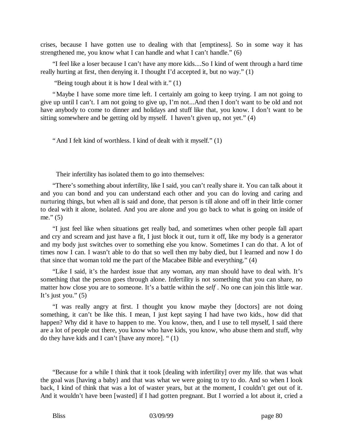crises, because I have gotten use to dealing with that [emptiness]. So in some way it has strengthened me, you know what I can handle and what I can't handle." (6)

"I feel like a loser because I can't have any more kids....So I kind of went through a hard time really hurting at first, then denying it. I thought I'd accepted it, but no way." (1)

"Being tough about it is how I deal with it." (1)

"Maybe I have some more time left. I certainly am going to keep trying. I am not going to give up until I can't. I am not going to give up, I'm not...And then I don't want to be old and not have anybody to come to dinner and holidays and stuff like that, you know. I don't want to be sitting somewhere and be getting old by myself. I haven't given up, not yet." (4)

"And I felt kind of worthless. I kind of dealt with it myself." (1)

Their infertility has isolated them to go into themselves:

"There's something about infertility, like I said, you can't really share it. You can talk about it and you can bond and you can understand each other and you can do loving and caring and nurturing things, but when all is said and done, that person is till alone and off in their little corner to deal with it alone, isolated. And you are alone and you go back to what is going on inside of me." $(5)$ 

"I just feel like when situations get really bad, and sometimes when other people fall apart and cry and scream and just have a fit, I just block it out, turn it off, like my body is a generator and my body just switches over to something else you know. Sometimes I can do that. A lot of times now I can. I wasn't able to do that so well then my baby died, but I learned and now I do that since that woman told me the part of the Macabee Bible and everything." (4)

"Like I said, it's the hardest issue that any woman, any man should have to deal with. It's something that the person goes through alone. Infertility is not something that you can share, no matter how close you are to someone. It's a battle within the *self* . No one can join this little war. It's just you."  $(5)$ 

"I was really angry at first. I thought you know maybe they [doctors] are not doing something, it can't be like this. I mean, I just kept saying I had have two kids., how did that happen? Why did it have to happen to me. You know, then, and I use to tell myself, I said there are a lot of people out there, you know who have kids, you know, who abuse them and stuff, why do they have kids and I can't [have any more]. " (1)

"Because for a while I think that it took [dealing with infertility] over my life. that was what the goal was [having a baby} and that was what we were going to try to do. And so when I look back, I kind of think that was a lot of waster years, but at the moment, I couldn't get out of it. And it wouldn't have been [wasted] if I had gotten pregnant. But I worried a lot about it, cried a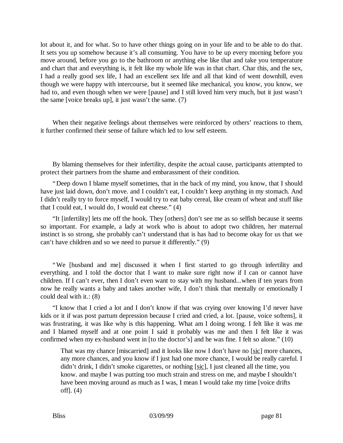lot about it, and for what. So to have other things going on in your life and to be able to do that. It sets you up somehow because it's all consuming. You have to be up every morning before you move around, before you go to the bathroom or anything else like that and take you temperature and chart that and everything is, it felt like my whole life was in that chart. Char this, and the sex, I had a really good sex life, I had an excellent sex life and all that kind of went downhill, even though we were happy with intercourse, but it seemed like mechanical, you know, you know, we had to, and even though when we were [pause] and I still loved him very much, but it just wasn't the same [voice breaks up], it just wasn't the same. (7)

When their negative feelings about themselves were reinforced by others' reactions to them, it further confirmed their sense of failure which led to low self esteem.

By blaming themselves for their infertility, despite the actual cause, participants attempted to protect their partners from the shame and embarassment of their condition.

"Deep down I blame myself sometimes, that in the back of my mind, you know, that I should have just laid down, don't move. and I couldn't eat, I couldn't keep anything in my stomach. And I didn't really try to force myself, I would try to eat baby cereal, like cream of wheat and stuff like that I could eat, I would do, I would eat cheese." $(4)$ 

"It [infertility] lets me off the hook. They [others] don't see me as so selfish because it seems so important. For example, a lady at work who is about to adopt two children, her maternal instinct is so strong, she probably can't understand that is has had to become okay for us that we can't have children and so we need to pursue it differently." (9)

"We [husband and me] discussed it when I first started to go through infertility and everything. and I told the doctor that I want to make sure right now if I can or cannot have children. If I can't ever, then I don't even want to stay with my husband...when if ten years from now he really wants a baby and takes another wife, I don't think that mentally or emotionally I could deal with it.: (8)

"I know that I cried a lot and I don't know if that was crying over knowing I'd never have kids or it if was post partum depression because I cried and cried, a lot. [pause, voice softens], it was frustrating, it was like why is this happening. What am I doing wrong. I felt like it was me and I blamed myself and at one point I said it probably was me and then I felt like it was confirmed when my ex-husband went in [to the doctor's] and he was fine. I felt so alone." (10)

That was my chance [miscarried] and it looks like now I don't have no [sic] more chances, any more chances, and you know if I just had one more chance, I would be really careful. I didn't drink, I didn't smoke cigarettes, or nothing [sic], I just cleaned all the time, you know. and maybe I was putting too much strain and stress on me, and maybe I shouldn't have been moving around as much as I was, I mean I would take my time [voice drifts off]. (4)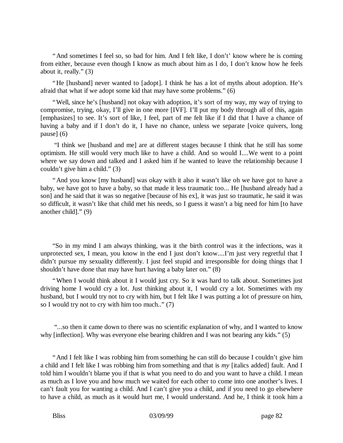"And sometimes I feel so, so bad for him. And I felt like, I don't' know where he is coming from either, because even though I know as much about him as I do, I don't know how he feels about it, really." (3)

"He [husband] never wanted to [adopt]. I think he has a lot of myths about adoption. He's afraid that what if we adopt some kid that may have some problems." (6)

"Well, since he's [husband] not okay with adoption, it's sort of my way, my way of trying to compromise, trying, okay, I'll give in one more [IVF]. I'll put my body through all of this, again [emphasizes] to see. It's sort of like, I feel, part of me felt like if I did that I have a chance of having a baby and if I don't do it, I have no chance, unless we separate [voice quivers, long pause] (6)

 "I think we [husband and me] are at different stages because I think that he still has some optimism. He still would very much like to have a child. And so would I....We went to a point where we say down and talked and I asked him if he wanted to leave the relationship because I couldn't give him a child." (3)

"And you know [my husband] was okay with it also it wasn't like oh we have got to have a baby, we have got to have a baby, so that made it less traumatic too... He [husband already had a son] and he said that it was so negative [because of his ex], it was just so traumatic, he said it was so difficult, it wasn't like that child met his needs, so I guess it wasn't a big need for him [to have another child]." (9)

"So in my mind I am always thinking, was it the birth control was it the infections, was it unprotected sex, I mean, you know in the end I just don't know....I'm just very regretful that I didn't pursue my sexuality differently. I just feel stupid and irresponsible for doing things that I shouldn't have done that may have hurt having a baby later on." (8)

"When I would think about it I would just cry. So it was hard to talk about. Sometimes just driving home I would cry a lot. Just thinking about it, I would cry a lot. Sometimes with my husband, but I would try not to cry with him, but I felt like I was putting a lot of pressure on him, so I would try not to cry with him too much.." (7)

 "...so then it came down to there was no scientific explanation of why, and I wanted to know why [inflection]. Why was everyone else bearing children and I was not bearing any kids." (5)

"And I felt like I was robbing him from something he can still do because I couldn't give him a child and I felt like I was robbing him from something and that is *my* [italics added] fault. And I told him I wouldn't blame you if that is what you need to do and you want to have a child. I mean as much as I love you and how much we waited for each other to come into one another's lives. I can't fault you for wanting a child. And I can't give you a child, and if you need to go elsewhere to have a child, as much as it would hurt me, I would understand. And he, I think it took him a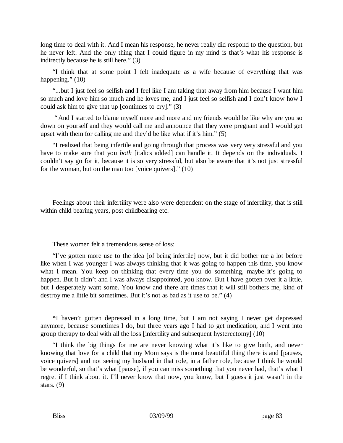long time to deal with it. And I mean his response, he never really did respond to the question, but he never left. And the only thing that I could figure in my mind is that's what his response is indirectly because he is still here." (3)

"I think that at some point I felt inadequate as a wife because of everything that was happening." (10)

"...but I just feel so selfish and I feel like I am taking that away from him because I want him so much and love him so much and he loves me, and I just feel so selfish and I don't know how I could ask him to give that up [continues to cry]." (3)

 "And I started to blame myself more and more and my friends would be like why are you so down on yourself and they would call me and announce that they were pregnant and I would get upset with them for calling me and they'd be like what if it's him." (5)

"I realized that being infertile and going through that process was very very stressful and you have to make sure that you *both* [italics added] can handle it. It depends on the individuals. I couldn't say go for it, because it is so very stressful, but also be aware that it's not just stressful for the woman, but on the man too [voice quivers]." (10)

Feelings about their infertility were also were dependent on the stage of infertility, that is still within child bearing years, post childbearing etc.

#### These women felt a tremendous sense of loss:

"I've gotten more use to the idea [of being infertile] now, but it did bother me a lot before like when I was younger I was always thinking that it was going to happen this time, you know what I mean. You keep on thinking that every time you do something, maybe it's going to happen. But it didn't and I was always disappointed, you know. But I have gotten over it a little, but I desperately want some. You know and there are times that it will still bothers me, kind of destroy me a little bit sometimes. But it's not as bad as it use to be." (4)

**"**I haven't gotten depressed in a long time, but I am not saying I never get depressed anymore, because sometimes I do, but three years ago I had to get medication, and I went into group therapy to deal with all the loss [infertility and subsequent hysterectomy] (10)

"I think the big things for me are never knowing what it's like to give birth, and never knowing that love for a child that my Mom says is the most beautiful thing there is and [pauses, voice quivers] and not seeing my husband in that role, in a father role, because I think he would be wonderful, so that's what [pause], if you can miss something that you never had, that's what I regret if I think about it. I'll never know that now, you know, but I guess it just wasn't in the stars. (9)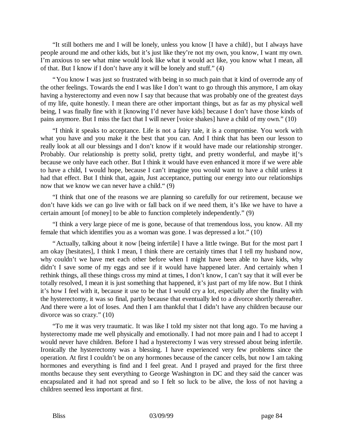"It still bothers me and I will be lonely, unless you know [I have a child}, but I always have people around me and other kids, but it's just like they're not my own, you know, I want my own. I'm anxious to see what mine would look like what it would act like, you know what I mean, all of that. But I know if I don't have any it will be lonely and stuff." (4)

"You know I was just so frustrated with being in so much pain that it kind of overrode any of the other feelings. Towards the end I was like I don't want to go through this anymore, I am okay having a hysterectomy and even now I say that because that was probably one of the greatest days of my life, quite honestly. I mean there are other important things, but as far as my physical well being, I was finally fine with it [knowing I'd never have kids] because I don't have those kinds of pains anymore. But I miss the fact that I will never [voice shakes] have a child of my own." (10)

"I think it speaks to acceptance. Life is not a fairy tale, it is a compromise. You work with what you have and you make it the best that you can. And I think that has been our lesson to really look at all our blessings and I don't know if it would have made our relationship stronger. Probably. Our relationship is pretty solid, pretty tight, and pretty wonderful, and maybe it<sup>{'s}</sup> because we only have each other. But I think it would have even enhanced it more if we were able to have a child, I would hope, because I can't imagine you would want to have a child unless it had that effect. But I think that, again, Just acceptance, putting our energy into our relationships now that we know we can never have a child." (9)

"I think that one of the reasons we are planning so carefully for our retirement, because we don't have kids we can go live with or fall back on if we need them, it's like we have to have a certain amount [of money] to be able to function completely independently." (9)

"I think a very large piece of me is gone, because of that tremendous loss, you know. All my female that which identifies you as a woman was gone. I was depressed a lot." (10)

"Actually, talking about it now [being infertile] I have a little twinge. But for the most part I am okay [hesitates], I think I mean, I think there are certainly times that I tell my husband now, why couldn't we have met each other before when I might have been able to have kids, why didn't I save some of my eggs and see if it would have happened later. And certainly when I rethink things, all these things cross my mind at times, I don't know, I can't say that it will ever be totally resolved, I mean it is just something that happened, it's just part of my life now. But I think it's how I feel with it, because it use to be that I would cry a lot, especially after the finality with the hysterectomy, it was so final, partly because that eventually led to a divorce shortly thereafter. And there were a lot of loses. And then I am thankful that I didn't have any children because our divorce was so crazy." (10)

"To me it was very traumatic. It was like I told my sister not that long ago. To me having a hysterectomy made me well physically and emotionally. I had not more pain and I had to accept I would never have children. Before I had a hysterectomy I was very stressed about being infertile. Ironically the hysterectomy was a blessing. I have experienced very few problems since the operation. At first I couldn't be on any hormones because of the cancer cells, but now I am taking hormones and everything is find and I feel great. And I prayed and prayed for the first three months because they sent everything to George Washington in DC and they said the cancer was encapsulated and it had not spread and so I felt so luck to be alive, the loss of not having a children seemed less important at first.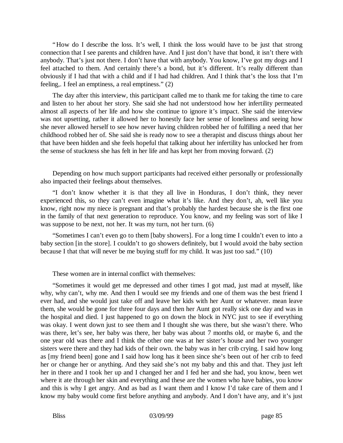"How do I describe the loss. It's well, I think the loss would have to be just that strong connection that I see parents and children have. And I just don't have that bond, it isn't there with anybody. That's just not there. I don't have that with anybody. You know, I've got my dogs and I feel attached to them. And certainly there's a bond, but it's different. It's really different than obviously if I had that with a child and if I had had children. And I think that's the loss that I'm feeling,. I feel an emptiness, a real emptiness." (2)

The day after this interview, this participant called me to thank me for taking the time to care and listen to her about her story. She said she had not understood how her infertility permeated almost all aspects of her life and how she continue to ignore it's impact. She said the interview was not upsetting, rather it allowed her to honestly face her sense of loneliness and seeing how she never allowed herself to see how never having children robbed her of fulfilling a need that her childhood robbed her of. She said she is ready now to see a therapist and discuss things about her that have been hidden and she feels hopeful that talking about her infertility has unlocked her from the sense of stuckness she has felt in her life and has kept her from moving forward. (2)

Depending on how much support participants had received either personally or professionally also impacted their feelings about themselves.

"I don't know whether it is that they all live in Honduras, I don't think, they never experienced this, so they can't even imagine what it's like. And they don't, ah, well like you know, right now my niece is pregnant and that's probably the hardest because she is the first one in the family of that next generation to reproduce. You know, and my feeling was sort of like I was suppose to be next, not her. It was my turn, not her turn. (6)

"Sometimes I can't even go to them [baby showers]. For a long time I couldn't even to into a baby section [in the store]. I couldn't to go showers definitely, but I would avoid the baby section because I that that will never be me buying stuff for my child. It was just too sad." (10)

These women are in internal conflict with themselves:

"Sometimes it would get me depressed and other times I got mad, just mad at myself, like why, why can't, why me. And then I would see my friends and one of them was the best friend I ever had, and she would just take off and leave her kids with her Aunt or whatever. mean leave them, she would be gone for three four days and then her Aunt got really sick one day and was in the hospital and died. I just happened to go on down the block in NYC just to see if everything was okay. I went down just to see them and I thought she was there, but she wasn't there. Who was there, let's see, her baby was there, her baby was about 7 months old, or maybe 6, and the one year old was there and I think the other one was at her sister's house and her two younger sisters were there and they had kids of their own. the baby was in her crib crying. I said how long as [my friend been] gone and I said how long has it been since she's been out of her crib to feed her or change her or anything. And they said she's not my baby and this and that. They just left her in there and I took her up and I changed her and I fed her and she had, you know, been wet where it ate through her skin and everything and these are the women who have babies, you know and this is why I get angry. And as bad as I want them and I know I'd take care of them and I know my baby would come first before anything and anybody. And I don't have any, and it's just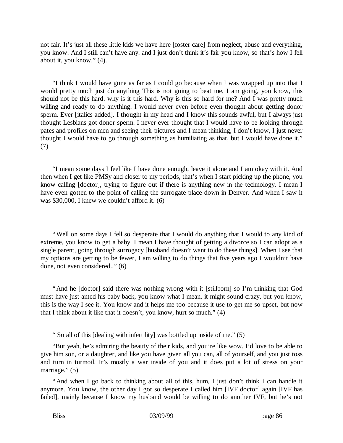not fair. It's just all these little kids we have here [foster care] from neglect, abuse and everything, you know. And I still can't have any. and I just don't think it's fair you know, so that's how I fell about it, you know." (4).

"I think I would have gone as far as I could go because when I was wrapped up into that I would pretty much just do anything This is not going to beat me, I am going, you know, this should not be this hard. why is it this hard. Why is this so hard for me? And I was pretty much willing and ready to do anything. I would never even before even thought about getting donor sperm. Ever [italics added]. I thought in my head and I know this sounds awful, but I always just thought Lesbians got donor sperm. I never ever thought that I would have to be looking through pates and profiles on men and seeing their pictures and I mean thinking, I don't know, I just never thought I would have to go through something as humiliating as that, but I would have done it." (7)

"I mean some days I feel like I have done enough, leave it alone and I am okay with it. And then when I get like PMSy and closer to my periods, that's when I start picking up the phone, you know calling [doctor], trying to figure out if there is anything new in the technology. I mean I have even gotten to the point of calling the surrogate place down in Denver. And when I saw it was \$30,000, I knew we couldn't afford it. (6)

"Well on some days I fell so desperate that I would do anything that I would to any kind of extreme, you know to get a baby. I mean I have thought of getting a divorce so I can adopt as a single parent, going through surrogacy [husband doesn't want to do these things]. When I see that my options are getting to be fewer, I am willing to do things that five years ago I wouldn't have done, not even considered.." (6)

"And he [doctor] said there was nothing wrong with it [stillborn] so I'm thinking that God must have just anted his baby back, you know what I mean. it might sound crazy, but you know, this is the way I see it. You know and it helps me too because it use to get me so upset, but now that I think about it like that it doesn't, you know, hurt so much." (4)

" So all of this [dealing with infertility] was bottled up inside of me." (5)

"But yeah, he's admiring the beauty of their kids, and you're like wow. I'd love to be able to give him son, or a daughter, and like you have given all you can, all of yourself, and you just toss and turn in turmoil. It's mostly a war inside of you and it does put a lot of stress on your marriage." $(5)$ 

"And when I go back to thinking about all of this, hum, I just don't think I can handle it anymore. You know, the other day I got so desperate I called him [IVF doctor] again [IVF has failed], mainly because I know my husband would be willing to do another IVF, but he's not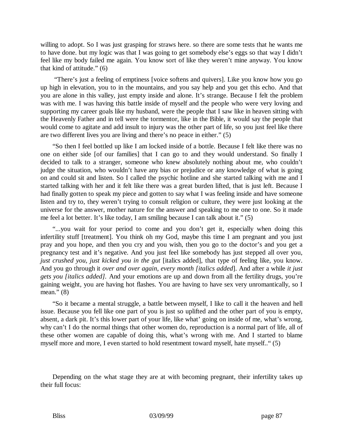willing to adopt. So I was just grasping for straws here. so there are some tests that he wants me to have done. but my logic was that I was going to get somebody else's eggs so that way I didn't feel like my body failed me again. You know sort of like they weren't mine anyway. You know that kind of attitude." (6)

 "There's just a feeling of emptiness [voice softens and quivers]. Like you know how you go up high in elevation, you to in the mountains, and you say help and you get this echo. And that you are alone in this valley, just empty inside and alone. It's strange. Because I felt the problem was with me. I was having this battle inside of myself and the people who were very loving and supporting my career goals like my husband, were the people that I saw like in heaven sitting with the Heavenly Father and in tell were the tormentor, like in the Bible, it would say the people that would come to agitate and add insult to injury was the other part of life, so you just feel like there are two different lives you are living and there's no peace in either." (5)

"So then I feel bottled up like I am locked inside of a bottle. Because I felt like there was no one on either side [of our families] that I can go to and they would understand. So finally I decided to talk to a stranger, someone who knew absolutely nothing about me, who couldn't judge the situation, who wouldn't have any bias or prejudice or any knowledge of what is going on and could sit and listen. So I called the psychic hotline and she started talking with me and I started talking with her and it felt like there was a great burden lifted, that is just left. Because I had finally gotten to speak my piece and gotten to say what I was feeling inside and have someone listen and try to, they weren't trying to consult religion or culture, they were just looking at the universe for the answer, mother nature for the answer and speaking to me one to one. So it made me feel a lot better. It's like today, I am smiling because I can talk about it." (5)

"...you wait for your period to come and you don't get it, especially when doing this infertility stuff [treatment]. You think oh my God, maybe this time I am pregnant and you just pray and you hope, and then you cry and you wish, then you go to the doctor's and you get a pregnancy test and it's negative. And you just feel like somebody has just stepped all over you, *just crushed you, just kicked you in the gut* [italics added], that type of feeling like, you know. And you go through it *over and over again, every month [italics added*]. And after a while *it just gets you [italics added].* And your emotions are up and down from all the fertility drugs, you're gaining weight, you are having hot flashes. You are having to have sex very unromantically, so I mean." (8)

"So it became a mental struggle, a battle between myself, I like to call it the heaven and hell issue. Because you fell like one part of you is just so uplifted and the other part of you is empty, absent, a dark pit. It's this lower part of your life, like what' going on inside of me, what's wrong, why can't I do the normal things that other women do, reproduction is a normal part of life, all of these other women are capable of doing this, what's wrong with me. And I started to blame myself more and more, I even started to hold resentment toward myself, hate myself.." (5)

Depending on the what stage they are at with becoming pregnant, their infertility takes up their full focus: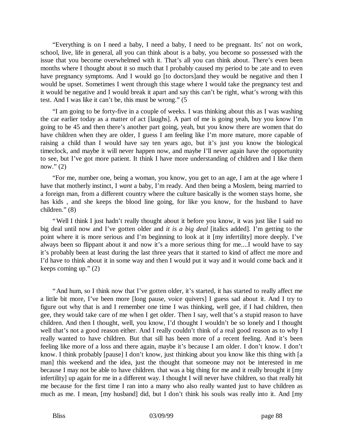"Everything is on I need a baby, I need a baby, I need to be pregnant. Its' not on work, school, live, life in general, all you can think about is a baby, you become so possessed with the issue that you become overwhelmed with it. That's all you can think about. There's even been months where I thought about it so much that I probably caused my period to be ;ate and to even have pregnancy symptoms. And I would go [to doctors]and they would be negative and then I would be upset. Sometimes I went through this stage where I would take the pregnancy test and it would be negative and I would break it apart and say this can't be right, what's wrong with this test. And I was like it can't be, this must be wrong." (5

"I am going to be forty-five in a couple of weeks. I was thinking about this as I was washing the car earlier today as a matter of act [laughs]. A part of me is going yeah, buy you know I'm going to be 45 and then there's another part going, yeah, but you know there are women that do have children when they are older, I guess I am feeling like I'm more mature, more capable of raising a child than I would have say ten years ago, but it's just you know the biological timeclock, and maybe it will never happen now, and maybe I'll never again have the opportunity to see, but I've got more patient. It think I have more understanding of children and I like them now." $(2)$ 

"For me, number one, being a woman, you know, you get to an age, I am at the age where I have that motherly instinct, I *want* a baby, I'm ready. And then being a Moslem, being married to a foreign man, from a different country where the culture basically is the women stays home, she has kids , and she keeps the blood line going, for like you know, for the husband to have children." (8)

"Well I think I just hadn't really thought about it before you know, it was just like I said no big deal until now and I've gotten older and *it is a big deal* [italics added]. I'm getting to the point where it is more serious and I'm beginning to look at it [my infertility] more deeply. I've always been so flippant about it and now it's a more serious thing for me....I would have to say it's probably been at least during the last three years that it started to kind of affect me more and I'd have to think about it in some way and then I would put it way and it would come back and it keeps coming up." (2)

"And hum, so I think now that I've gotten older, it's started, it has started to really affect me a little bit more, I've been more [long pause, voice quivers] I guess sad about it. And I try to figure out why that is and I remember one time I was thinking, well gee, if I had children, then gee, they would take care of me when I get older. Then I say, well that's a stupid reason to have children. And then I thought, well, you know, I'd thought I wouldn't be so lonely and I thought well that's not a good reason either. And I really couldn't think of a real good reason as to why I really wanted to have children. But that sill has been more of a recent feeling. And it's been feeling like more of a loss and there again, maybe it's because I am older. I don't know. I don't know. I think probably [pause] I don't know, just thinking about you know like this thing with [a man] this weekend and the idea, just the thought that someone may not be interested in me because I may not be able to have children. that was a big thing for me and it really brought it [my infertility] up again for me in a different way. I thought I will never have children, so that really hit me because for the first time I ran into a many who also really wanted just to have children as much as me. I mean, [my husband] did, but I don't think his souls was really into it. And [my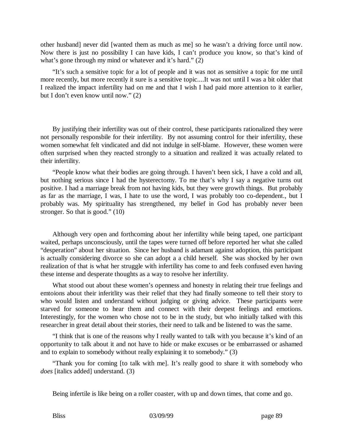other husband] never did [wanted them as much as me] so he wasn't a driving force until now. Now there is just no possibility I can have kids, I can't produce you know, so that's kind of what's gone through my mind or whatever and it's hard." (2)

"It's such a sensitive topic for a lot of people and it was not as sensitive a topic for me until more recently, but more recently it sure is a sensitive topic....It was not until I was a bit older that I realized the impact infertility had on me and that I wish I had paid more attention to it earlier, but I don't even know until now." (2)

By justifying their infertility was out of their control, these participants rationalized they were not personally responsbile for their infertility. By not assuming control for their infertility, these women somewhat felt vindicated and did not indulge in self-blame. However, these women were often surprised when they reacted strongly to a situation and realized it was actually related to their infertility.

"People know what their bodies are going through. I haven't been sick, I have a cold and all, but nothing serious since I had the hysterectomy. To me that's why I say a negative turns out positive. I had a marriage break from not having kids, but they were growth things. But probably as far as the marriage, I was, I hate to use the word, I was probably too co-dependent., but I probably was. My spirituality has strengthened, my belief in God has probably never been stronger. So that is good." (10)

Although very open and forthcoming about her infertility while being taped, one participant waited, perhaps unconsciously, until the tapes were turned off before reported her what she called "desperation" about her situation. Since her husband is adamant against adoption, this participant is actually considering divorce so she can adopt a a child herself. She was shocked by her own realization of that is what her struggle with infertility has come to and feels confused even having these intense and desperate thoughts as a way to resolve her infertility.

What stood out about these women's openness and honesty in relating their true feelings and emtoions about their inferitlity was their relief that they had finally someone to tell their story to who would listen and understand without judging or giving advice. These participants were starved for someone to hear them and connect with their deepest feelings and emotions. Interestingly, for the women who chose not to be in the study, but who initially talked with this researcher in great detail about their stories, their need to talk and be listened to was the same.

"I think that is one of the reasons why I really wanted to talk with you because it's kind of an opportunity to talk about it and not have to hide or make excuses or be embarrassed or ashamed and to explain to somebody without really explaining it to somebody." (3)

"Thank you for coming [to talk with me]. It's really good to share it with somebody who *does* [italics added] understand. (3)

Being infertile is like being on a roller coaster, with up and down times, that come and go.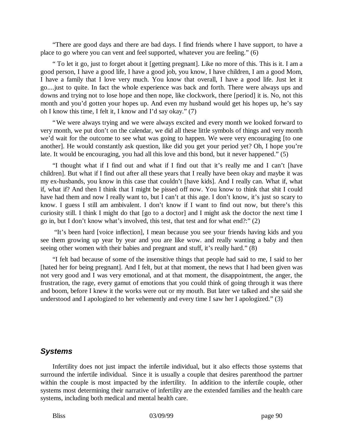"There are good days and there are bad days. I find friends where I have support, to have a place to go where you can vent and feel supported, whatever you are feeling." (6)

" To let it go, just to forget about it [getting pregnant]. Like no more of this. This is it. I am a good person, I have a good life, I have a good job, you know, I have children, I am a good Mom, I have a family that I love very much. You know that overall, I have a good life. Just let it go....just to quite. In fact the whole experience was back and forth. There were always ups and downs and trying not to lose hope and then nope, like clockwork, there [period] it is. No, not this month and you'd gotten your hopes up. And even my husband would get his hopes up, he's say oh I know this time, I felt it, I know and I'd say okay." (7)

"We were always trying and we were always excited and every month we looked forward to very month, we put don't on the calendar, we did all these little symbols of things and very month we'd wait for the outcome to see what was going to happen. We were very encouraging [to one another]. He would constantly ask question, like did you get your period yet? Oh, I hope you're late. It would be encouraging, you had all this love and this bond, but it never happened." (5)

"I thought what if I find out and what if I find out that it's really me and I can't [have children]. But what if I find out after all these years that I really have been okay and maybe it was my ex-husbands, you know in this case that couldn't [have kids]. And I really can. What if, what if, what if? And then I think that I might be pissed off now. You know to think that shit I could have had them and now I really want to, but I can't at this age. I don't know, it's just so scary to know. I guess I still am ambivalent. I don't know if I want to find out now, but there's this curiosity still. I think I might do that [go to a doctor] and I might ask the doctor the next time I go in, but I don't know what's involved, this test, that test and for what end?:" (2)

 "It's been hard [voice inflection], I mean because you see your friends having kids and you see them growing up year by year and you are like wow. and really wanting a baby and then seeing other women with their babies and pregnant and stuff, it's really hard." (8)

"I felt bad because of some of the insensitive things that people had said to me, I said to her [hated her for being pregnant]. And I felt, but at that moment, the news that I had been given was not very good and I was very emotional, and at that moment, the disappointment, the anger, the frustration, the rage, every gamut of emotions that you could think of going through it was there and boom, before I knew it the works were out or my mouth. But later we talked and she said she understood and I apologized to her vehemently and every time I saw her I apologized." (3)

# *Systems*

Infertility does not just impact the infertile individual, but it also effects those systems that surround the infertile individual. Since it is usually a couple that desires parenthood the partner within the couple is most impacted by the infertility. In addition to the infertile couple, other systems most determining their narrative of infertility are the extended families and the health care systems, including both medical and mental health care.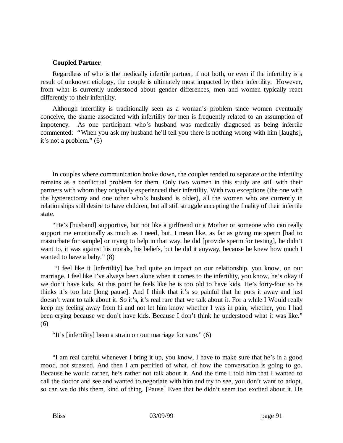#### **Coupled Partner**

Regardless of who is the medically infertile partner, if not both, or even if the infertility is a result of unknown etiology, the couple is ultimately most impacted by their infertility. However, from what is currently understood about gender differences, men and women typically react differently to their infertility.

Although infertility is traditionally seen as a woman's problem since women eventually conceive, the shame associated with infertility for men is frequently related to an assumption of impotency. As one participant who's husband was medically diagnosed as being infertile commented: "When you ask my husband he'll tell you there is nothing wrong with him [laughs], it's not a problem." (6)

In couples where communication broke down, the couples tended to separate or the infertility remains as a conflictual problem for them. Only two women in this study are still with their partners with whom they originally experienced their infertility. With two exceptions (the one with the hysterectomy and one other who's husband is older), all the women who are currently in relationships still desire to have children, but all still struggle accepting the finality of their infertile state.

"He's [husband] supportive, but not like a girlfriend or a Mother or someone who can really support me emotionally as much as I need, but, I mean like, as far as giving me sperm [had to masturbate for sample] or trying to help in that way, he did [provide sperm for testing], he didn't want to, it was against his morals, his beliefs, but he did it anyway, because he knew how much I wanted to have a baby." (8)

 "I feel like it [infertility] has had quite an impact on our relationship, you know, on our marriage. I feel like I've always been alone when it comes to the infertility, you know, he's okay if we don't have kids. At this point he feels like he is too old to have kids. He's forty-four so he thinks it's too late [long pause]. And I think that it's so painful that he puts it away and just doesn't want to talk about it. So it's, it's real rare that we talk about it. For a while I Would really keep my feeling away from hi and not let him know whether I was in pain, whether, you I had been crying because we don't have kids. Because I don't think he understood what it was like." (6)

"It's [infertility] been a strain on our marriage for sure." (6)

"I am real careful whenever I bring it up, you know, I have to make sure that he's in a good mood, not stressed. And then I am petrified of what, of how the conversation is going to go. Because he would rather, he's rather not talk about it. And the time I told him that I wanted to call the doctor and see and wanted to negotiate with him and try to see, you don't want to adopt, so can we do this them, kind of thing. [Pause] Even that he didn't seem too excited about it. He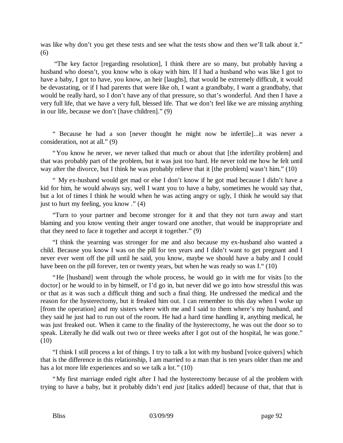was like why don't you get these tests and see what the tests show and then we'll talk about it." (6)

 "The key factor [regarding resolution], I think there are so many, but probably having a husband who doesn't, you know who is okay with him. If I had a husband who was like I got to have a baby, I got to have, you know, an heir [laughs], that would be extremely difficult, it would be devastating, or if I had parents that were like oh, I want a grandbaby, I want a grandbaby, that would be really hard, so I don't have any of that pressure, so that's wonderful. And then I have a very full life, that we have a very full, blessed life. That we don't feel like we are missing anything in our life, because we don't [have children]." (9)

" Because he had a son [never thought he might now be infertile]...it was never a consideration, not at all." (9)

"You know he never, we never talked that much or about that [the infertility problem] and that was probably part of the problem, but it was just too hard. He never told me how he felt until way after the divorce, but I think he was probably relieve that it [the problem] wasn't him." (10)

" My ex-husband would get mad or else I don't know if he got mad because I didn't have a kid for him, he would always say, well I want you to have a baby, sometimes he would say that, but a lot of times I think he would when he was acting angry or ugly, I think he would say that just to hurt my feeling, you know ." (4)

"Turn to your partner and become stronger for it and that they not turn away and start blaming and you know venting their anger toward one another, that would be inappropriate and that they need to face it together and accept it together." (9)

"I think the yearning was stronger for me and also because my ex-husband also wanted a child. Because you know I was on the pill for ten years and I didn't want to get pregnant and I never ever went off the pill until he said, you know, maybe we should have a baby and I could have been on the pill forever, ten or twenty years, but when he was ready so was I." (10)

"He [husband] went through the whole process, he would go in with me for visits [to the doctor] or he would to in by himself, or I'd go in, but never did we go into how stressful this was or that as it was such a difficult thing and such a final thing. He undressed the medical and the reason for the hysterectomy, but it freaked him out. I can remember to this day when I woke up [from the operation] and my sisters where with me and I said to them where's my husband, and they said he just had to run out of the room. He had a hard time handling it, anything medical, he was just freaked out. When it came to the finality of the hysterectomy, he was out the door so to speak. Literally he did walk out two or three weeks after I got out of the hospital, he was gone." (10)

"I think I still process a lot of things. I try to talk a lot with my husband [voice quivers] which that is the difference in this relationship, I am married to a man that is ten years older than me and has a lot more life experiences and so we talk a lot." (10)

"My first marriage ended right after I had the hysterectomy because of al the problem with trying to have a baby, but it probably didn't end *just* [italics added] because of that, that that is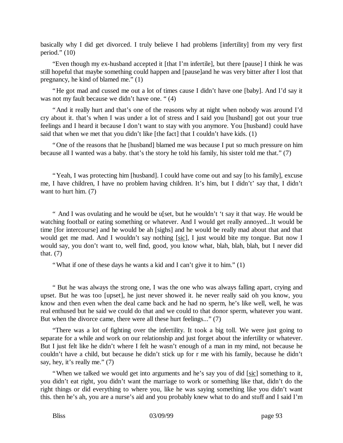basically why I did get divorced. I truly believe I had problems [infertility] from my very first period."  $(10)$ 

"Even though my ex-husband accepted it [that I'm infertile], but there [pause] I think he was still hopeful that maybe something could happen and [pause]and he was very bitter after I lost that pregnancy, he kind of blamed me." (1)

"He got mad and cussed me out a lot of times cause I didn't have one [baby]. And I'd say it was not my fault because we didn't have one. " (4)

"And it really hurt and that's one of the reasons why at night when nobody was around I'd cry about it. that's when I was under a lot of stress and I said you [husband] got out your true feelings and I heard it because I don't want to stay with you anymore. You [husband} could have said that when we met that you didn't like [the fact] that I couldn't have kids. (1)

"One of the reasons that he [husband] blamed me was because I put so much pressure on him because all I wanted was a baby. that's the story he told his family, his sister told me that." (7)

"Yeah, I was protecting him [husband]. I could have come out and say [to his family], excuse me, I have children, I have no problem having children. It's him, but I didn't' say that, I didn't want to hurt him. (7)

" And I was ovulating and he would be u[set, but he wouldn't 't say it that way. He would be watching football or eating something or whatever. And I would get really annoyed...It would be time [for intercourse] and he would be ah [sighs] and he would be really mad about that and that would get me mad. And I wouldn't say nothing [sic], I just would bite my tongue. But now I would say, you don't want to, well find, good, you know what, blah, blah, blah, but I never did that. (7)

"What if one of these days he wants a kid and I can't give it to him." (1)

" But he was always the strong one, I was the one who was always falling apart, crying and upset. But he was too [upset], he just never showed it. he never really said oh you know, you know and then even when the deal came back and he had no sperm, he's like well, well, he was real enthused but he said we could do that and we could to that donor sperm, whatever you want. But when the divorce came, there were all these hurt feelings..." (7)

"There was a lot of fighting over the infertility. It took a big toll. We were just going to separate for a while and work on our relationship and just forget about the infertility or whatever. But I just felt like he didn't where I felt he wasn't enough of a man in my mind, not because he couldn't have a child, but because he didn't stick up for r me with his family, because he didn't say, hey, it's really me." (7)

"When we talked we would get into arguments and he's say you of did [sic] something to it, you didn't eat right, you didn't want the marriage to work or something like that, didn't do the right things or did everything to where you, like he was saying something like you didn't want this. then he's ah, you are a nurse's aid and you probably knew what to do and stuff and I said I'm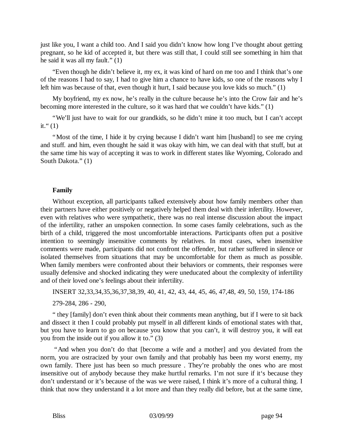just like you, I want a child too. And I said you didn't know how long I've thought about getting pregnant, so he kid of accepted it, but there was still that, I could still see something in him that he said it was all my fault." (1)

"Even though he didn't believe it, my ex, it was kind of hard on me too and I think that's one of the reasons I had to say, I had to give him a chance to have kids, so one of the reasons why I left him was because of that, even though it hurt, I said because you love kids so much." (1)

My boyfriend, my ex now, he's really in the culture because he's into the Crow fair and he's becoming more interested in the culture, so it was hard that we couldn't have kids." (1)

"We'll just have to wait for our grandkids, so he didn't mine it too much, but I can't accept it." $(1)$ 

"Most of the time, I hide it by crying because I didn't want him [husband] to see me crying and stuff. and him, even thought he said it was okay with him, we can deal with that stuff, but at the same time his way of accepting it was to work in different states like Wyoming, Colorado and South Dakota." (1)

#### **Family**

Without exception, all participants talked extensively about how family members other than their partners have either positively or negatively helped them deal with their infertility. However, even with relatives who were sympathetic, there was no real intense discussion about the impact of the infertility, rather an unspoken connection. In some cases family celebrations, such as the birth of a child, triggered the most uncomfortable interactions. Participants often put a positive intention to seemingly insensitive comments by relatives. In most cases, when insensitive comments were made, participants did not confront the offender, but rather suffered in silence or isolated themselves from situations that may be uncomfortable for them as much as possible. When family members were confronted about their behaviors or comments, their responses were usually defensive and shocked indicating they were uneducated about the complexity of infertility and of their loved one's feelings about their infertility.

INSERT 32,33,34,35,36,37,38,39, 40, 41, 42, 43, 44, 45, 46, 47,48, 49, 50, 159, 174-186

279-284, 286 - 290,

" they [family] don't even think about their comments mean anything, but if I were to sit back and dissect it then I could probably put myself in all different kinds of emotional states with that, but you have to learn to go on because you know that you can't, it will destroy you, it will eat you from the inside out if you allow it to." (3)

 "And when you don't do that [become a wife and a mother] and you deviated from the norm, you are ostracized by your own family and that probably has been my worst enemy, my own family. There just has been so much pressure . They're probably the ones who are most insensitive out of anybody because they make hurtful remarks. I'm not sure if it's because they don't understand or it's because of the was we were raised, I think it's more of a cultural thing. I think that now they understand it a lot more and than they really did before, but at the same time,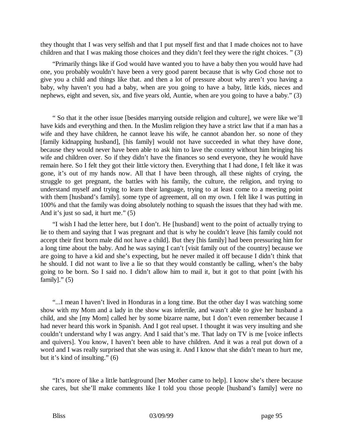they thought that I was very selfish and that I put myself first and that I made choices not to have children and that I was making those choices and they didn't feel they were the right choices. " (3)

"Primarily things like if God would have wanted you to have a baby then you would have had one, you probably wouldn't have been a very good parent because that is why God chose not to give you a child and things like that. and then a lot of pressure about why aren't you having a baby, why haven't you had a baby, when are you going to have a baby, little kids, nieces and nephews, eight and seven, six, and five years old, Auntie, when are you going to have a baby." (3)

" So that it the other issue [besides marrying outside religion and culture], we were like we'll have kids and everything and then. In the Muslim religion they have a strict law that if a man has a wife and they have children, he cannot leave his wife, he cannot abandon her. so none of they [family kidnapping husband], [his family] would not have succeeded in what they have done, because they would never have been able to ask him to lave the country without him bringing his wife and children over. So if they didn't have the finances so send everyone, they he would have remain here. So I felt they got their little victory then. Everything that I had done, I felt like it was gone, it's out of my hands now. All that I have been through, all these nights of crying, the struggle to get pregnant, the battles with his family, the culture, the religion, and trying to understand myself and trying to learn their language, trying to at least come to a meeting point with them [husband's family]. some type of agreement, all on my own. I felt like I was putting in 100% and that the family was doing absolutely nothing to squash the issues that they had with me. And it's just so sad, it hurt me." (5)

"I wish I had the letter here, but I don't. He [husband] went to the point of actually trying to lie to them and saying that I was pregnant and that is why he couldn't leave [his family could not accept their first born male did not have a child]. But they [his family] had been pressuring him for a long time about the baby. And he was saying I can't [visit family out of the country] because we are going to have a kid and she's expecting, but he never mailed it off because I didn't think that he should. I did not want to live a lie so that they would constantly be calling, when's the baby going to be born. So I said no. I didn't allow him to mail it, but it got to that point [with his family]."  $(5)$ 

"...I mean I haven't lived in Honduras in a long time. But the other day I was watching some show with my Mom and a lady in the show was infertile, and wasn't able to give her husband a child, and she [my Mom] called her by some bizarre name, but I don't even remember because I had never heard this work in Spanish. And I got real upset. I thought it was very insulting and she couldn't understand why I was angry. And I said that's me. That lady on TV is me [voice inflects and quivers]. You know, I haven't been able to have children. And it was a real put down of a word and I was really surprised that she was using it. And I know that she didn't mean to hurt me, but it's kind of insulting." (6)

"It's more of like a little battleground [her Mother came to help]. I know she's there because she cares, but she'll make comments like I told you those people [husband's family] were no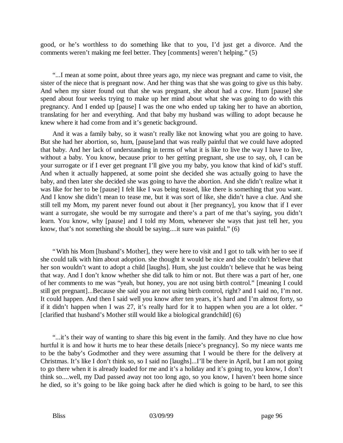good, or he's worthless to do something like that to you, I'd just get a divorce. And the comments weren't making me feel better. They [comments] weren't helping." (5)

"...I mean at some point, about three years ago, my niece was pregnant and came to visit, the sister of the niece that is pregnant now. And her thing was that she was going to give us this baby. And when my sister found out that she was pregnant, she about had a cow. Hum [pause] she spend about four weeks trying to make up her mind about what she was going to do with this pregnancy. And I ended up [pause] I was the one who ended up taking her to have an abortion, translating for her and everything. And that baby my husband was willing to adopt because he knew where it had come from and it's genetic background.

And it was a family baby, so it wasn't really like not knowing what you are going to have. But she had her abortion, so, hum, [pause]and that was really painful that we could have adopted that baby. And her lack of understanding in terms of what it is like to live the way I have to live, without a baby. You know, because prior to her getting pregnant, she use to say, oh, I can be your surrogate or if I ever get pregnant I'll give you my baby, you know that kind of kid's stuff. And when it actually happened, at some point she decided she was actually going to have the baby, and then later she decided she was going to have the abortion. And she didn't realize what it was like for her to be [pause] I felt like I was being teased, like there is something that you want. And I know she didn't mean to tease me, but it was sort of like, she didn't have a clue. And she still tell my Mom, my parent never found out about it [her pregnancy], you know that if I ever want a surrogate, she would be my surrogate and there's a part of me that's saying, you didn't learn. You know, why [pause] and I told my Mom, whenever she ways that just tell her, you know, that's not something she should be saying....it sure was painful." (6)

"With his Mom [husband's Mother], they were here to visit and I got to talk with her to see if she could talk with him about adoption. she thought it would be nice and she couldn't believe that her son wouldn't want to adopt a child [laughs]. Hum, she just couldn't believe that he was being that way. And I don't know whether she did talk to him or not. But there was a part of her, one of her comments to me was "yeah, but honey, you are not using birth control." [meaning I could still get pregnant]...Because she said you are not using birth control, right? and I said no, I'm not. It could happen. And then I said well you know after ten years, it's hard and I'm almost forty, so if it didn't happen when I was 27, it's really hard for it to happen when you are a lot older. " [clarified that husband's Mother still would like a biological grandchild] (6)

"...it's their way of wanting to share this big event in the family. And they have no clue how hurtful it is and how it hurts me to hear these details [niece's pregnancy]. So my niece wants me to be the baby's Godmother and they were assuming that I would be there for the delivery at Christmas. It's like I don't think so, so I said no [laughs]...I'll be there in April, but I am not going to go there when it is already loaded for me and it's a holiday and it's going to, you know, I don't think so....well, my Dad passed away not too long ago, so you know, I haven't been home since he died, so it's going to be like going back after he died which is going to be hard, to see this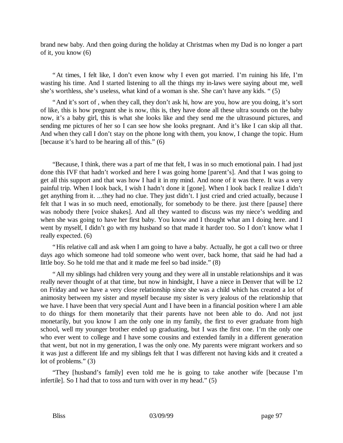brand new baby. And then going during the holiday at Christmas when my Dad is no longer a part of it, you know (6)

"At times, I felt like, I don't even know why I even got married. I'm ruining his life, I'm wasting his time. And I started listening to all the things my in-laws were saying about me, well she's worthless, she's useless, what kind of a woman is she. She can't have any kids. " (5)

"And it's sort of , when they call, they don't ask hi, how are you, how are you doing, it's sort of like, this is how pregnant she is now, this is, they have done all these ultra sounds on the baby now, it's a baby girl, this is what she looks like and they send me the ultrasound pictures, and sending me pictures of her so I can see how she looks pregnant. And it's like I can skip all that. And when they call I don't stay on the phone long with them, you know, I change the topic. Hum [because it's hard to be hearing all of this." (6)

"Because, I think, there was a part of me that felt, I was in so much emotional pain. I had just done this IVF that hadn't worked and here I was going home [parent's]. And that I was going to get all this support and that was how I had it in my mind. And none of it was there. It was a very painful trip. When I look back, I wish I hadn't done it [gone]. When I look back I realize I didn't get anything from it. ...they had no clue. They just didn't. I just cried and cried actually, because I felt that I was in so much need, emotionally, for somebody to be there. just there [pause] there was nobody there [voice shakes]. And all they wanted to discuss was my niece's wedding and when she was going to have her first baby. You know and I thought what am I doing here. and I went by myself, I didn't go with my husband so that made it harder too. So I don't know what I really expected. (6)

"His relative call and ask when I am going to have a baby. Actually, he got a call two or three days ago which someone had told someone who went over, back home, that said he had had a little boy. So he told me that and it made me feel so bad inside." (8)

"All my siblings had children very young and they were all in unstable relationships and it was really never thought of at that time, but now in hindsight, I have a niece in Denver that will be 12 on Friday and we have a very close relationship since she was a child which has created a lot of animosity between my sister and myself because my sister is very jealous of the relationship that we have. I have been that very special Aunt and I have been in a financial position where I am able to do things for them monetarily that their parents have not been able to do. And not just monetarily, but you know I am the only one in my family, the first to ever graduate from high school, well my younger brother ended up graduating, but I was the first one. I'm the only one who ever went to college and I have some cousins and extended family in a different generation that went, but not in my generation, I was the only one. My parents were migrant workers and so it was just a different life and my siblings felt that I was different not having kids and it created a lot of problems." (3)

"They [husband's family] even told me he is going to take another wife [because I'm infertile]. So I had that to toss and turn with over in my head." (5)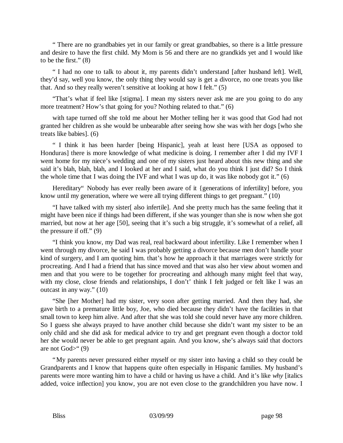" There are no grandbabies yet in our family or great grandbabies, so there is a little pressure and desire to have the first child. My Mom is 56 and there are no grandkids yet and I would like to be the first." $(8)$ 

" I had no one to talk to about it, my parents didn't understand [after husband left]. Well, they'd say, well you know, the only thing they would say is get a divorce, no one treats you like that. And so they really weren't sensitive at looking at how I felt." (5)

"That's what if feel like [stigma]. I mean my sisters never ask me are you going to do any more treatment? How's that going for you? Nothing related to that." (6)

with tape turned off she told me about her Mother telling her it was good that God had not granted her children as she would be unbearable after seeing how she was with her dogs [who she treats like babies]. (6)

" I think it has been harder [being Hispanic], yeah at least here [USA as opposed to Honduras] there is more knowledge of what medicine is doing. I remember after I did my IVF I went home for my niece's wedding and one of my sisters just heard about this new thing and she said it's blah, blah, blah, and I looked at her and I said, what do you think I just did? So I think the whole time that I was doing the IVF and what I was up do, it was like nobody got it." (6)

Hereditary" Nobody has ever really been aware of it {generations of infertility] before, you know until my generation, where we were all trying different things to get pregnant." (10)

"I have talked with my sister[ also infertile]. And she pretty much has the same feeling that it might have been nice if things had been different, if she was younger than she is now when she got married, but now at her age [50], seeing that it's such a big struggle, it's somewhat of a relief, all the pressure if off." (9)

"I think you know, my Dad was real, real backward about infertility. Like I remember when I went through my divorce, he said I was probably getting a divorce because men don't handle your kind of surgery, and I am quoting him. that's how he approach it that marriages were strictly for procreating. And I had a friend that has since moved and that was also her view about women and men and that you were to be together for procreating and although many might feel that way, with my close, close friends and relationships, I don't' think I felt judged or felt like I was an outcast in any way." (10)

"She [her Mother] had my sister, very soon after getting married. And then they had, she gave birth to a premature little boy, Joe, who died because they didn't have the facilities in that small town to keep him alive. And after that she was told she could never have any more children. So I guess she always prayed to have another child because she didn't want my sister to be an only child and she did ask for medical advice to try and get pregnant even though a doctor told her she would never be able to get pregnant again. And you know, she's always said that doctors are not  $God$ <sup>"</sup> (9)

"My parents never pressured either myself or my sister into having a child so they could be Grandparents and I know that happens quite often especially in Hispanic families. My husband's parents were more wanting him to have a child or having us have a child. And it's like *why* [italics added, voice inflection] you know, you are not even close to the grandchildren you have now. I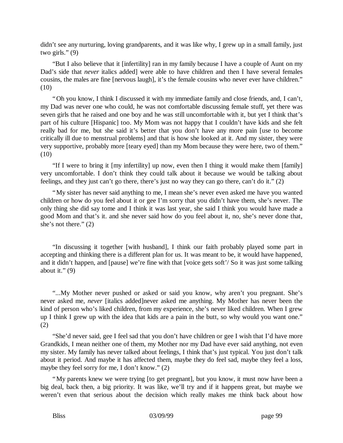didn't see any nurturing, loving grandparents, and it was like why, I grew up in a small family, just two girls." (9)

"But I also believe that it [infertility] ran in my family because I have a couple of Aunt on my Dad's side that *never* italics added] were able to have children and then I have several females cousins, the males are fine [nervous laugh], it's the female cousins who never ever have children." (10)

"Oh you know, I think I discussed it with my immediate family and close friends, and, I can't, my Dad was never one who could, he was not comfortable discussing female stuff, yet there was seven girls that he raised and one boy and he was still uncomfortable with it, but yet I think that's part of his culture [Hispanic] too. My Mom was not happy that I couldn't have kids and she felt really bad for me, but she said it's better that you don't have any more pain [use to become critically ill due to menstrual problems] and that is how she looked at it. And my sister, they were very supportive, probably more [teary eyed] than my Mom because they were here, two of them." (10)

"If I were to bring it [my infertility] up now, even then I thing it would make them [family] very uncomfortable. I don't think they could talk about it because we would be talking about feelings, and they just can't go there, there's just no way they can go there, can't do it." (2)

"My sister has never said anything to me, I mean she's never even asked me have you wanted children or how do you feel about it or gee I'm sorry that you didn't have them, she's never. The only thing she did say tome and I think it was last year, she said I think you would have made a good Mom and that's it. and she never said how do you feel about it, no, she's never done that, she's not there." (2)

"In discussing it together [with husband], I think our faith probably played some part in accepting and thinking there is a different plan for us. It was meant to be, it would have happened, and it didn't happen, and [pause] we're fine with that [voice gets soft'/ So it was just some talking about it." $(9)$ 

"...My Mother never pushed or asked or said you know, why aren't you pregnant. She's never asked me, *never* [italics added]never asked me anything. My Mother has never been the kind of person who's liked children, from my experience, she's never liked children. When I grew up I think I grew up with the idea that kids are a pain in the butt, so why would you want one." (2)

"She'd never said, gee I feel sad that you don't have children or gee I wish that I'd have more Grandkids, I mean neither one of them, my Mother nor my Dad have ever said anything, not even my sister. My family has never talked about feelings, I think that's just typical. You just don't talk about it period. And maybe it has affected them, maybe they do feel sad, maybe they feel a loss, maybe they feel sorry for me, I don't know." (2)

"My parents knew we were trying [to get pregnant], but you know, it must now have been a big deal, back then, a big priority. It was like, we'll try and if it happens great, but maybe we weren't even that serious about the decision which really makes me think back about how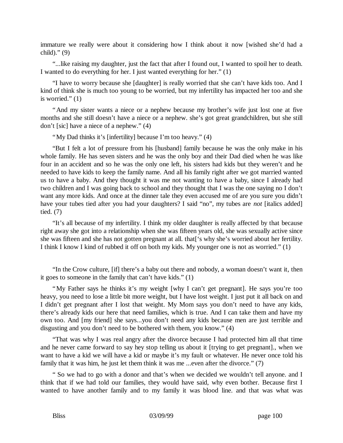immature we really were about it considering how I think about it now [wished she'd had a child)." (9)

"...like raising my daughter, just the fact that after I found out, I wanted to spoil her to death. I wanted to do everything for her. I just wanted everything for her." (1)

"I have to worry because she [daughter] is really worried that she can't have kids too. And I kind of think she is much too young to be worried, but my infertility has impacted her too and she is worried." $(1)$ 

"And my sister wants a niece or a nephew because my brother's wife just lost one at five months and she still doesn't have a niece or a nephew. she's got great grandchildren, but she still don't [sic] have a niece of a nephew." (4)

"My Dad thinks it's [infertility] because I'm too heavy." (4)

"But I felt a lot of pressure from his [husband] family because he was the only make in his whole family. He has seven sisters and he was the only boy and their Dad died when he was like four in an accident and so he was the only one left, his sisters had kids but they weren't and he needed to have kids to keep the family name. And all his family right after we got married wanted us to have a baby. And they thought it was me not wanting to have a baby, since I already had two children and I was going back to school and they thought that I was the one saying no I don't want any more kids. And once at the dinner tale they even accused me of are you sure you didn't have your tubes tied after you had your daughters? I said "no", my tubes are *not* [italics added] tied. (7)

"It's all because of my infertility. I think my older daughter is really affected by that because right away she got into a relationship when she was fifteen years old, she was sexually active since she was fifteen and she has not gotten pregnant at all. that['s why she's worried about her fertility. I think I know I kind of rubbed it off on both my kids. My younger one is not as worried." (1)

"In the Crow culture, [if] there's a baby out there and nobody, a woman doesn't want it, then it goes to someone in the family that can't have kids." (1)

"My Father says he thinks it's my weight [why I can't get pregnant]. He says you're too heavy, you need to lose a little bit more weight, but I have lost weight. I just put it all back on and I didn't get pregnant after I lost that weight. My Mom says you don't need to have any kids, there's already kids our here that need families, which is true. And I can take them and have my own too. And [my friend] she says...you don't need any kids because men are just terrible and disgusting and you don't need to be bothered with them, you know." (4)

"That was why I was real angry after the divorce because I had protected him all that time and he never came forward to say hey stop telling us about it [trying to get pregnant]., when we want to have a kid we will have a kid or maybe it's my fault or whatever. He never once told his family that it was him, he just let them think it was me ...even after the divorce." (7)

" So we had to go with a donor and that's when we decided we wouldn't tell anyone. and I think that if we had told our families, they would have said, why even bother. Because first I wanted to have another family and to my family it was blood line. and that was what was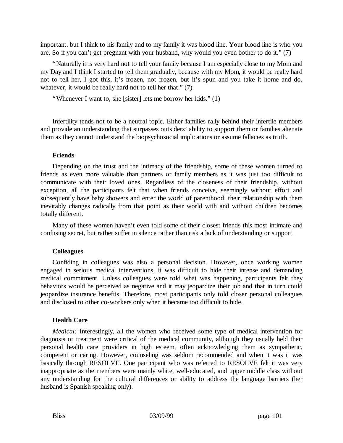important. but I think to his family and to my family it was blood line. Your blood line is who you are. So if you can't get pregnant with your husband, why would you even bother to do it." (7)

"Naturally it is very hard not to tell your family because I am especially close to my Mom and my Day and I think I started to tell them gradually, because with my Mom, it would be really hard not to tell her, I got this, it's frozen, not frozen, but it's spun and you take it home and do, whatever, it would be really hard not to tell her that." (7)

"Whenever I want to, she [sister] lets me borrow her kids." (1)

Infertility tends not to be a neutral topic. Either families rally behind their infertile members and provide an understanding that surpasses outsiders' ability to support them or families alienate them as they cannot understand the biopsychosocial implications or assume fallacies as truth.

### **Friends**

Depending on the trust and the intimacy of the friendship, some of these women turned to friends as even more valuable than partners or family members as it was just too difficult to communicate with their loved ones. Regardless of the closeness of their friendship, without exception, all the participants felt that when friends conceive, seemingly without effort and subsequently have baby showers and enter the world of parenthood, their relationship with them inevitably changes radically from that point as their world with and without children becomes totally different.

Many of these women haven't even told some of their closest friends this most intimate and confusing secret, but rather suffer in silence rather than risk a lack of understanding or support.

## **Colleagues**

Confiding in colleagues was also a personal decision. However, once working women engaged in serious medical interventions, it was difficult to hide their intense and demanding medical commitment. Unless colleagues were told what was happening, participants felt they behaviors would be perceived as negative and it may jeopardize their job and that in turn could jeopardize insurance benefits. Therefore, most participants only told closer personal colleagues and disclosed to other co-workers only when it became too difficult to hide.

## **Health Care**

*Medical:* Interestingly, all the women who received some type of medical intervention for diagnosis or treatment were critical of the medical community, although they usually held their personal health care providers in high esteem, often acknowledging them as sympathetic, competent or caring. However, counseling was seldom recommended and when it was it was basically through RESOLVE. One participant who was referred to RESOLVE felt it was very inappropriate as the members were mainly white, well-educated, and upper middle class without any understanding for the cultural differences or ability to address the language barriers (her husband is Spanish speaking only).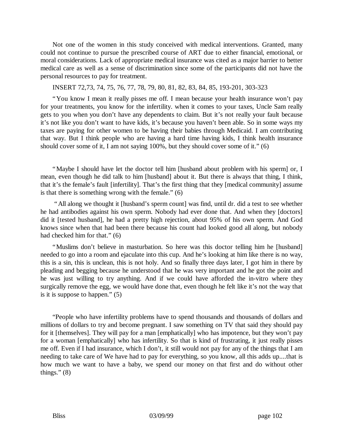Not one of the women in this study conceived with medical interventions. Granted, many could not continue to pursue the prescribed course of ART due to either financial, emotional, or moral considerations. Lack of appropriate medical insurance was cited as a major barrier to better medical care as well as a sense of discrimination since some of the participants did not have the personal resources to pay for treatment.

INSERT 72,73, 74, 75, 76, 77, 78, 79, 80, 81, 82, 83, 84, 85, 193-201, 303-323

"You know I mean it really pisses me off. I mean because your health insurance won't pay for your treatments, you know for the infertility. when it comes to your taxes, Uncle Sam really gets to you when you don't have any dependents to claim. But it's not really your fault because it's not like you don't want to have kids, it's because you haven't been able. So in some ways my taxes are paying for other women to be having their babies through Medicaid. I am contributing that way. But I think people who are having a hard time having kids, I think health insurance should cover some of it, I am not saying 100%, but they should cover some of it." (6)

"Maybe I should have let the doctor tell him [husband about problem with his sperm] or, I mean, even though he did talk to him [husband] about it. But there is always that thing, I think, that it's the female's fault [infertility]. That's the first thing that they [medical community] assume is that there is something wrong with the female." (6)

 "All along we thought it [husband's sperm count] was find, until dr. did a test to see whether he had antibodies against his own sperm. Nobody had ever done that. And when they [doctors] did it [tested husband], he had a pretty high rejection, about 95% of his own sperm. And God knows since when that had been there because his count had looked good all along, but nobody had checked him for that." (6)

"Muslims don't believe in masturbation. So here was this doctor telling him he [husband] needed to go into a room and ejaculate into this cup. And he's looking at him like there is no way, this is a sin, this is unclean, this is not holy. And so finally three days later, I got him in there by pleading and begging because he understood that he was very important and he got the point and he was just willing to try anything. And if we could have afforded the in-vitro where they surgically remove the egg, we would have done that, even though he felt like it's not the way that is it is suppose to happen." (5)

"People who have infertility problems have to spend thousands and thousands of dollars and millions of dollars to try and become pregnant. I saw something on TV that said they should pay for it [themselves]. They will pay for a man [emphatically] who has impotence, but they won't pay for a woman [emphatically] who has infertility. So that is kind of frustrating, it just really pisses me off. Even if I had insurance, which I don't, it still would not pay for any of the things that I am needing to take care of We have had to pay for everything, so you know, all this adds up....that is how much we want to have a baby, we spend our money on that first and do without other things."  $(8)$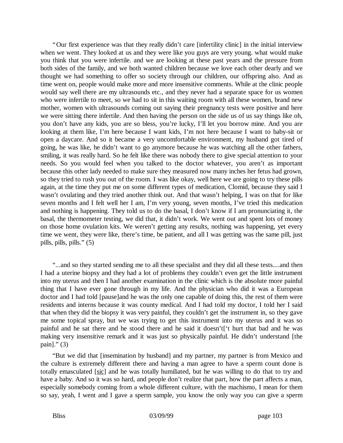"Our first experience was that they really didn't care [infertility clinic] in the initial interview when we went. They looked at us and they were like you guys are very young. what would make you think that you were infertile. and we are looking at these past years and the pressure from both sides of the family, and we both wanted children because we love each other dearly and we thought we had something to offer so society through our children, our offspring also. And as time went on, people would make more and more insensitive comments. While at the clinic people would say well there are my ultrasounds etc., and they never had a separate space for us women who were infertile to meet, so we had to sit in this waiting room with all these women, brand new mother, women with ultrasounds coming out saying their pregnancy tests were positive and here we were sitting there infertile. And then having the person on the side us of us say things like oh, you don't have any kids, you are so bless, you're lucky, I'll let you borrow mine. And you are looking at them like, I'm here because I want kids, I'm not here because I want to baby-sit or open a daycare. And so it became a very uncomfortable environment, my husband got tired of going, he was like, he didn't want to go anymore because he was watching all the other fathers, smiling, it was really hard. So he felt like there was nobody there to give special attention to your needs. So you would feel when you talked to the doctor whatever, you aren't as important because this other lady needed to make sure they measured now many inches her fetus had grown, so they tried to rush you out of the room. I was like okay, well here we are going to try these pills again, at the time they put me on some different types of medication, Clomid, because they said I wasn't ovulating and they tried another think out. And that wasn't helping, I was on that for like seven months and I felt well her I am, I'm very young, seven months, I've tried this medication and nothing is happening. They told us to do the basal, I don't know if I am pronunciating it, the basal, the thermometer testing, we did that, it didn't work. We went out and spent lots of money on those home ovulation kits. We weren't getting any results, nothing was happening, yet every time we went, they were like, there's time, be patient, and all I was getting was the same pill, just pills, pills, pills." (5)

"...and so they started sending me to all these specialist and they did all these tests....and then I had a uterine biopsy and they had a lot of problems they couldn't even get the little instrument into my uterus and then I had another examination in the clinic which is the absolute more painful thing that I have ever gone through in my life. And the physician who did it was a European doctor and I had told [pause]and he was the only one capable of doing this, the rest of them were residents and interns because it was county medical. And I had told my doctor, I told her I said that when they did the biopsy it was very painful, they couldn't get the instrument in, so they gave me some topical spray, but we was trying to get this instrument into my uterus and it was so painful and he sat there and he stood there and he said it doesn't['t hurt that bad and he was making very insensitive remark and it was just so physically painful. He didn't understand [the pain]."  $(3)$ 

"But we did that [insemination by husband] and my partner, my partner is from Mexico and the culture is extremely different there and having a man agree to have a sperm count done is totally emasculated [sic] and he was totally humiliated, but he was willing to do that to try and have a baby. And so it was so hard, and people don't realize that part, how the part affects a man, especially somebody coming from a whole different culture, with the machismo, I mean for them so say, yeah, I went and I gave a sperm sample, you know the only way you can give a sperm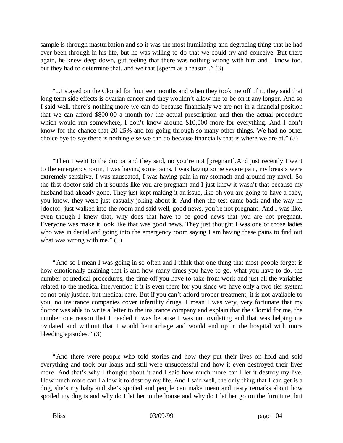sample is through masturbation and so it was the most humiliating and degrading thing that he had ever been through in his life, but he was willing to do that we could try and conceive. But there again, he knew deep down, gut feeling that there was nothing wrong with him and I know too, but they had to determine that. and we that [sperm as a reason]." (3)

"...I stayed on the Clomid for fourteen months and when they took me off of it, they said that long term side effects is ovarian cancer and they wouldn't allow me to be on it any longer. And so I said well, there's nothing more we can do because financially we are not in a financial position that we can afford \$800.00 a month for the actual prescription and then the actual procedure which would run somewhere, I don't know around \$10,000 more for everything. And I don't know for the chance that 20-25% and for going through so many other things. We had no other choice bye to say there is nothing else we can do because financially that is where we are at." (3)

"Then I went to the doctor and they said, no you're not [pregnant].And just recently I went to the emergency room, I was having some pains, I was having some severe pain, my breasts were extremely sensitive, I was nauseated, I was having pain in my stomach and around my navel. So the first doctor said oh it sounds like you are pregnant and I just knew it wasn't that because my husband had already gone. They just kept making it an issue, like oh you are going to have a baby, you know, they were just casually joking about it. And then the test came back and the way he [doctor] just walked into the room and said well, good news, you're not pregnant. And I was like, even though I knew that, why does that have to be good news that you are not pregnant. Everyone was make it look like that was good news. They just thought I was one of those ladies who was in denial and going into the emergency room saying I am having these pains to find out what was wrong with me." (5)

"And so I mean I was going in so often and I think that one thing that most people forget is how emotionally draining that is and how many times you have to go, what you have to do, the number of medical procedures, the time off you have to take from work and just all the variables related to the medical intervention if it is even there for you since we have only a two tier system of not only justice, but medical care. But if you can't afford proper treatment, it is not available to you, no insurance companies cover infertility drugs. I mean I was very, very fortunate that my doctor was able to write a letter to the insurance company and explain that the Clomid for me, the number one reason that I needed it was because I was not ovulating and that was helping me ovulated and without that I would hemorrhage and would end up in the hospital with more bleeding episodes." (3)

"And there were people who told stories and how they put their lives on hold and sold everything and took our loans and still were unsuccessful and how it even destroyed their lives more. And that's why I thought about it and I said how much more can I let it destroy my live. How much more can I allow it to destroy my life. And I said well, the only thing that I can get is a dog, she's my baby and she's spoiled and people can make mean and nasty remarks about how spoiled my dog is and why do I let her in the house and why do I let her go on the furniture, but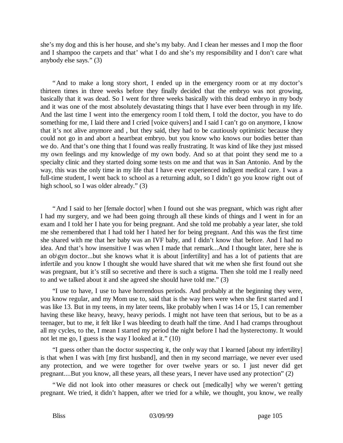she's my dog and this is her house, and she's my baby. And I clean her messes and I mop the floor and I shampoo the carpets and that' what I do and she's my responsibility and I don't care what anybody else says." (3)

"And to make a long story short, I ended up in the emergency room or at my doctor's thirteen times in three weeks before they finally decided that the embryo was not growing, basically that it was dead. So I went for three weeks basically with this dead embryo in my body and it was one of the most absolutely devastating things that I have ever been through in my life. And the last time I went into the emergency room I told them, I told the doctor, you have to do something for me, I laid there and I cried [voice quivers] and I said I can't go on anymore, I know that it's not alive anymore and , but they said, they had to be cautiously optimistic because they could not go in and abort a heartbeat embryo. but you know who knows our bodies better than we do. And that's one thing that I found was really frustrating. It was kind of like they just missed my own feelings and my knowledge of my own body. And so at that point they send me to a specialty clinic and they started doing some tests on me and that was in San Antonio. And by the way, this was the only time in my life that I have ever experienced indigent medical care. I was a full-time student, I went back to school as a returning adult, so I didn't go you know right out of high school, so I was older already." (3)

"And I said to her [female doctor] when I found out she was pregnant, which was right after I had my surgery, and we had been going through all these kinds of things and I went in for an exam and I told her I hate you for being pregnant. And she told me probably a year later, she told me she remembered that I had told her I hated her for being pregnant. And this was the first time she shared with me that her baby was an IVF baby, and I didn't know that before. And I had no idea. And that's how insensitive I was when I made that remark...And I thought later, here she is an ob\gyn doctor...but she knows what it is about [infertility] and has a lot of patients that are infertile and you know I thought she would have shared that wit me when she first found out she was pregnant, but it's still so secretive and there is such a stigma. Then she told me I really need to and we talked about it and she agreed she should have told me." (3)

"I use to have, I use to have horrendous periods. And probably at the beginning they were, you know regular, and my Mom use to, said that is the way hers were when she first started and I was like 13. But in my teens, in my later teens, like probably when I was 14 or 15, I can remember having these like heavy, heavy, heavy periods. I might not have teen that serious, but to be as a teenager, but to me, it felt like I was bleeding to death half the time. And I had cramps throughout all my cycles, to the, I mean I started my period the night before I had the hysterectomy. It would not let me go, I guess is the way I looked at it." (10)

"I guess other than the doctor suspecting it, the only way that I learned [about my infertility] is that when I was with [my first husband], and then in my second marriage, we never ever used any protection, and we were together for over twelve years or so. I just never did get pregnant....But you know, all these years, all these years, I never have used any protection" (2)

"We did not look into other measures or check out [medically] why we weren't getting pregnant. We tried, it didn't happen, after we tried for a while, we thought, you know, we really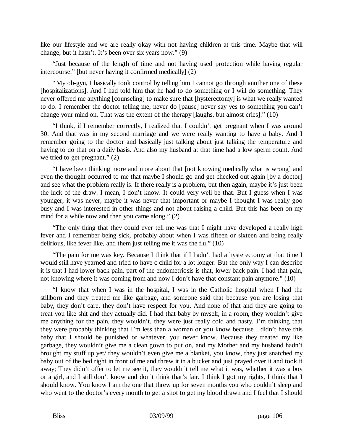like our lifestyle and we are really okay with not having children at this time. Maybe that will change, but it hasn't. It's been over six years now." (9)

"Just because of the length of time and not having used protection while having regular intercourse." [but never having it confirmed medically] (2)

"My ob-gyn, I basically took control by telling him I cannot go through another one of these [hospitalizations]. And I had told him that he had to do something or I will do something. They never offered me anything [counseling] to make sure that [hysterectomy] is what we really wanted to do. I remember the doctor telling me, never do [pause] never say yes to something you can't change your mind on. That was the extent of the therapy [laughs, but almost cries]." (10)

"I think, if I remember correctly, I realized that I couldn't get pregnant when I was around 30. And that was in my second marriage and we were really wanting to have a baby. And I remember going to the doctor and basically just talking about just talking the temperature and having to do that on a daily basis. And also my husband at that time had a low sperm count. And we tried to get pregnant." (2)

"I have been thinking more and more about that [not knowing medically what is wrong] and even the thought occurred to me that maybe I should go and get checked out again [by a doctor] and see what the problem really is. If there really is a problem, but then again, maybe it's just been the luck of the draw. I mean, I don't know. It could very well be that. But I guess when I was younger, it was never, maybe it was never that important or maybe I thought I was really goo busy and I was interested in other things and not about raising a child. But this has been on my mind for a while now and then you came along." (2)

"The only thing that they could ever tell me was that I might have developed a really high fever and I remember being sick, probably about when I was fifteen or sixteen and being really delirious, like fever like, and them just telling me it was the flu." (10)

"The pain for me was key. Because I think that if I hadn't had a hysterectomy at that time I would still have yearned and tried to have c child for a lot longer. But the only way I can describe it is that I had lower back pain, part of the endometriosis is that, lower back pain. I had that pain, not knowing where it was coming from and now I don't have that constant pain anymore." (10)

"I know that when I was in the hospital, I was in the Catholic hospital when I had the stillborn and they treated me like garbage, and someone said that because you are losing that baby, they don't care, they don't have respect for you. And none of that and they are going to treat you like shit and they actually did. I had that baby by myself, in a room, they wouldn't give me anything for the pain, they wouldn't, they were just really cold and nasty. I'm thinking that they were probably thinking that I'm less than a woman or you know because I didn't have this baby that I should be punished or whatever, you never know. Because they treated my like garbage, they wouldn't give me a clean gown to put on, and my Mother and my husband hadn't brought my stuff up yet/ they wouldn't even give me a blanket, you know, they just snatched my baby out of the bed right in front of me and threw it in a bucket and just prayed over it and took it away; They didn't offer to let me see it, they wouldn't tell me what it was, whether it was a boy or a girl, and I still don't know and don't think that's fair. I think I got my rights, I think that I should know. You know I am the one that threw up for seven months you who couldn't sleep and who went to the doctor's every month to get a shot to get my blood drawn and I feel that I should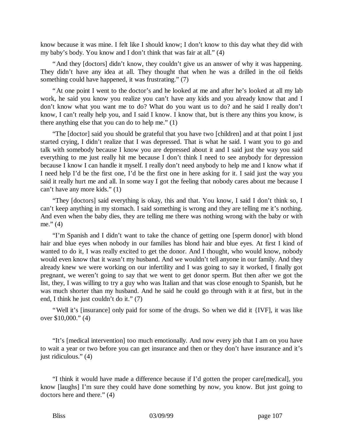know because it was mine. I felt like I should know; I don't know to this day what they did with my baby's body. You know and I don't think that was fair at all." (4)

"And they [doctors] didn't know, they couldn't give us an answer of why it was happening. They didn't have any idea at all. They thought that when he was a drilled in the oil fields something could have happened, it was frustrating." (7)

"At one point I went to the doctor's and he looked at me and after he's looked at all my lab work, he said you know you realize you can't have any kids and you already know that and I don't know what you want me to do? What do you want us to do? and he said I really don't know, I can't really help you, and I said I know. I know that, but is there any thins you know, is there anything else that you can do to help me." (1)

"The [doctor] said you should be grateful that you have two [children] and at that point I just started crying, I didn't realize that I was depressed. That is what he said. I want you to go and talk with somebody because I know you are depressed about it and I said just the way you said everything to me just really hit me because I don't think I need to see anybody for depression because I know I can handle it myself. I really don't need anybody to help me and I know what if I need help I'd be the first one, I'd be the first one in here asking for it. I said just the way you said it really hurt me and all. In some way I got the feeling that nobody cares about me because I can't have any more kids." (1)

"They [doctors] said everything is okay, this and that. You know, I said I don't think so, I can't keep anything in my stomach. I said something is wrong and they are telling me it's nothing. And even when the baby dies, they are telling me there was nothing wrong with the baby or with me." (4)

"I'm Spanish and I didn't want to take the chance of getting one [sperm donor] with blond hair and blue eyes when nobody in our families has blond hair and blue eyes. At first I kind of wanted to do it, I was really excited to get the donor. And I thought, who would know, nobody would even know that it wasn't my husband. And we wouldn't tell anyone in our family. And they already knew we were working on our infertility and I was going to say it worked, I finally got pregnant, we weren't going to say that we went to get donor sperm. But then after we got the list, they, I was willing to try a guy who was Italian and that was close enough to Spanish, but he was much shorter than my husband. And he said he could go through with it at first, but in the end, I think he just couldn't do it." (7)

"Well it's [insurance] only paid for some of the drugs. So when we did it {IVF], it was like over \$10,000." (4)

"It's [medical intervention] too much emotionally. And now every job that I am on you have to wait a year or two before you can get insurance and then or they don't have insurance and it's just ridiculous." (4)

"I think it would have made a difference because if I'd gotten the proper care[medical], you know [laughs] I'm sure they could have done something by now, you know. But just going to doctors here and there." (4)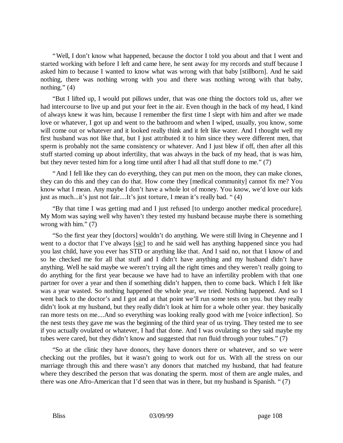"Well, I don't know what happened, because the doctor I told you about and that I went and started working with before I left and came here, he sent away for my records and stuff because I asked him to because I wanted to know what was wrong with that baby [stillborn]. And he said nothing, there was nothing wrong with you and there was nothing wrong with that baby, nothing."  $(4)$ 

"But I lifted up, I would put pillows under, that was one thing the doctors told us, after we had intercourse to live up and put your feet in the air. Even though in the back of my head, I kind of always knew it was him, because I remember the first time I slept with him and after we made love or whatever, I got up and went to the bathroom and when I wiped, usually, you know, some will come out or whatever and it looked really think and it felt like water. And I thought well my first husband was not like that, but I just attributed it to him since they were different men, that sperm is probably not the same consistency or whatever. And I just blew if off, then after all this stuff started coming up about infertility, that was always in the back of my head, that is was him, but they never tested him for a long time until after I had all that stuff done to me." (7)

"And I fell like they can do everything, they can put men on the moon, they can make clones, they can do this and they can do that. How come they [medical community] cannot fix me? You know what I mean. Any maybe I don't have a whole lot of money. You know, we'd love our kids just as much...it's just not fair....It's just torture, I mean it's really bad. " (4)

"By that time I was getting mad and I just refused [to undergo another medical procedure]. My Mom was saying well why haven't they tested my husband because maybe there is something wrong with him." (7)

"So the first year they [doctors] wouldn't do anything. We were still living in Cheyenne and I went to a doctor that I've always [sic] to and he said well has anything happened since you had you last child, have you ever has STD or anything like that. And I said no, not that I know of and so he checked me for all that stuff and I didn't have anything and my husband didn't have anything. Well he said maybe we weren't trying all the right times and they weren't really going to do anything for the first year because we have had to have an infertility problem with that one partner for over a year and then if something didn't happen, then to come back. Which I felt like was a year wasted. So nothing happened the whole year, we tried. Nothing happened. And so I went back to the doctor's and I got and at that point we'll run some tests on you. but they really didn't look at my husband, but they really didn't look at him for a whole other year. they basically ran more tests on me....And so everything was looking really good with me [voice inflection]. So the nest tests they gave me was the beginning of the third year of us trying. They tested me to see if you actually ovulated or whatever, I had that done. And I was ovulating so they said maybe my tubes were cared, but they didn't know and suggested that run fluid through your tubes." (7)

"So at the clinic they have donors, they have donors there or whatever, and so we were checking out the profiles, but it wasn't going to work out for us. With all the stress on our marriage through this and there wasn't any donors that matched my husband, that had feature where they described the person that was donating the sperm. most of them are angle males, and there was one Afro-American that I'd seen that was in there, but my husband is Spanish. " (7)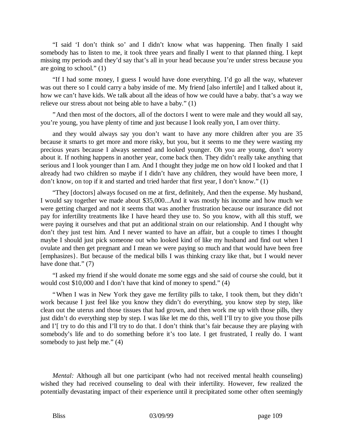"I said 'I don't think so' and I didn't know what was happening. Then finally I said somebody has to listen to me, it took three years and finally I went to that planned thing. I kept missing my periods and they'd say that's all in your head because you're under stress because you are going to school." (1)

"If I had some money, I guess I would have done everything. I'd go all the way, whatever was out there so I could carry a baby inside of me. My friend [also infertile] and I talked about it, how we can't have kids. We talk about all the ideas of how we could have a baby. that's a way we relieve our stress about not being able to have a baby." (1)

"And then most of the doctors, all of the doctors I went to were male and they would all say, you're young, you have plenty of time and just because I look really yon, I am over thirty.

and they would always say you don't want to have any more children after you are 35 because it smarts to get more and more risky, but you, but it seems to me they were wasting my precious years because I always seemed and looked younger. Oh you are young, don't worry about it. If nothing happens in another year, come back then. They didn't really take anything that serious and I look younger than I am. And I thought they judge me on how old I looked and that I already had two children so maybe if I didn't have any children, they would have been more, I don't know, on top if it and started and tried harder that first year, I don't know." (1)

"They [doctors] always focused on me at first, definitely, And then the expense. My husband, I would say together we made about \$35,000...And it was mostly his income and how much we were getting charged and not it seems that was another frustration because our insurance did not pay for infertility treatments like I have heard they use to. So you know, with all this stuff, we were paying it ourselves and that put an additional strain on our relationship. And I thought why don't they just test him. And I never wanted to have an affair, but a couple to times I thought maybe I should just pick someone out who looked kind of like my husband and find out when I ovulate and then get pregnant and I mean we were paying so much and that would have been free [emphasizes}. But because of the medical bills I was thinking crazy like that, but I would never have done that." (7)

"I asked my friend if she would donate me some eggs and she said of course she could, but it would cost \$10,000 and I don't have that kind of money to spend." (4)

"When I was in New York they gave me fertility pills to take, I took them, but they didn't work because I just feel like you know they didn't do everything, you know step by step, like clean out the uterus and those tissues that had grown, and then work me up with those pills, they just didn't do everything step by step. I was like let me do this, well I'll try to give you those pills and I'[ try to do this and I'll try to do that. I don't think that's fair because they are playing with somebody's life and to do something before it's too late. I get frustrated, I really do. I want somebody to just help me." (4)

*Mental:* Although all but one participant (who had not received mental health counseling) wished they had received counseling to deal with their infertility. However, few realized the potentially devastating impact of their experience until it precipitated some other often seemingly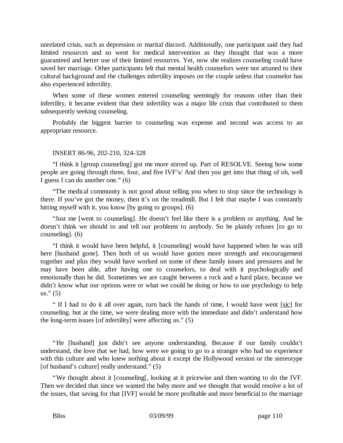unrelated crisis, such as depression or marital discord. Additionally, one participant said they had limited resources and so went for medical intervention as they thought that was a more guaranteed and better use of their limited resources. Yet, now she realizes counseling could have saved her marriage. Other participants felt that mental health counselors were not attuned to their cultural background and the challenges infertility imposes on the couple unless that counselor has also experienced infertility.

When some of these women entered counseling seemingly for reasons other than their infertility, it became evident that their infertility was a major life crisis that contributed to them subsequently seeking counseling.

Probably the biggest barrier to counseling was expense and second was access to an appropriate resource.

#### INSERT 86-96, 202-210, 324-328

"I think it [group counseling] got me more stirred up. Part of RESOLVE. Seeing how some people are going through three, four, and five IVF's/ And then you get into that thing of oh, well I guess I can do another one." (6)

"The medical community is not good about telling you when to stop since the technology is there. If you've got the money, then it's on the treadmill. But I felt that maybe I was constantly hitting myself with it, you know [by going to groups]. (6)

"Just me [went to counseling]. He doesn't feel like there is a problem or anything. And he doesn't think we should to and tell our problems to anybody. So he plainly refuses [to go to counseling]. (6)

"I think it would have been helpful, it [counseling] would have happened when he was still here [husband gone]. Then both of us would have gotten more strength and encouragement together and plus they would have worked on some of these family issues and pressures and he may have been able, after having one to counselors, to deal with it psychologically and emotionally than he did. Sometimes we are caught between a rock and a hard place, because we didn't know what our options were or what we could be doing or how to use psychology to help  $us." (5)$ 

" If I had to do it all over again, turn back the hands of time, I would have went [sic] for counseling. but at the time, we were dealing more with the immediate and didn't understand how the long-term issues [of infertility] were affecting us." (5)

"He [husband] just didn't see anyone understanding. Because if our family couldn't understand, the love that we had, how were we going to go to a stranger who had no experience with this culture and who knew nothing about it except the Hollywood version or the stereotype [of husband's culture] really understand." (5)

"We thought about it [counseling[, looking at it pricewise and then wanting to do the IVF. Then we decided that since we wanted the baby more and we thought that would resolve a lot of the issues, that saving for that [IVF] would be more profitable and more beneficial to the marriage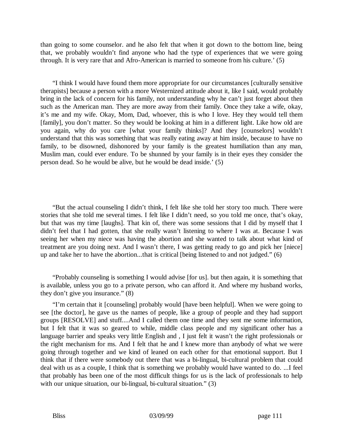than going to some counselor. and he also felt that when it got down to the bottom line, being that, we probably wouldn't find anyone who had the type of experiences that we were going through. It is very rare that and Afro-American is married to someone from his culture.' (5)

"I think I would have found them more appropriate for our circumstances [culturally sensitive therapists] because a person with a more Westernized attitude about it, like I said, would probably bring in the lack of concern for his family, not understanding why he can't just forget about then such as the American man. They are more away from their family. Once they take a wife, okay, it's me and my wife. Okay, Mom, Dad, whoever, this is who I love. Hey they would tell them [family], you don't matter. So they would be looking at him in a different light. Like how old are you again, why do you care [what your family thinks]? And they [counselors] wouldn't understand that this was something that was really eating away at him inside, because to have no family, to be disowned, dishonored by your family is the greatest humiliation than any man, Muslim man, could ever endure. To be shunned by your family is in their eyes they consider the person dead. So he would be alive, but he would be dead inside.' (5)

"But the actual counseling I didn't think, I felt like she told her story too much. There were stories that she told me several times. I felt like I didn't need, so you told me once, that's okay, but that was my time [laughs]. That kin of, there was some sessions that I did by myself that I didn't feel that I had gotten, that she really wasn't listening to where I was at. Because I was seeing her when my niece was having the abortion and she wanted to talk about what kind of treatment are you doing next. And I wasn't there, I was getting ready to go and pick her [niece] up and take her to have the abortion...that is critical [being listened to and not judged." (6)

"Probably counseling is something I would advise [for us]. but then again, it is something that is available, unless you go to a private person, who can afford it. And where my husband works, they don't give you insurance." (8)

"I'm certain that it [counseling] probably would [have been helpful]. When we were going to see [the doctor], he gave us the names of people, like a group of people and they had support groups [RESOLVE] and stuff....And I called them one time and they sent me some information, but I felt that it was so geared to while, middle class people and my significant other has a language barrier and speaks very little English and , I just felt it wasn't the right professionals or the right mechanism for ms. And I felt that he and I knew more than anybody of what we were going through together and we kind of leaned on each other for that emotional support. But I think that if there were somebody out there that was a bi-lingual, bi-cultural problem that could deal with us as a couple, I think that is something we probably would have wanted to do. ...I feel that probably has been one of the most difficult things for us is the lack of professionals to help with our unique situation, our bi-lingual, bi-cultural situation." (3)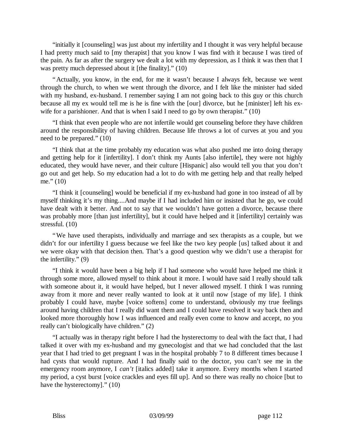"initially it [counseling] was just about my infertility and I thought it was very helpful because I had pretty much said to [my therapist] that you know I was find with it because I was tired of the pain. As far as after the surgery we dealt a lot with my depression, as I think it was then that I was pretty much depressed about it [the finality]." (10)

"Actually, you know, in the end, for me it wasn't because I always felt, because we went through the church, to when we went through the divorce, and I felt like the minister had sided with my husband, ex-husband. I remember saying I am not going back to this guy or this church because all my ex would tell me is he is fine with the [our] divorce, but he [minister] left his exwife for a parishioner. And that is when I said I need to go by own therapist." (10)

"I think that even people who are not infertile would get counseling before they have children around the responsibility of having children. Because life throws a lot of curves at you and you need to be prepared." (10)

"I think that at the time probably my education was what also pushed me into doing therapy and getting help for it [infertility]. I don't think my Aunts [also infertile], they were not highly educated, they would have never, and their culture [Hispanic] also would tell you that you don't go out and get help. So my education had a lot to do with me getting help and that really helped me." (10)

"I think it [counseling] would be beneficial if my ex-husband had gone in too instead of all by myself thinking it's my thing....And maybe if I had included him or insisted that he go, we could have dealt with it better. And not to say that we wouldn't have gotten a divorce, because there was probably more [than just infertility], but it could have helped and it [infertility] certainly was stressful. (10)

"We have used therapists, individually and marriage and sex therapists as a couple, but we didn't for our infertility I guess because we feel like the two key people [us] talked about it and we were okay with that decision then. That's a good question why we didn't use a therapist for the infertility." (9)

"I think it would have been a big help if I had someone who would have helped me think it through some more, allowed myself to think about it more. I would have said I really should talk with someone about it, it would have helped, but I never allowed myself. I think I was running away from it more and never really wanted to look at it until now [stage of my life]. I think probably I could have, maybe [voice softens] come to understand, obviously my true feelings around having children that I really did want them and I could have resolved it way back then and looked more thoroughly how I was influenced and really even come to know and accept, no you really can't biologically have children." (2)

"I actually was in therapy right before I had the hysterectomy to deal with the fact that, I had talked it over with my ex-husband and my gynecologist and that we had concluded that the last year that I had tried to get pregnant I was in the hospital probably 7 to 8 different times because I had cysts that would rupture. And I had finally said to the doctor, you can't see me in the emergency room anymore, I *can't* [italics added] take it anymore. Every months when I started my period, a cyst burst [voice crackles and eyes fill up]. And so there was really no choice [but to have the hysterectomy]." (10)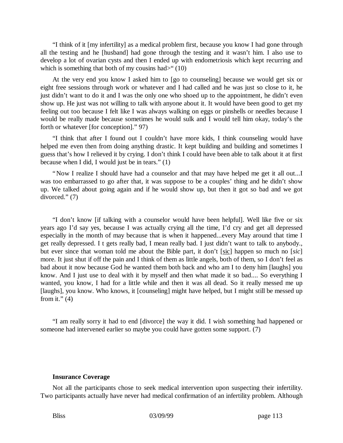"I think of it [my infertility] as a medical problem first, because you know I had gone through all the testing and he [husband] had gone through the testing and it wasn't him. I also use to develop a lot of ovarian cysts and then I ended up with endometriosis which kept recurring and which is something that both of my cousins had $>$ " (10)

At the very end you know I asked him to [go to counseling] because we would get six or eight free sessions through work or whatever and I had called and he was just so close to it, he just didn't want to do it and I was the only one who shoed up to the appointment, he didn't even show up. He just was not willing to talk with anyone about it. It would have been good to get my feeling out too because I felt like I was always walking on eggs or pinshells or needles because I would be really made because sometimes he would sulk and I would tell him okay, today's the forth or whatever [for conception]." 97)

"I think that after I found out I couldn't have more kids, I think counseling would have helped me even then from doing anything drastic. It kept building and building and sometimes I guess that's how I relieved it by crying. I don't think I could have been able to talk about it at first because when I did, I would just be in tears." (1)

"Now I realize I should have had a counselor and that may have helped me get it all out...I was too embarrassed to go after that, it was suppose to be a couples' thing and he didn't show up. We talked about going again and if he would show up, but then it got so bad and we got divorced." (7)

"I don't know [if talking with a counselor would have been helpful]. Well like five or six years ago I'd say yes, because I was actually crying all the time, I'd cry and get all depressed especially in the month of may because that is when it happened...every May around that time I get really depressed. I t gets really bad, I mean really bad. I just didn't want to talk to anybody., but ever since that woman told me about the Bible part, it don't [sic] happen so much no [*sic*] more. It just shut if off the pain and I think of them as little angels, both of them, so I don't feel as bad about it now because God he wanted them both back and who am I to deny him [laughs] you know. And I just use to deal with it by myself and then what made it so bad.... So everything I wanted, you know, I had for a little while and then it was all dead. So it really messed me up [laughs], you know. Who knows, it [counseling] might have helped, but I might still be messed up from it."  $(4)$ 

"I am really sorry it had to end [divorce] the way it did. I wish something had happened or someone had intervened earlier so maybe you could have gotten some support. (7)

#### **Insurance Coverage**

Not all the participants chose to seek medical intervention upon suspecting their infertility. Two participants actually have never had medical confirmation of an infertility problem. Although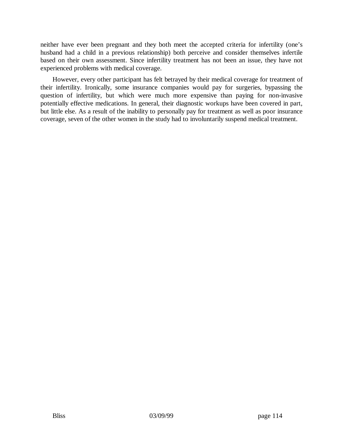neither have ever been pregnant and they both meet the accepted criteria for infertility (one's husband had a child in a previous relationship) both perceive and consider themselves infertile based on their own assessment. Since infertility treatment has not been an issue, they have not experienced problems with medical coverage.

However, every other participant has felt betrayed by their medical coverage for treatment of their infertility. Ironically, some insurance companies would pay for surgeries, bypassing the question of infertility, but which were much more expensive than paying for non-invasive potentially effective medications. In general, their diagnostic workups have been covered in part, but little else. As a result of the inability to personally pay for treatment as well as poor insurance coverage, seven of the other women in the study had to involuntarily suspend medical treatment.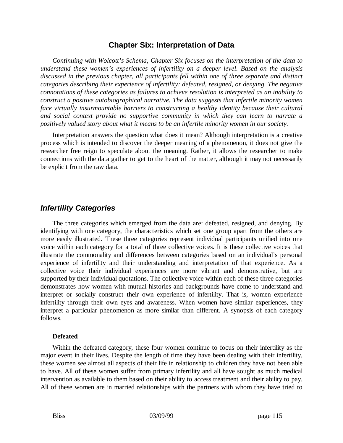## **Chapter Six: Interpretation of Data**

*Continuing with Wolcott's Schema, Chapter Six focuses on the interpretation of the data to understand these women's experiences of infertility on a deeper level. Based on the analysis discussed in the previous chapter, all participants fell within one of three separate and distinct categories describing their experience of infertility: defeated, resigned, or denying. The negative connotations of these categories as failures to achieve resolution is interpreted as an inability to construct a positive autobiographical narrative. The data suggests that infertile minority women face virtually insurmountable barriers to constructing a healthy identity because their cultural and social context provide no supportive community in which they can learn to narrate a positively valued story about what it means to be an infertile minority women in our society.*

Interpretation answers the question what does it mean? Although interpretation is a creative process which is intended to discover the deeper meaning of a phenomenon, it does not give the researcher free reign to speculate about the meaning. Rather, it allows the researcher to make connections with the data gather to get to the heart of the matter, although it may not necessarily be explicit from the raw data.

## *Infertility Categories*

The three categories which emerged from the data are: defeated, resigned, and denying. By identifying with one category, the characteristics which set one group apart from the others are more easily illustrated. These three categories represent individual participants unified into one voice within each category for a total of three collective voices. It is these collective voices that illustrate the commonality and differences between categories based on an individual's personal experience of infertility and their understanding and interpretation of that experience. As a collective voice their individual experiences are more vibrant and demonstrative, but are supported by their individual quotations. The collective voice within each of these three categories demonstrates how women with mutual histories and backgrounds have come to understand and interpret or socially construct their own experience of infertility. That is, women experience infertility through their own eyes and awareness. When women have similar experiences, they interpret a particular phenomenon as more similar than different. A synopsis of each category follows.

#### **Defeated**

Within the defeated category, these four women continue to focus on their infertility as the major event in their lives. Despite the length of time they have been dealing with their infertility, these women see almost all aspects of their life in relationship to children they have not been able to have. All of these women suffer from primary infertility and all have sought as much medical intervention as available to them based on their ability to access treatment and their ability to pay. All of these women are in married relationships with the partners with whom they have tried to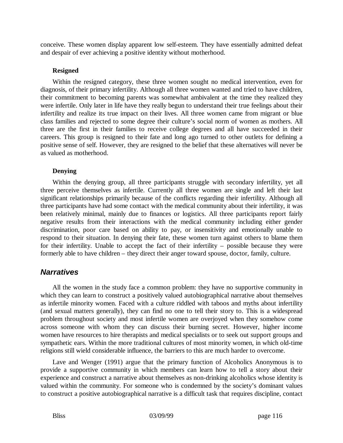conceive. These women display apparent low self-esteem. They have essentially admitted defeat and despair of ever achieving a positive identity without motherhood.

### **Resigned**

Within the resigned category, these three women sought no medical intervention, even for diagnosis, of their primary infertility. Although all three women wanted and tried to have children, their commitment to becoming parents was somewhat ambivalent at the time they realized they were infertile. Only later in life have they really begun to understand their true feelings about their infertility and realize its true impact on their lives. All three women came from migrant or blue class families and rejected to some degree their culture's social norm of women as mothers. All three are the first in their families to receive college degrees and all have succeeded in their careers. This group is resigned to their fate and long ago turned to other outlets for defining a positive sense of self. However, they are resigned to the belief that these alternatives will never be as valued as motherhood.

### **Denying**

Within the denying group, all three participants struggle with secondary infertility, yet all three perceive themselves as infertile. Currently all three women are single and left their last significant relationships primarily because of the conflicts regarding their infertility. Although all three participants have had some contact with the medical community about their infertility, it was been relatively minimal, mainly due to finances or logistics. All three participants report fairly negative results from their interactions with the medical community including either gender discrimination, poor care based on ability to pay, or insensitivity and emotionally unable to respond to their situation. In denying their fate, these women turn against others to blame them for their infertility. Unable to accept the fact of their infertility – possible because they were formerly able to have children – they direct their anger toward spouse, doctor, family, culture.

# *Narratives*

All the women in the study face a common problem: they have no supportive community in which they can learn to construct a positively valued autobiographical narrative about themselves as infertile minority women. Faced with a culture riddled with taboos and myths about infertility (and sexual matters generally), they can find no one to tell their story to. This is a widespread problem throughout society and most infertile women are overjoyed when they somehow come across someone with whom they can discuss their burning secret. However, higher income women have resources to hire therapists and medical specialists or to seek out support groups and sympathetic ears. Within the more traditional cultures of most minority women, in which old-time religions still wield considerable influence, the barriers to this are much harder to overcome.

Lave and Wenger (1991) argue that the primary function of Alcoholics Anonymous is to provide a supportive community in which members can learn how to tell a story about their experience and construct a narrative about themselves as non-drinking alcoholics whose identity is valued within the community. For someone who is condemned by the society's dominant values to construct a positive autobiographical narrative is a difficult task that requires discipline, contact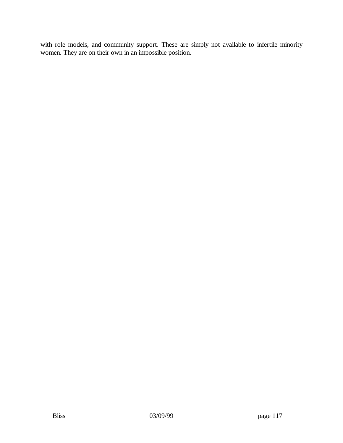with role models, and community support. These are simply not available to infertile minority women. They are on their own in an impossible position.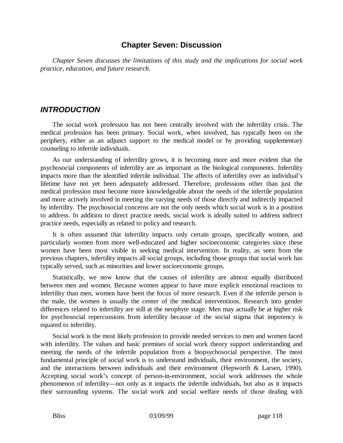### **Chapter Seven: Discussion**

*Chapter Seven discusses the limitations of this study and the implications for social work practice, education, and future research.*

## *INTRODUCTION*

The social work profession has not been centrally involved with the infertility crisis. The medical profession has been primary. Social work, when involved, has typically been on the periphery, either as an adjunct support to the medical model or by providing supplementary counseling to infertile individuals.

As our understanding of infertility grows, it is becoming more and more evident that the psychosocial components of infertility are as important as the biological components. Infertility impacts more than the identified infertile individual. The affects of infertility over an individual's lifetime have not yet been adequately addressed. Therefore, professions other than just the medical profession must become more knowledgeable about the needs of the infertile population and more actively involved in meeting the varying needs of those directly and indirectly impacted by infertility. The psychosocial concerns are not the only needs which social work is in a position to address. In addition to direct practice needs, social work is ideally suited to address indirect practice needs, especially as related to policy and research.

It is often assumed that infertility impacts only certain groups, specifically women, and particularly women from more well-educated and higher socioeconomic categories since these women have been most visible in seeking medical intervention. In reality, as seen from the previous chapters, infertility impacts all social groups, including those groups that social work has typically served, such as minorities and lower socioeconomic groups.

Statistically, we now know that the causes of infertility are almost equally distributed between men and women. Because women appear to have more explicit emotional reactions to infertility than men, women have been the focus of more research. Even if the infertile person is the male, the women is usually the center of the medical interventions. Research into gender differences related to infertility are still at the neophyte stage. Men may actually be at higher risk for psychosocial repercussions from infertility because of the social stigma that impotency is equated to infertility.

Social work is the most likely profession to provide needed services to men and women faced with infertility. The values and basic premises of social work theory support understanding and meeting the needs of the infertile population from a biopsychosocial perspective. The most fundamental principle of social work is to understand individuals, their environment, the society, and the interactions between individuals and their environment (Hepworth & Larsen, 1990). Accepting social work's concept of person-in-environment, social work addresses the whole phenomenon of infertility— not only as it impacts the infertile individuals, but also as it impacts their surrounding systems. The social work and social welfare needs of those dealing with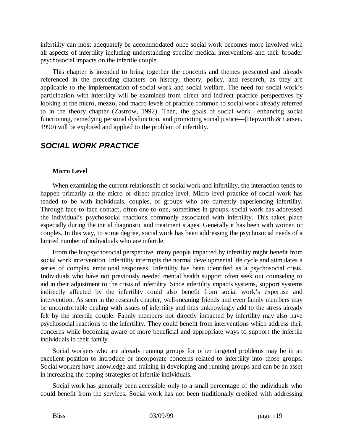infertility can most adequately be accommodated once social work becomes more involved with all aspects of infertility including understanding specific medical interventions and their broader psychosocial impacts on the infertile couple.

This chapter is intended to bring together the concepts and themes presented and already referenced in the preceding chapters on history, theory, policy, and research, as they are applicable to the implementation of social work and social welfare. The need for social work's participation with infertility will be examined from direct and indirect practice perspectives by looking at the micro, mezzo, and macro levels of practice common to social work already referred to in the theory chapter (Zastrow, 1992). Then, the goals of social work— enhancing social functioning, remedying personal dysfunction, and promoting social justice— (Hepworth & Larsen, 1990) will be explored and applied to the problem of infertility.

# *SOCIAL WORK PRACTICE*

### **Micro Level**

When examining the current relationship of social work and infertility, the interaction tends to happen primarily at the micro or direct practice level. Micro level practice of social work has tended to be with individuals, couples, or groups who are currently experiencing infertility. Through face-to-face contact, often one-to-one, sometimes in groups, social work has addressed the individual's psychosocial reactions commonly associated with infertility. This takes place especially during the initial diagnostic and treatment stages. Generally it has been with women or couples. In this way, to some degree, social work has been addressing the psychosocial needs of a limited number of individuals who are infertile.

From the biopsychosocial perspective, many people impacted by infertility might benefit from social work intervention. Infertility interrupts the normal developmental life cycle and stimulates a series of complex emotional responses. Infertility has been identified as a psychosocial crisis. Individuals who have not previously needed mental health support often seek out counseling to aid in their adjustment to the crisis of infertility. Since infertility impacts systems, support systems indirectly affected by the infertility could also benefit from social work's expertise and intervention. As seen in the research chapter, well-meaning friends and even family members may be uncomfortable dealing with issues of infertility and thus unknowingly add to the stress already felt by the infertile couple. Family members not directly impacted by infertility may also have psychosocial reactions to the infertility. They could benefit from interventions which address their concerns while becoming aware of more beneficial and appropriate ways to support the infertile individuals in their family.

Social workers who are already running groups for other targeted problems may be in an excellent position to introduce or incorporate concerns related to infertility into those groups. Social workers have knowledge and training in developing and running groups and can be an asset in increasing the coping strategies of infertile individuals.

Social work has generally been accessible only to a small percentage of the individuals who could benefit from the services. Social work has not been traditionally credited with addressing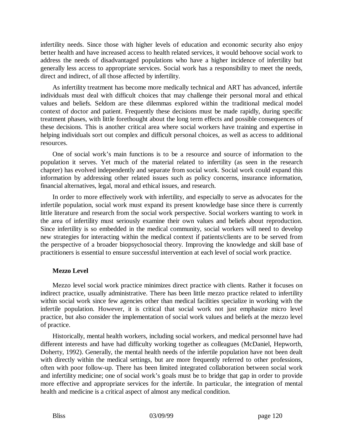infertility needs. Since those with higher levels of education and economic security also enjoy better health and have increased access to health related services, it would behoove social work to address the needs of disadvantaged populations who have a higher incidence of infertility but generally less access to appropriate services. Social work has a responsibility to meet the needs, direct and indirect, of all those affected by infertility.

As infertility treatment has become more medically technical and ART has advanced, infertile individuals must deal with difficult choices that may challenge their personal moral and ethical values and beliefs. Seldom are these dilemmas explored within the traditional medical model context of doctor and patient. Frequently these decisions must be made rapidly, during specific treatment phases, with little forethought about the long term effects and possible consequences of these decisions. This is another critical area where social workers have training and expertise in helping individuals sort out complex and difficult personal choices, as well as access to additional resources.

One of social work's main functions is to be a resource and source of information to the population it serves. Yet much of the material related to infertility (as seen in the research chapter) has evolved independently and separate from social work. Social work could expand this information by addressing other related issues such as policy concerns, insurance information, financial alternatives, legal, moral and ethical issues, and research.

In order to more effectively work with infertility, and especially to serve as advocates for the infertile population, social work must expand its present knowledge base since there is currently little literature and research from the social work perspective. Social workers wanting to work in the area of infertility must seriously examine their own values and beliefs about reproduction. Since infertility is so embedded in the medical community, social workers will need to develop new strategies for interacting within the medical context if patients/clients are to be served from the perspective of a broader biopsychosocial theory. Improving the knowledge and skill base of practitioners is essential to ensure successful intervention at each level of social work practice.

### **Mezzo Level**

Mezzo level social work practice minimizes direct practice with clients. Rather it focuses on indirect practice, usually administrative. There has been little mezzo practice related to infertility within social work since few agencies other than medical facilities specialize in working with the infertile population. However, it is critical that social work not just emphasize micro level practice, but also consider the implementation of social work values and beliefs at the mezzo level of practice.

Historically, mental health workers, including social workers, and medical personnel have had different interests and have had difficulty working together as colleagues (McDaniel, Hepworth, Doherty, 1992). Generally, the mental health needs of the infertile population have not been dealt with directly within the medical settings, but are more frequently referred to other professions, often with poor follow-up. There has been limited integrated collaboration between social work and infertility medicine; one of social work's goals must be to bridge that gap in order to provide more effective and appropriate services for the infertile. In particular, the integration of mental health and medicine is a critical aspect of almost any medical condition.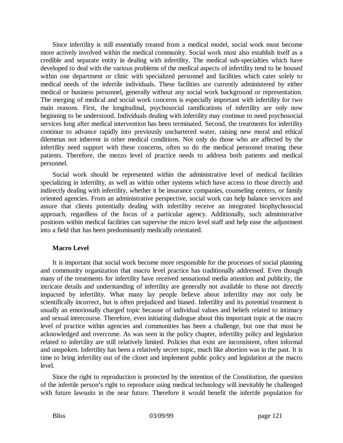Since infertility is still essentially treated from a medical model, social work must become more actively involved within the medical community. Social work must also establish itself as a credible and separate entity in dealing with infertility. The medical sub-specialties which have developed to deal with the various problems of the medical aspects of infertility tend to be housed within one department or clinic with specialized personnel and facilities which cater solely to medical needs of the infertile individuals. These facilities are currently administered by either medical or business personnel, generally without any social work background or representation. The merging of medical and social work concerns is especially important with infertility for two main reasons. First, the longitudinal, psychosocial ramifications of infertility are only now beginning to be understood. Individuals dealing with infertility may continue to need psychosocial services long after medical intervention has been terminated. Second, the treatments for infertility continue to advance rapidly into previously unchartered water, raising new moral and ethical dilemmas not inherent in other medical conditions. Not only do those who are affected by the infertility need support with these concerns, often so do the medical personnel treating these patients. Therefore, the mezzo level of practice needs to address both patients and medical personnel.

Social work should be represented within the administrative level of medical facilities specializing in infertility, as well as within other systems which have access to those directly and indirectly dealing with infertility, whether it be insurance companies, counseling centers, or family oriented agencies. From an administrative perspective, social work can help balance services and assure that clients potentially dealing with infertility receive an integrated biophychosocial approach, regardless of the focus of a particular agency. Additionally, such administrative positions within medical facilities can supervise the micro level staff and help ease the adjustment into a field that has been predominantly medically orientated.

#### **Macro Level**

It is important that social work become more responsible for the processes of social planning and community organization that macro level practice has traditionally addressed. Even though many of the treatments for infertility have received sensational media attention and publicity, the intricate details and understanding of infertility are generally not available to those not directly impacted by infertility. What many lay people believe about infertility may not only be scientifically incorrect, but is often prejudiced and biased. Infertility and its potential treatment is usually an emotionally charged topic because of individual values and beliefs related to intimacy and sexual intercourse. Therefore, even initiating dialogue about this important topic at the macro level of practice within agencies and communities has been a challenge, but one that must be acknowledged and overcome. As was seen in the policy chapter, infertility policy and legislation related to infertility are still relatively limited. Policies that exist are inconsistent, often informal and unspoken. Infertility has been a relatively secret topic, much like abortion was in the past. It is time to bring infertility out of the closet and implement public policy and legislation at the macro level.

Since the right to reproduction is protected by the intention of the Constitution, the question of the infertile person's right to reproduce using medical technology will inevitably be challenged with future lawsuits in the near future. Therefore it would benefit the infertile population for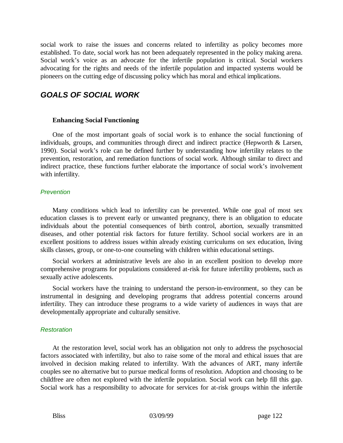social work to raise the issues and concerns related to infertility as policy becomes more established. To date, social work has not been adequately represented in the policy making arena. Social work's voice as an advocate for the infertile population is critical. Social workers advocating for the rights and needs of the infertile population and impacted systems would be pioneers on the cutting edge of discussing policy which has moral and ethical implications.

# *GOALS OF SOCIAL WORK*

#### **Enhancing Social Functioning**

One of the most important goals of social work is to enhance the social functioning of individuals, groups, and communities through direct and indirect practice (Hepworth & Larsen, 1990). Social work's role can be defined further by understanding how infertility relates to the prevention, restoration, and remediation functions of social work. Although similar to direct and indirect practice, these functions further elaborate the importance of social work's involvement with infertility.

#### *Prevention*

Many conditions which lead to infertility can be prevented. While one goal of most sex education classes is to prevent early or unwanted pregnancy, there is an obligation to educate individuals about the potential consequences of birth control, abortion, sexually transmitted diseases, and other potential risk factors for future fertility. School social workers are in an excellent positions to address issues within already existing curriculums on sex education, living skills classes, group, or one-to-one counseling with children within educational settings.

Social workers at administrative levels are also in an excellent position to develop more comprehensive programs for populations considered at-risk for future infertility problems, such as sexually active adolescents.

Social workers have the training to understand the person-in-environment, so they can be instrumental in designing and developing programs that address potential concerns around infertility. They can introduce these programs to a wide variety of audiences in ways that are developmentally appropriate and culturally sensitive.

### *Restoration*

At the restoration level, social work has an obligation not only to address the psychosocial factors associated with infertility, but also to raise some of the moral and ethical issues that are involved in decision making related to infertility. With the advances of ART, many infertile couples see no alternative but to pursue medical forms of resolution. Adoption and choosing to be childfree are often not explored with the infertile population. Social work can help fill this gap. Social work has a responsibility to advocate for services for at-risk groups within the infertile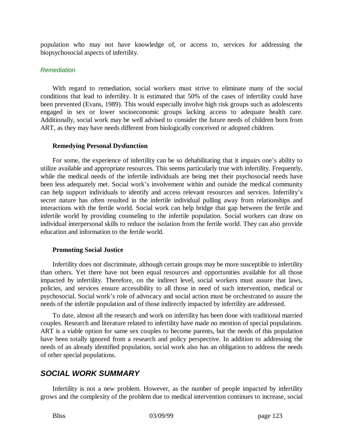population who may not have knowledge of, or access to, services for addressing the biopsychosocial aspects of infertility.

#### *Remediation*

With regard to remediation, social workers must strive to eliminate many of the social conditions that lead to infertility. It is estimated that 50% of the cases of infertility could have been prevented (Evans, 1989). This would especially involve high risk groups such as adolescents engaged in sex or lower socioeconomic groups lacking access to adequate health care. Additionally, social work may be well advised to consider the future needs of children born from ART, as they may have needs different from biologically conceived or adopted children.

#### **Remedying Personal Dysfunction**

For some, the experience of infertility can be so dehabilitating that it impairs one's ability to utilize available and appropriate resources. This seems particularly true with infertility. Frequently, while the medical needs of the infertile individuals are being met their psychosocial needs have been less adequately met. Social work's involvement within and outside the medical community can help support individuals to identify and access relevant resources and services. Infertility's secret nature has often resulted in the infertile individual pulling away from relationships and interactions with the fertile world. Social work can help bridge that gap between the fertile and infertile world by providing counseling to the infertile population. Social workers can draw on individual interpersonal skills to reduce the isolation from the fertile world. They can also provide education and information to the fertile world.

### **Promoting Social Justice**

Infertility does not discriminate, although certain groups may be more susceptible to infertility than others. Yet there have not been equal resources and opportunities available for all those impacted by infertility. Therefore, on the indirect level, social workers must assure that laws, policies, and services ensure accessibility to all those in need of such intervention, medical or psychosocial. Social work's role of advocacy and social action must be orchestrated to assure the needs of the infertile population and of those indirectly impacted by infertility are addressed.

To date, almost all the research and work on infertility has been done with traditional married couples. Research and literature related to infertility have made no mention of special populations. ART is a viable option for same sex couples to become parents, but the needs of this population have been totally ignored from a research and policy perspective. In addition to addressing the needs of an already identified population, social work also has an obligation to address the needs of other special populations.

# *SOCIAL WORK SUMMARY*

Infertility is not a new problem. However, as the number of people impacted by infertility grows and the complexity of the problem due to medical intervention continues to increase, social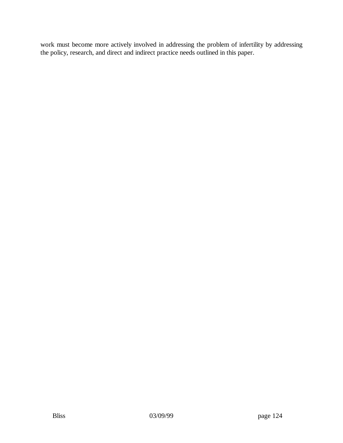work must become more actively involved in addressing the problem of infertility by addressing the policy, research, and direct and indirect practice needs outlined in this paper.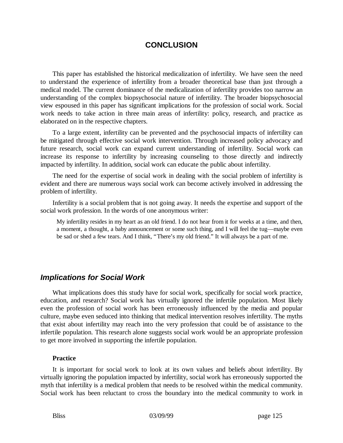## **CONCLUSION**

This paper has established the historical medicalization of infertility. We have seen the need to understand the experience of infertility from a broader theoretical base than just through a medical model. The current dominance of the medicalization of infertility provides too narrow an understanding of the complex biopsychosocial nature of infertility. The broader biopsychosocial view espoused in this paper has significant implications for the profession of social work. Social work needs to take action in three main areas of infertility: policy, research, and practice as elaborated on in the respective chapters.

To a large extent, infertility can be prevented and the psychosocial impacts of infertility can be mitigated through effective social work intervention. Through increased policy advocacy and future research, social work can expand current understanding of infertility. Social work can increase its response to infertility by increasing counseling to those directly and indirectly impacted by infertility. In addition, social work can educate the public about infertility.

The need for the expertise of social work in dealing with the social problem of infertility is evident and there are numerous ways social work can become actively involved in addressing the problem of infertility.

Infertility is a social problem that is not going away. It needs the expertise and support of the social work profession. In the words of one anonymous writer:

My infertility resides in my heart as an old friend. I do not hear from it for weeks at a time, and then, a moment, a thought, a baby announcement or some such thing, and I will feel the tug— maybe even be sad or shed a few tears. And I think, "There's my old friend." It will always be a part of me.

# *Implications for Social Work*

What implications does this study have for social work, specifically for social work practice, education, and research? Social work has virtually ignored the infertile population. Most likely even the profession of social work has been erroneously influenced by the media and popular culture, maybe even seduced into thinking that medical intervention resolves infertility. The myths that exist about infertility may reach into the very profession that could be of assistance to the infertile population. This research alone suggests social work would be an appropriate profession to get more involved in supporting the infertile population.

#### **Practice**

It is important for social work to look at its own values and beliefs about infertility. By virtually ignoring the population impacted by infertility, social work has erroneously supported the myth that infertility is a medical problem that needs to be resolved within the medical community. Social work has been reluctant to cross the boundary into the medical community to work in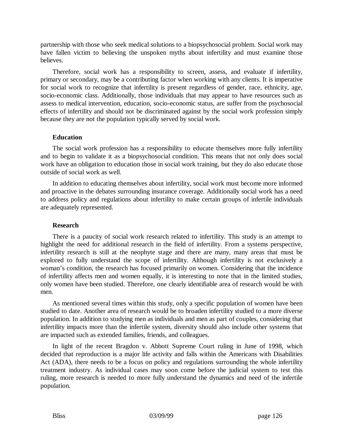partnership with those who seek medical solutions to a biopsychosocial problem. Social work may have fallen victim to believing the unspoken myths about infertility and must examine those believes.

Therefore, social work has a responsibility to screen, assess, and evaluate if infertility, primary or secondary, may be a contributing factor when working with any clients. It is imperative for social work to recognize that infertility is present regardless of gender, race, ethnicity, age, socio-economic class. Additionally, those individuals that may appear to have resources such as assess to medical intervention, education, socio-economic status, are suffer from the psychosocial effects of infertility and should not be discriminated against by the social work profession simply because they are not the population typically served by social work.

#### **Education**

The social work profession has a responsibility to educate themselves more fully infertility and to begin to validate it as a biopsychosocial condition. This means that not only does social work have an obligation to education those in social work training, but they do also educate those outside of social work as well.

In addition to educating themselves about infertility, social work must become more informed and proactive in the debates surrounding insurance coverage. Additionally social work has a need to address policy and regulations about infertility to make certain groups of infertile individuals are adequately represented.

### **Research**

There is a paucity of social work research related to infertility. This study is an attempt to highlight the need for additional research in the field of infertility. From a systems perspective, infertility research is still at the neophyte stage and there are many, many areas that must be explored to fully understand the scope of infertility. Although infertility is not exclusively a woman's condition, the research has focused primarily on women. Considering that the incidence of infertility affects men and women equally, it is interesting to note that in the limited studies, only women have been studied. Therefore, one clearly identifiable area of research would be with men.

As mentioned several times within this study, only a specific population of women have been studied to date. Another area of research would be to broaden infertility studied to a more diverse population. In addition to studying men as individuals and men as part of couples, considering that infertility impacts more than the infertile system, diversity should also include other systems that are impacted such as extended families, friends, and colleagues.

In light of the recent Bragdon v. Abbott Supreme Court ruling in June of 1998, which decided that reproduction is a major life activity and falls within the Americans with Disabilities Act (ADA), there needs to be a focus on policy and regulations surrounding the whole infertility treatment industry. As individual cases may soon come before the judicial system to test this ruling, more research is needed to more fully understand the dynamics and need of the infertile population.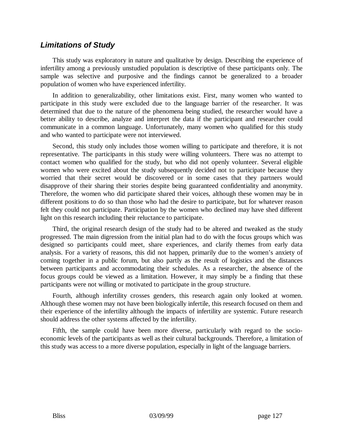## *Limitations of Study*

This study was exploratory in nature and qualitative by design. Describing the experience of infertility among a previously unstudied population is descriptive of these participants only. The sample was selective and purposive and the findings cannot be generalized to a broader population of women who have experienced infertility.

In addition to generalizability, other limitations exist. First, many women who wanted to participate in this study were excluded due to the language barrier of the researcher. It was determined that due to the nature of the phenomena being studied, the researcher would have a better ability to describe, analyze and interpret the data if the participant and researcher could communicate in a common language. Unfortunately, many women who qualified for this study and who wanted to participate were not interviewed.

Second, this study only includes those women willing to participate and therefore, it is not representative. The participants in this study were willing volunteers. There was no attempt to contact women who qualified for the study, but who did not openly volunteer. Several eligible women who were excited about the study subsequently decided not to participate because they worried that their secret would be discovered or in some cases that they partners would disapprove of their sharing their stories despite being guaranteed confidentiality and anonymity. Therefore, the women who did participate shared their voices, although these women may be in different positions to do so than those who had the desire to participate, but for whatever reason felt they could not participate. Participation by the women who declined may have shed different light on this research including their reluctance to participate.

Third, the original research design of the study had to be altered and tweaked as the study progressed. The main digression from the initial plan had to do with the focus groups which was designed so participants could meet, share experiences, and clarify themes from early data analysis. For a variety of reasons, this did not happen, primarily due to the women's anxiety of coming together in a public forum, but also partly as the result of logistics and the distances between participants and accommodating their schedules. As a researcher, the absence of the focus groups could be viewed as a limitation. However, it may simply be a finding that these participants were not willing or motivated to participate in the group structure.

Fourth, although infertility crosses genders, this research again only looked at women. Although these women may not have been biologically infertile, this research focused on them and their experience of the infertility although the impacts of infertility are systemic. Future research should address the other systems affected by the infertility.

Fifth, the sample could have been more diverse, particularly with regard to the socioeconomic levels of the participants as well as their cultural backgrounds. Therefore, a limitation of this study was access to a more diverse population, especially in light of the language barriers.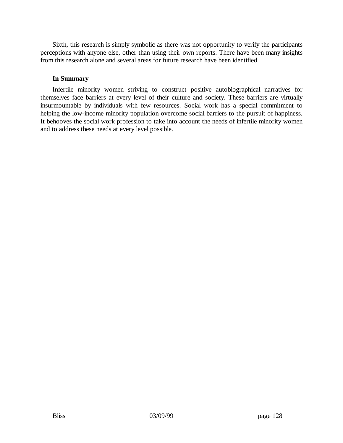Sixth, this research is simply symbolic as there was not opportunity to verify the participants perceptions with anyone else, other than using their own reports. There have been many insights from this research alone and several areas for future research have been identified.

#### **In Summary**

Infertile minority women striving to construct positive autobiographical narratives for themselves face barriers at every level of their culture and society. These barriers are virtually insurmountable by individuals with few resources. Social work has a special commitment to helping the low-income minority population overcome social barriers to the pursuit of happiness. It behooves the social work profession to take into account the needs of infertile minority women and to address these needs at every level possible.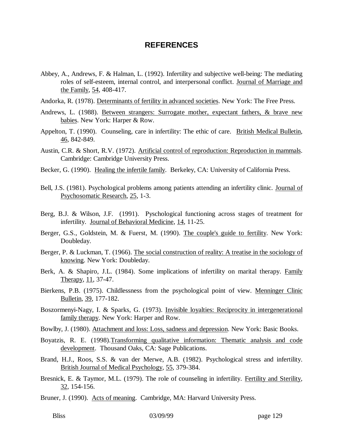### **REFERENCES**

- Abbey, A., Andrews, F. & Halman, L. (1992). Infertility and subjective well-being: The mediating roles of self-esteem, internal control, and interpersonal conflict. Journal of Marriage and the Family, 54, 408-417.
- Andorka, R. (1978). Determinants of fertility in advanced societies. New York: The Free Press.
- Andrews, L. (1988). Between strangers: Surrogate mother, expectant fathers, & brave new babies. New York: Harper & Row.
- Appelton, T. (1990). Counseling, care in infertility: The ethic of care. British Medical Bulletin, 46, 842-849.
- Austin, C.R. & Short, R.V. (1972). Artificial control of reproduction: Reproduction in mammals. Cambridge: Cambridge University Press.
- Becker, G. (1990). Healing the infertile family. Berkeley, CA: University of California Press.
- Bell, J.S. (1981). Psychological problems among patients attending an infertility clinic. Journal of Psychosomatic Research, 25, 1-3.
- Berg, B.J. & Wilson, J.F. (1991). Pyschological functioning across stages of treatment for infertility. Journal of Behavioral Medicine, 14, 11-25.
- Berger, G.S., Goldstein, M. & Fuerst, M. (1990). The couple's guide to fertility. New York: Doubleday.
- Berger, P. & Luckman, T. (1966). The social construction of reality: A treatise in the sociology of knowing. New York: Doubleday.
- Berk, A. & Shapiro, J.L. (1984). Some implications of infertility on marital therapy. Family Therapy, 11, 37-47.
- Bierkens, P.B. (1975). Childlessness from the psychological point of view. Menninger Clinic Bulletin, 39, 177-182.
- Boszormenyi-Nagy, I. & Sparks, G. (1973). Invisible loyalties: Reciprocity in intergenerational family therapy. New York: Harper and Row.
- Bowlby, J. (1980). Attachment and loss: Loss, sadness and depression. New York: Basic Books.
- Boyatzis, R. E. (1998).Transforming qualitative information: Thematic analysis and code development. Thousand Oaks, CA: Sage Publications.
- Brand, H.J., Roos, S.S. & van der Merwe, A.B. (1982). Psychological stress and infertility. British Journal of Medical Psychology, 55, 379-384.
- Bresnick, E. & Taymor, M.L. (1979). The role of counseling in infertility. Fertility and Sterility, 32, 154-156.
- Bruner, J. (1990). Acts of meaning. Cambridge, MA: Harvard University Press.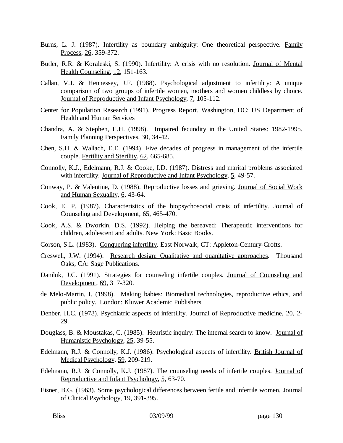- Burns, L. J. (1987). Infertility as boundary ambiguity: One theoretical perspective. Family Process, 26, 359-372.
- Butler, R.R. & Koraleski, S. (1990). Infertility: A crisis with no resolution. Journal of Mental Health Counseling, 12, 151-163.
- Callan, V.J. & Hennessey, J.F. (1988). Psychological adjustment to infertility: A unique comparison of two groups of infertile women, mothers and women childless by choice. Journal of Reproductive and Infant Psychology, 7, 105-112.
- Center for Population Research (1991). Progress Report. Washington, DC: US Department of Health and Human Services
- Chandra, A. & Stephen, E.H. (1998). Impaired fecundity in the United States: 1982-1995. Family Planning Perspectives, 30, 34-42.
- Chen, S.H. & Wallach, E.E. (1994). Five decades of progress in management of the infertile couple. Fertility and Sterility. 62, 665-685.
- Connolly, K.J., Edelmann, R.J. & Cooke, I.D. (1987). Distress and marital problems associated with infertility. Journal of Reproductive and Infant Psychology, 5, 49-57.
- Conway, P. & Valentine, D. (1988). Reproductive losses and grieving. Journal of Social Work and Human Sexuality, 6, 43-64.
- Cook, E. P. (1987). Characteristics of the biopsychosocial crisis of infertility. Journal of Counseling and Development, 65, 465-470.
- Cook, A.S. & Dworkin, D.S. (1992). Helping the bereaved: Therapeutic interventions for children, adolescent and adults. New York: Basic Books.
- Corson, S.L. (1983). Conquering infertility. East Norwalk, CT: Appleton-Century-Crofts.
- Creswell, J.W. (1994). Research design: Qualitative and quanitative approaches. Thousand Oaks, CA: Sage Publications.
- Daniluk, J.C. (1991). Strategies for counseling infertile couples. Journal of Counseling and Development, 69, 317-320.
- de Melo-Martin, I. (1998). Making babies: Biomedical technologies, reproductive ethics, and public policy. London: Kluwer Academic Publishers.
- Denber, H.C. (1978). Psychiatric aspects of infertility. Journal of Reproductive medicine, 20, 2- 29.
- Douglass, B. & Moustakas, C. (1985). Heuristic inquiry: The internal search to know. Journal of Humanistic Psychology, 25, 39-55.
- Edelmann, R.J. & Connolly, K.J. (1986). Psychological aspects of infertility. British Journal of Medical Psychology, 59, 209-219.
- Edelmann, R.J. & Connolly, K.J. (1987). The counseling needs of infertile couples. Journal of Reproductive and Infant Psychology, 5, 63-70.
- Eisner, B.G. (1963). Some psychological differences between fertile and infertile women. Journal of Clinical Psychology, 19, 391-395.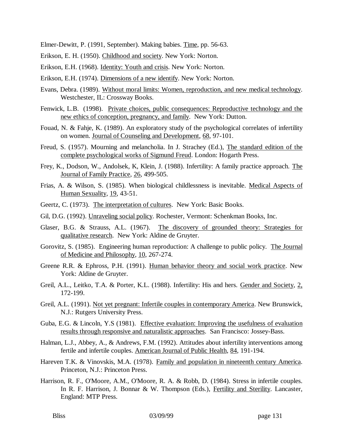Elmer-Dewitt, P. (1991, September). Making babies. Time, pp. 56-63.

Erikson, E. H. (1950). Childhood and society. New York: Norton.

Erikson, E.H. (1968). Identity: Youth and crisis. New York: Norton.

- Erikson, E.H. (1974). Dimensions of a new identify. New York: Norton.
- Evans, Debra. (1989). Without moral limits: Women, reproduction, and new medical technology. Westchester, IL: Crossway Books.
- Fenwick, L.B. (1998). Private choices, public consequences: Reproductive technology and the new ethics of conception, pregnancy, and family. New York: Dutton.
- Fouad, N. & Fahje, K. (1989). An exploratory study of the psychological correlates of infertility on women. Journal of Counseling and Development, 68, 97-101.
- Freud, S. (1957). Mourning and melancholia. In J. Strachey (Ed.), The standard edition of the complete psychological works of Sigmund Freud. London: Hogarth Press.
- Frey, K., Dodson, W., Andolsek, K, Klein, J. (1988). Infertility: A family practice approach. The Journal of Family Practice, 26, 499-505.
- Frias, A. & Wilson, S. (1985). When biological childlessness is inevitable. Medical Aspects of Human Sexuality, 19, 43-51.
- Geertz, C. (1973). The interpretation of cultures. New York: Basic Books.
- Gil, D.G. (1992). Unraveling social policy. Rochester, Vermont: Schenkman Books, Inc.
- Glaser, B.G. & Strauss, A.L. (1967). The discovery of grounded theory: Strategies for qualitative research. New York: Aldine de Gruyter.
- Gorovitz, S. (1985). Engineering human reproduction: A challenge to public policy. The Journal of Medicine and Philosophy, 10, 267-274.
- Greene R.R. & Ephross, P.H. (1991). Human behavior theory and social work practice. New York: Aldine de Gruyter.
- Greil, A.L., Leitko, T.A. & Porter, K.L. (1988). Infertility: His and hers. Gender and Society, 2, 172-199.
- Greil, A.L. (1991). Not yet pregnant: Infertile couples in contemporary America. New Brunswick, N.J.: Rutgers University Press.
- Guba, E.G. & Lincoln, Y.S (1981). Effective evaluation: Improving the usefulness of evaluation results through responsive and naturalistic approaches. San Francisco: Jossey-Bass.
- Halman, L.J., Abbey, A., & Andrews, F.M. (1992). Attitudes about infertility interventions among fertile and infertile couples. American Journal of Public Health, 84, 191-194.
- Hareven T.K. & Vinovskis, M.A. (1978). Family and population in nineteenth century America. Princeton, N.J.: Princeton Press.
- Harrison, R. F., O'Moore, A.M., O'Moore, R. A. & Robb, D. (1984). Stress in infertile couples. In R. F. Harrison, J. Bonnar & W. Thompson (Eds.), Fertility and Sterility. Lancaster, England: MTP Press.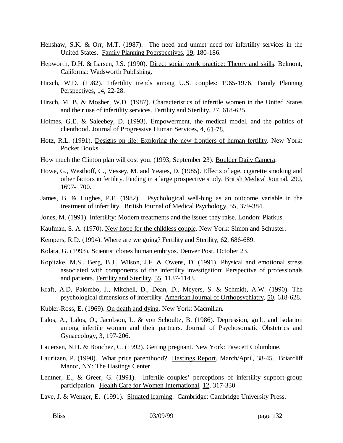- Henshaw, S.K. & Orr, M.T. (1987). The need and unmet need for infertility services in the United States. Family Planning Poerspectives, 19, 180-186.
- Hepworth, D.H. & Larsen, J.S. (1990). Direct social work practice: Theory and skills. Belmont, California: Wadsworth Publishing.
- Hirsch, W.D. (1982). Infertility trends among U.S. couples: 1965-1976. Family Planning Perspectives, 14, 22-28.
- Hirsch, M. B. & Mosher, W.D. (1987). Characteristics of infertile women in the United States and their use of infertility services. Fertility and Sterility, 27, 618-625.
- Holmes, G.E. & Saleebey, D. (1993). Empowerment, the medical model, and the politics of clienthood. Journal of Progressive Human Services, 4, 61-78.
- Hotz, R.L. (1991). Designs on life: Exploring the new frontiers of human fertility. New York: Pocket Books.
- How much the Clinton plan will cost you. (1993, September 23). Boulder Daily Camera.
- Howe, G., Westhoff, C., Vessey, M. and Yeates, D. (1985). Effects of age, cigarette smoking and other factors in fertility. Finding in a large prospective study. British Medical Journal, 290, 1697-1700.
- James, B. & Hughes, P.F. (1982). Psychological well-bing as an outcome variable in the treatment of infertility. British Journal of Medical Psychology, 55, 379-384.
- Jones, M. (1991). Infertility: Modern treatments and the issues they raise. London: Piatkus.
- Kaufman, S. A. (1970). New hope for the childless couple. New York: Simon and Schuster.
- Kempers, R.D. (1994). Where are we going? Fertility and Sterility, 62, 686-689.
- Kolata, G. (1993). Scientist clones human embryos. Denver Post, October 23.
- Kopitzke, M.S., Berg, B.J., Wilson, J.F. & Owens, D. (1991). Physical and emotional stress associated with components of the infertility investigation: Perspective of professionals and patients. Fertility and Sterility, 55, 1137-1143.
- Kraft, A.D, Palombo, J., Mitchell, D., Dean, D., Meyers, S. & Schmidt, A.W. (1990). The psychological dimensions of infertility. American Journal of Orthopsychiatry, 50, 618-628.
- Kubler-Ross, E. (1969). On death and dying. New York: Macmillan.
- Lalos, A., Lalos, O., Jacobson, L. & von Schoultz, B. (1986). Depression, guilt, and isolation among infertile women and their partners. Journal of Psychosomatic Obstetrics and Gynaecology, 3, 197-206.
- Lauersen, N.H. & Bouchez, C. (1992). Getting pregnant. New York: Fawcett Columbine.
- Lauritzen, P. (1990). What price parenthood? Hastings Report, March/April, 38-45. Briarcliff Manor, NY: The Hastings Center.
- Lentner, E., & Greer, G. (1991). Infertile couples' perceptions of infertility support-group participation. Health Care for Women International, 12, 317-330.
- Lave, J. & Wenger, E. (1991). Situated learning. Cambridge: Cambridge University Press.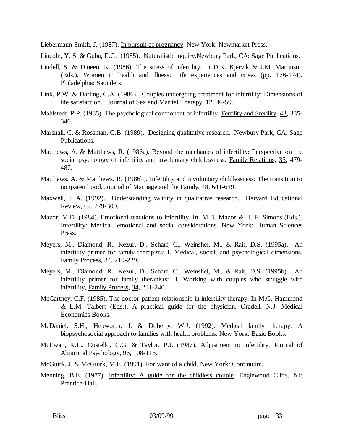Liebermann-Smith, J. (1987). In pursuit of pregnancy. New York: Newmarket Press.

Lincoln, Y. S. & Guba, E.G. (1985). Naturalistic inquiry.Newbury Park, CA: Sage Publications.

- Lindell, S. & Dineen, K. (1986). The stress of infertility. In D.K. Kjervik & J.M. Martinson (Eds.), Women in health and illness: Life experiences and crises (pp. 176-174). Philadelphia: Saunders.
- Link, P.W. & Darling, C.A. (1986). Couples undergoing treatment for infertility: Dimensions of life satisfaction. Journal of Sex and Marital Therapy, 12, 46-59.
- Mahlstedt, P.P. (1985). The psychological component of infertility. Fertility and Sterility, 43, 335-346.
- Marshall, C. & Rossman, G.B. (1989). Designing qualitative research. Newbury Park, CA: Sage Publications.
- Matthews, A. & Matthews, R. (1986a). Beyond the mechanics of infertility: Perspective on the social psychology of infertility and involuntary childlessness. Family Relations, 35, 479- 487.
- Matthews, A. & Matthews, R. (1986b). Infertility and involuntary childlessness: The transition to nonparenthood. Journal of Marriage and the Family, 48, 641-649.
- Maxwell, J. A. (1992). Understanding validity in qualitative research. Harvard Educational Review, 62, 279-300.
- Mazor, M.D. (1984). Emotional reactions to infertility. In. M.D. Mazor & H. F. Simons (Eds.), Infertility: Medical, emotional and social considerations. New York: Human Sciences Press.
- Meyers, M., Diamond, R., Kezur, D., Scharf, C., Weinshel, M., & Rait, D.S. (1995a). An infertility primer for family therapists: I. Medical, social, and psychological dimensions. Family Process, 34, 219-229.
- Meyers, M., Diamond, R., Kezur, D., Scharf, C., Weinshel, M., & Rait, D.S. (1995b). An infertility primer for family therapists: II. Working with couples who struggle with infertility, Family Process, 34, 231-240.
- McCartney, C.F. (1985). The doctor-patient relationship in infertility therapy. In M.G. Hammond & L.M. Talbert (Eds.), A practical guide for the physician. Oradell, N.J: Medical Economics Books.
- McDaniel, S.H., Hepworth, J. & Doherty, W.J. (1992). Medical family therapy: A biopsychosocial approach to families with health problems. New York: Basic Books.
- McEwan, K.L., Costello, C.G. & Taylor, P.J. (1987). Adjustment to infertility. Journal of Abnormal Psychology, 96, 108-116.
- McGuirk, J. & McGuirk, M.E. (1991). For want of a child. New York: Continuum.
- Menning, B.E. (1977). Infertility: A guide for the childless couple. Englewood Cliffs, NJ: Prentice-Hall.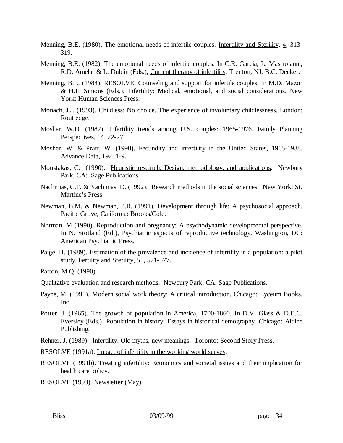- Menning, B.E. (1980). The emotional needs of infertile couples. Infertility and Sterility, 4, 313-319.
- Menning, B.E. (1982). The emotional needs of infertile couples. In C.R. Garcia, L. Mastroianni, R.D. Amelar & L. Dublin (Eds.), Current therapy of infertility. Trenton, NJ: B.C. Decker.
- Menning, B.E. (1984). RESOLVE: Counseling and support for infertile couples. In M.D. Mazor & H.F. Simons (Eds.), Infertility: Medical, emotional, and social considerations. New York: Human Sciences Press.
- Monach, J.J. (1993). Childless: No choice. The experience of involuntary childlessness. London: Routledge.
- Mosher, W.D. (1982). Infertility trends among U.S. couples: 1965-1976. Family Planning Perspectives, 14, 22-27.
- Mosher, W. & Pratt, W. (1990). Fecundity and infertility in the United States, 1965-1988. Advance Data, 192, 1-9.
- Moustakas, C. (1990). Heuristic research: Design, methodology, and applications. Newbury Park, CA: Sage Publications.
- Nachmias, C.F. & Nachmias, D. (1992). Research methods in the social sciences. New York: St. Martine's Press.
- Newman, B.M. & Newman, P.R. (1991). Development through life: A psychosocial approach. Pacific Grove, California: Brooks/Cole.
- Notman, M (1990). Reproduction and pregnancy: A psychodynamic developmental perspective. In N. Stotland (Ed.), Psychiatric aspects of reproductive technology. Washington, DC: American Psychiatric Press.
- Paige, H. (1989). Estimation of the prevalence and incidence of infertility in a population: a pilot study. Fertility and Sterility, 51, 571-577.

Patton, M.Q. (1990).

Qualitative evaluation and research methods. Newbury Park, CA: Sage Publications.

- Payne, M. (1991). Modern social work theory: A critical introduction. Chicago: Lyceum Books, Inc.
- Potter, J. (1965). The growth of population in America, 1700-1860. In D.V. Glass & D.E.C. Eversley (Eds.). Population in history: Essays in historical demography. Chicago: Aldine Publishing.

Rehner, J. (1989). Infertility: Old myths, new meanings. Toronto: Second Story Press.

RESOLVE (1991a). Impact of infertility in the working world survey.

RESOLVE (1991b). Treating infertility: Economics and societal issues and their implication for health care policy.

RESOLVE (1993). Newsletter (May).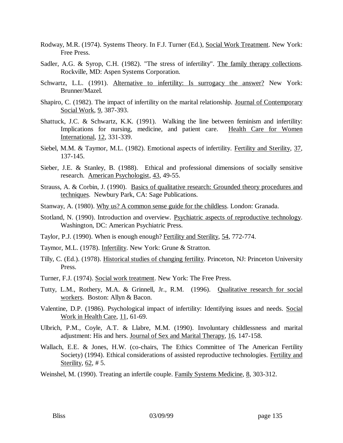- Rodway, M.R. (1974). Systems Theory. In F.J. Turner (Ed.), Social Work Treatment. New York: Free Press.
- Sadler, A.G. & Syrop, C.H. (1982). "The stress of infertility". The family therapy collections. Rockville, MD: Aspen Systems Corporation.
- Schwartz, L.L. (1991). Alternative to infertility: Is surrogacy the answer? New York: Brunner/Mazel.
- Shapiro, C. (1982). The impact of infertility on the marital relationship. Journal of Contemporary Social Work, 9, 387-393.
- Shattuck, J.C. & Schwartz, K.K. (1991). Walking the line between feminism and infertility: Implications for nursing, medicine, and patient care. Health Care for Women International, 12, 331-339.
- Siebel, M.M. & Taymor, M.L. (1982). Emotional aspects of infertility. Fertility and Sterility, 37, 137-145.
- Sieber, J.E. & Stanley, B. (1988). Ethical and professional dimensions of socially sensitive research. American Psychologist, 43, 49-55.
- Strauss, A. & Corbin, J. (1990). Basics of qualitative research: Grounded theory procedures and techniques. Newbury Park, CA: Sage Publications.
- Stanway, A. (1980). Why us? A common sense guide for the childless. London: Granada.
- Stotland, N. (1990). Introduction and overview. Psychiatric aspects of reproductive technology. Washington, DC: American Psychiatric Press.
- Taylor, P.J. (1990). When is enough enough? Fertility and Sterility, 54, 772-774.
- Taymor, M.L. (1978). Infertility. New York: Grune & Stratton.
- Tilly, C. (Ed.). (1978). Historical studies of changing fertility. Princeton, NJ: Princeton University Press.
- Turner, F.J. (1974). Social work treatment. New York: The Free Press.
- Tutty, L.M., Rothery, M.A. & Grinnell, Jr., R.M. (1996). Qualitative research for social workers. Boston: Allyn & Bacon.
- Valentine, D.P. (1986). Psychological impact of infertility: Identifying issues and needs. Social Work in Health Care, 11, 61-69.
- Ulbrich, P.M., Coyle, A.T. & Llabre, M.M. (1990). Involuntary childlessness and marital adjustment: His and hers. Journal of Sex and Marital Therapy, 16, 147-158.
- Wallach, E.E. & Jones, H.W. (co-chairs, The Ethics Committee of The American Fertility Society) (1994). Ethical considerations of assisted reproductive technologies. Fertility and Sterility, 62, # 5.
- Weinshel, M. (1990). Treating an infertile couple. Family Systems Medicine, 8, 303-312.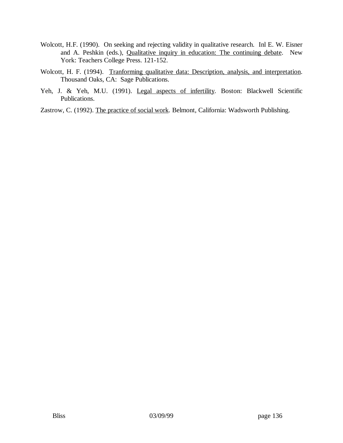- Wolcott, H.F. (1990). On seeking and rejecting validity in qualitative research. Inl E. W. Eisner and A. Peshkin (eds.), Qualitative inquiry in education: The continuing debate. New York: Teachers College Press. 121-152.
- Wolcott, H. F. (1994). Tranforming qualitative data: Description, analysis, and interpretation. Thousand Oaks, CA: Sage Publications.
- Yeh, J. & Yeh, M.U. (1991). Legal aspects of infertility. Boston: Blackwell Scientific Publications.
- Zastrow, C. (1992). The practice of social work. Belmont, California: Wadsworth Publishing.